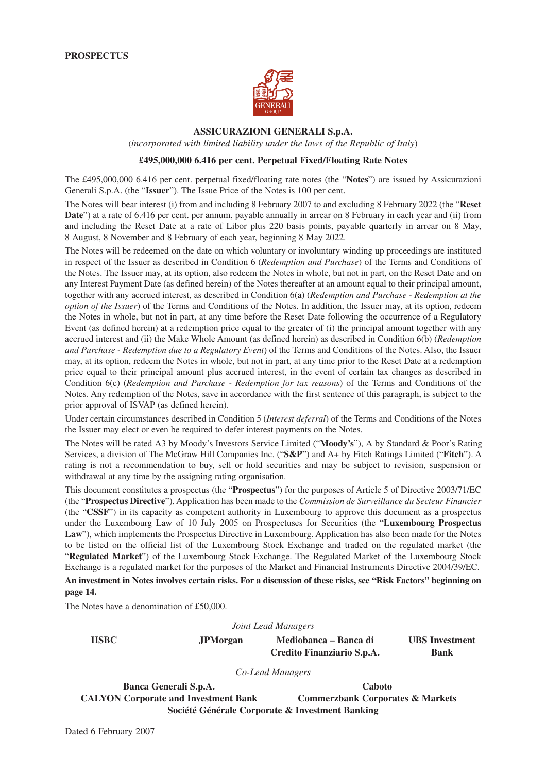

#### **ASSICURAZIONI GENERALI S.p.A.**

(*incorporated with limited liability under the laws of the Republic of Italy*)

#### **£495,000,000 6.416 per cent. Perpetual Fixed/Floating Rate Notes**

The £495,000,000 6.416 per cent. perpetual fixed/floating rate notes (the "**Notes**") are issued by Assicurazioni Generali S.p.A. (the "**Issuer**"). The Issue Price of the Notes is 100 per cent.

The Notes will bear interest (i) from and including 8 February 2007 to and excluding 8 February 2022 (the "**Reset Date**") at a rate of 6.416 per cent. per annum, payable annually in arrear on 8 February in each year and (ii) from and including the Reset Date at a rate of Libor plus 220 basis points, payable quarterly in arrear on 8 May, 8 August, 8 November and 8 February of each year, beginning 8 May 2022.

The Notes will be redeemed on the date on which voluntary or involuntary winding up proceedings are instituted in respect of the Issuer as described in Condition 6 (*Redemption and Purchase*) of the Terms and Conditions of the Notes. The Issuer may, at its option, also redeem the Notes in whole, but not in part, on the Reset Date and on any Interest Payment Date (as defined herein) of the Notes thereafter at an amount equal to their principal amount, together with any accrued interest, as described in Condition 6(a) (*Redemption and Purchase - Redemption at the option of the Issuer*) of the Terms and Conditions of the Notes. In addition, the Issuer may, at its option, redeem the Notes in whole, but not in part, at any time before the Reset Date following the occurrence of a Regulatory Event (as defined herein) at a redemption price equal to the greater of (i) the principal amount together with any accrued interest and (ii) the Make Whole Amount (as defined herein) as described in Condition 6(b) (*Redemption and Purchase - Redemption due to a Regulatory Event*) of the Terms and Conditions of the Notes. Also, the Issuer may, at its option, redeem the Notes in whole, but not in part, at any time prior to the Reset Date at a redemption price equal to their principal amount plus accrued interest, in the event of certain tax changes as described in Condition 6(c) (*Redemption and Purchase - Redemption for tax reasons*) of the Terms and Conditions of the Notes. Any redemption of the Notes, save in accordance with the first sentence of this paragraph, is subject to the prior approval of ISVAP (as defined herein).

Under certain circumstances described in Condition 5 (*Interest deferral*) of the Terms and Conditions of the Notes the Issuer may elect or even be required to defer interest payments on the Notes.

The Notes will be rated A3 by Moody's Investors Service Limited ("**Moody's**"), A by Standard & Poor's Rating Services, a division of The McGraw Hill Companies Inc. ("**S&P**") and A+ by Fitch Ratings Limited ("**Fitch**"). A rating is not a recommendation to buy, sell or hold securities and may be subject to revision, suspension or withdrawal at any time by the assigning rating organisation.

This document constitutes a prospectus (the "**Prospectus**") for the purposes of Article 5 of Directive 2003/71/EC (the "**Prospectus Directive**"). Application has been made to the *Commission de Surveillance du Secteur Financier* (the "**CSSF**") in its capacity as competent authority in Luxembourg to approve this document as a prospectus under the Luxembourg Law of 10 July 2005 on Prospectuses for Securities (the "**Luxembourg Prospectus Law**"), which implements the Prospectus Directive in Luxembourg. Application has also been made for the Notes to be listed on the official list of the Luxembourg Stock Exchange and traded on the regulated market (the "**Regulated Market**") of the Luxembourg Stock Exchange. The Regulated Market of the Luxembourg Stock Exchange is a regulated market for the purposes of the Market and Financial Instruments Directive 2004/39/EC.

**An investment in Notes involves certain risks. For a discussion of these risks, see "Risk Factors" beginning on page 14.**

The Notes have a denomination of £50,000.

*Joint Lead Managers*

**HSBC JPMorgan Mediobanca – Banca di UBS Investment Credito Finanziario S.p.A. Bank**

*Co-Lead Managers*

**Banca Generali S.p.A. Caboto** CALYON Corporate and Investment Bank Commerzbank Corporates & Markets **Société Générale Corporate & Investment Banking**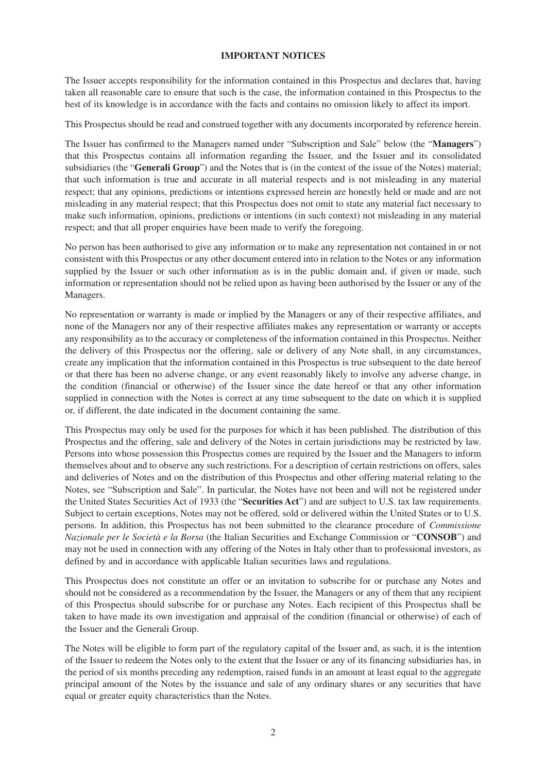#### **IMPORTANT NOTICES**

The Issuer accepts responsibility for the information contained in this Prospectus and declares that, having taken all reasonable care to ensure that such is the case, the information contained in this Prospectus to the best of its knowledge is in accordance with the facts and contains no omission likely to affect its import.

This Prospectus should be read and construed together with any documents incorporated by reference herein.

The Issuer has confirmed to the Managers named under "Subscription and Sale" below (the "**Managers**") that this Prospectus contains all information regarding the Issuer, and the Issuer and its consolidated subsidiaries (the "**Generali Group**") and the Notes that is (in the context of the issue of the Notes) material; that such information is true and accurate in all material respects and is not misleading in any material respect; that any opinions, predictions or intentions expressed herein are honestly held or made and are not misleading in any material respect; that this Prospectus does not omit to state any material fact necessary to make such information, opinions, predictions or intentions (in such context) not misleading in any material respect; and that all proper enquiries have been made to verify the foregoing.

No person has been authorised to give any information or to make any representation not contained in or not consistent with this Prospectus or any other document entered into in relation to the Notes or any information supplied by the Issuer or such other information as is in the public domain and, if given or made, such information or representation should not be relied upon as having been authorised by the Issuer or any of the Managers.

No representation or warranty is made or implied by the Managers or any of their respective affiliates, and none of the Managers nor any of their respective affiliates makes any representation or warranty or accepts any responsibility as to the accuracy or completeness of the information contained in this Prospectus. Neither the delivery of this Prospectus nor the offering, sale or delivery of any Note shall, in any circumstances, create any implication that the information contained in this Prospectus is true subsequent to the date hereof or that there has been no adverse change, or any event reasonably likely to involve any adverse change, in the condition (financial or otherwise) of the Issuer since the date hereof or that any other information supplied in connection with the Notes is correct at any time subsequent to the date on which it is supplied or, if different, the date indicated in the document containing the same.

This Prospectus may only be used for the purposes for which it has been published. The distribution of this Prospectus and the offering, sale and delivery of the Notes in certain jurisdictions may be restricted by law. Persons into whose possession this Prospectus comes are required by the Issuer and the Managers to inform themselves about and to observe any such restrictions. For a description of certain restrictions on offers, sales and deliveries of Notes and on the distribution of this Prospectus and other offering material relating to the Notes, see "Subscription and Sale". In particular, the Notes have not been and will not be registered under the United States Securities Act of 1933 (the "**Securities Act**") and are subject to U.S. tax law requirements. Subject to certain exceptions, Notes may not be offered, sold or delivered within the United States or to U.S. persons. In addition, this Prospectus has not been submitted to the clearance procedure of *Commissione Nazionale per le Società e la Borsa* (the Italian Securities and Exchange Commission or "**CONSOB**") and may not be used in connection with any offering of the Notes in Italy other than to professional investors, as defined by and in accordance with applicable Italian securities laws and regulations.

This Prospectus does not constitute an offer or an invitation to subscribe for or purchase any Notes and should not be considered as a recommendation by the Issuer, the Managers or any of them that any recipient of this Prospectus should subscribe for or purchase any Notes. Each recipient of this Prospectus shall be taken to have made its own investigation and appraisal of the condition (financial or otherwise) of each of the Issuer and the Generali Group.

The Notes will be eligible to form part of the regulatory capital of the Issuer and, as such, it is the intention of the Issuer to redeem the Notes only to the extent that the Issuer or any of its financing subsidiaries has, in the period of six months preceding any redemption, raised funds in an amount at least equal to the aggregate principal amount of the Notes by the issuance and sale of any ordinary shares or any securities that have equal or greater equity characteristics than the Notes.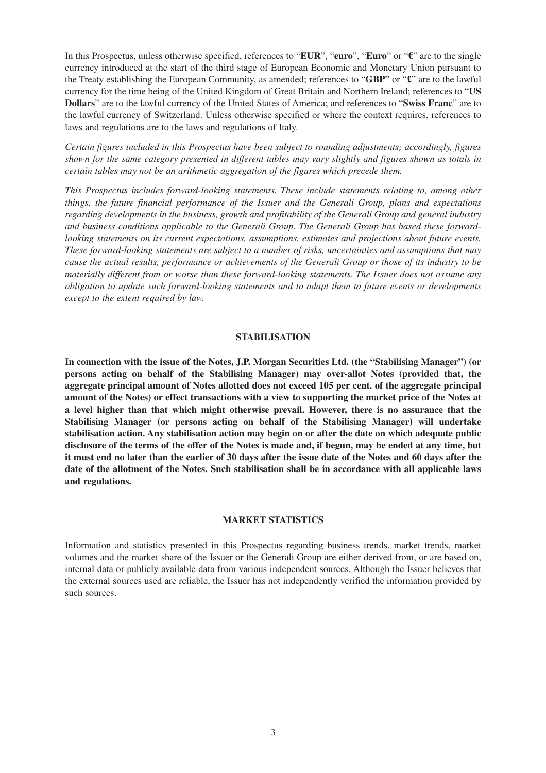In this Prospectus, unless otherwise specified, references to "**EUR**", "**euro**", "**Euro**" or "**€**" are to the single currency introduced at the start of the third stage of European Economic and Monetary Union pursuant to the Treaty establishing the European Community, as amended; references to "**GBP**" or "**£**" are to the lawful currency for the time being of the United Kingdom of Great Britain and Northern Ireland; references to "**US Dollars**" are to the lawful currency of the United States of America; and references to "**Swiss Franc**" are to the lawful currency of Switzerland. Unless otherwise specified or where the context requires, references to laws and regulations are to the laws and regulations of Italy.

*Certain figures included in this Prospectus have been subject to rounding adjustments; accordingly, figures shown for the same category presented in different tables may vary slightly and figures shown as totals in certain tables may not be an arithmetic aggregation of the figures which precede them.*

*This Prospectus includes forward-looking statements. These include statements relating to, among other things, the future financial performance of the Issuer and the Generali Group, plans and expectations regarding developments in the business, growth and profitability of the Generali Group and general industry and business conditions applicable to the Generali Group. The Generali Group has based these forwardlooking statements on its current expectations, assumptions, estimates and projections about future events. These forward-looking statements are subject to a number of risks, uncertainties and assumptions that may cause the actual results, performance or achievements of the Generali Group or those of its industry to be materially different from or worse than these forward-looking statements. The Issuer does not assume any obligation to update such forward-looking statements and to adapt them to future events or developments except to the extent required by law.*

#### **STABILISATION**

**In connection with the issue of the Notes, J.P. Morgan Securities Ltd. (the "Stabilising Manager") (or persons acting on behalf of the Stabilising Manager) may over-allot Notes (provided that, the aggregate principal amount of Notes allotted does not exceed 105 per cent. of the aggregate principal amount of the Notes) or effect transactions with a view to supporting the market price of the Notes at a level higher than that which might otherwise prevail. However, there is no assurance that the Stabilising Manager (or persons acting on behalf of the Stabilising Manager) will undertake stabilisation action. Any stabilisation action may begin on or after the date on which adequate public disclosure of the terms of the offer of the Notes is made and, if begun, may be ended at any time, but it must end no later than the earlier of 30 days after the issue date of the Notes and 60 days after the date of the allotment of the Notes. Such stabilisation shall be in accordance with all applicable laws and regulations.**

#### **MARKET STATISTICS**

Information and statistics presented in this Prospectus regarding business trends, market trends, market volumes and the market share of the Issuer or the Generali Group are either derived from, or are based on, internal data or publicly available data from various independent sources. Although the Issuer believes that the external sources used are reliable, the Issuer has not independently verified the information provided by such sources.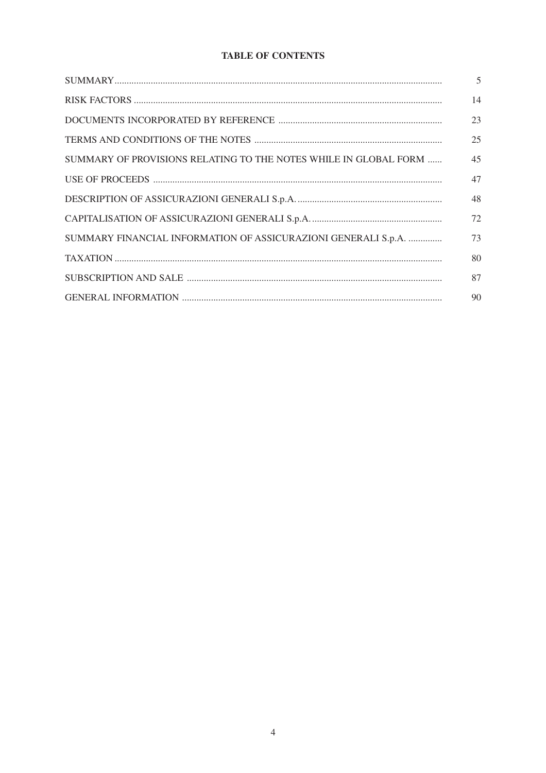# **TABLE OF CONTENTS**

|                                                                  | 5  |
|------------------------------------------------------------------|----|
|                                                                  | 14 |
|                                                                  | 23 |
|                                                                  | 25 |
| SUMMARY OF PROVISIONS RELATING TO THE NOTES WHILE IN GLOBAL FORM | 45 |
|                                                                  | 47 |
|                                                                  | 48 |
|                                                                  | 72 |
| SUMMARY FINANCIAL INFORMATION OF ASSICURAZIONI GENERALI S.p.A.   | 73 |
|                                                                  | 80 |
|                                                                  | 87 |
|                                                                  | 90 |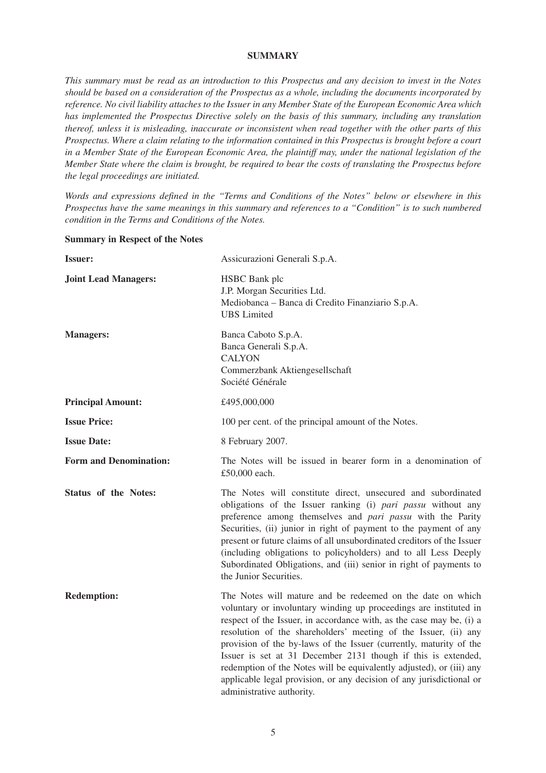#### **SUMMARY**

*This summary must be read as an introduction to this Prospectus and any decision to invest in the Notes should be based on a consideration of the Prospectus as a whole, including the documents incorporated by reference. No civil liability attaches to the Issuer in any Member State of the European Economic Area which has implemented the Prospectus Directive solely on the basis of this summary, including any translation thereof, unless it is misleading, inaccurate or inconsistent when read together with the other parts of this Prospectus. Where a claim relating to the information contained in this Prospectus is brought before a court in a Member State of the European Economic Area, the plaintiff may, under the national legislation of the Member State where the claim is brought, be required to bear the costs of translating the Prospectus before the legal proceedings are initiated.*

*Words and expressions defined in the "Terms and Conditions of the Notes" below or elsewhere in this Prospectus have the same meanings in this summary and references to a "Condition" is to such numbered condition in the Terms and Conditions of the Notes.*

#### **Summary in Respect of the Notes**

| <b>Issuer:</b>                | Assicurazioni Generali S.p.A.                                                                                                                                                                                                                                                                                                                                                                                                                                                                                                                                                                  |
|-------------------------------|------------------------------------------------------------------------------------------------------------------------------------------------------------------------------------------------------------------------------------------------------------------------------------------------------------------------------------------------------------------------------------------------------------------------------------------------------------------------------------------------------------------------------------------------------------------------------------------------|
| <b>Joint Lead Managers:</b>   | <b>HSBC</b> Bank plc<br>J.P. Morgan Securities Ltd.<br>Mediobanca - Banca di Credito Finanziario S.p.A.<br><b>UBS</b> Limited                                                                                                                                                                                                                                                                                                                                                                                                                                                                  |
| <b>Managers:</b>              | Banca Caboto S.p.A.<br>Banca Generali S.p.A.<br><b>CALYON</b><br>Commerzbank Aktiengesellschaft<br>Société Générale                                                                                                                                                                                                                                                                                                                                                                                                                                                                            |
| <b>Principal Amount:</b>      | £495,000,000                                                                                                                                                                                                                                                                                                                                                                                                                                                                                                                                                                                   |
| <b>Issue Price:</b>           | 100 per cent. of the principal amount of the Notes.                                                                                                                                                                                                                                                                                                                                                                                                                                                                                                                                            |
| <b>Issue Date:</b>            | 8 February 2007.                                                                                                                                                                                                                                                                                                                                                                                                                                                                                                                                                                               |
| <b>Form and Denomination:</b> | The Notes will be issued in bearer form in a denomination of<br>£50,000 each.                                                                                                                                                                                                                                                                                                                                                                                                                                                                                                                  |
| Status of the Notes:          | The Notes will constitute direct, unsecured and subordinated<br>obligations of the Issuer ranking (i) pari passu without any<br>preference among themselves and <i>pari passu</i> with the Parity<br>Securities, (ii) junior in right of payment to the payment of any<br>present or future claims of all unsubordinated creditors of the Issuer<br>(including obligations to policyholders) and to all Less Deeply<br>Subordinated Obligations, and (iii) senior in right of payments to<br>the Junior Securities.                                                                            |
| <b>Redemption:</b>            | The Notes will mature and be redeemed on the date on which<br>voluntary or involuntary winding up proceedings are instituted in<br>respect of the Issuer, in accordance with, as the case may be, (i) a<br>resolution of the shareholders' meeting of the Issuer, (ii) any<br>provision of the by-laws of the Issuer (currently, maturity of the<br>Issuer is set at 31 December 2131 though if this is extended,<br>redemption of the Notes will be equivalently adjusted), or (iii) any<br>applicable legal provision, or any decision of any jurisdictional or<br>administrative authority. |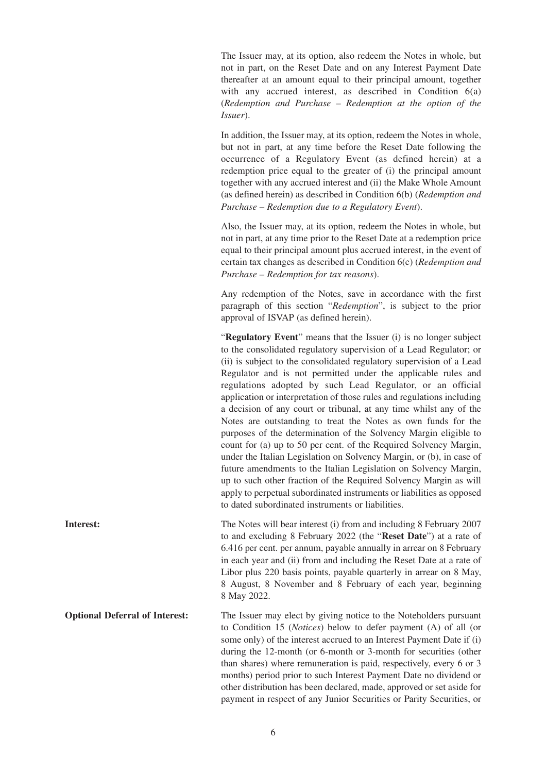The Issuer may, at its option, also redeem the Notes in whole, but not in part, on the Reset Date and on any Interest Payment Date thereafter at an amount equal to their principal amount, together with any accrued interest, as described in Condition 6(a) (*Redemption and Purchase – Redemption at the option of the Issuer*).

In addition, the Issuer may, at its option, redeem the Notes in whole, but not in part, at any time before the Reset Date following the occurrence of a Regulatory Event (as defined herein) at a redemption price equal to the greater of (i) the principal amount together with any accrued interest and (ii) the Make Whole Amount (as defined herein) as described in Condition 6(b) (*Redemption and Purchase – Redemption due to a Regulatory Event*).

Also, the Issuer may, at its option, redeem the Notes in whole, but not in part, at any time prior to the Reset Date at a redemption price equal to their principal amount plus accrued interest, in the event of certain tax changes as described in Condition 6(c) (*Redemption and Purchase – Redemption for tax reasons*).

Any redemption of the Notes, save in accordance with the first paragraph of this section "*Redemption*", is subject to the prior approval of ISVAP (as defined herein).

"**Regulatory Event**" means that the Issuer (i) is no longer subject to the consolidated regulatory supervision of a Lead Regulator; or (ii) is subject to the consolidated regulatory supervision of a Lead Regulator and is not permitted under the applicable rules and regulations adopted by such Lead Regulator, or an official application or interpretation of those rules and regulations including a decision of any court or tribunal, at any time whilst any of the Notes are outstanding to treat the Notes as own funds for the purposes of the determination of the Solvency Margin eligible to count for (a) up to 50 per cent. of the Required Solvency Margin, under the Italian Legislation on Solvency Margin, or (b), in case of future amendments to the Italian Legislation on Solvency Margin, up to such other fraction of the Required Solvency Margin as will apply to perpetual subordinated instruments or liabilities as opposed to dated subordinated instruments or liabilities.

**Interest:** The Notes will bear interest (i) from and including 8 February 2007 to and excluding 8 February 2022 (the "**Reset Date**") at a rate of 6.416 per cent. per annum, payable annually in arrear on 8 February in each year and (ii) from and including the Reset Date at a rate of Libor plus 220 basis points, payable quarterly in arrear on 8 May, 8 August, 8 November and 8 February of each year, beginning 8 May 2022.

**Optional Deferral of Interest:** The Issuer may elect by giving notice to the Noteholders pursuant to Condition 15 (*Notices*) below to defer payment (A) of all (or some only) of the interest accrued to an Interest Payment Date if (i) during the 12-month (or 6-month or 3-month for securities (other than shares) where remuneration is paid, respectively, every 6 or 3 months) period prior to such Interest Payment Date no dividend or other distribution has been declared, made, approved or set aside for payment in respect of any Junior Securities or Parity Securities, or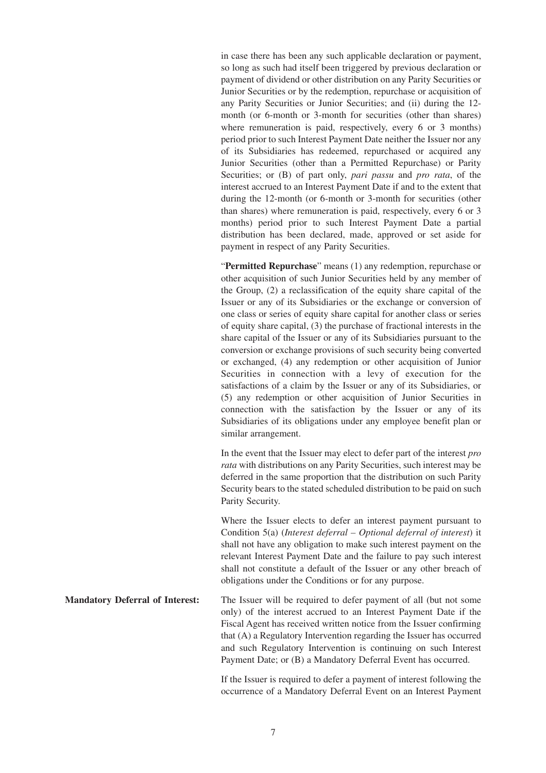in case there has been any such applicable declaration or payment, so long as such had itself been triggered by previous declaration or payment of dividend or other distribution on any Parity Securities or Junior Securities or by the redemption, repurchase or acquisition of any Parity Securities or Junior Securities; and (ii) during the 12 month (or 6-month or 3-month for securities (other than shares) where remuneration is paid, respectively, every 6 or 3 months) period prior to such Interest Payment Date neither the Issuer nor any of its Subsidiaries has redeemed, repurchased or acquired any Junior Securities (other than a Permitted Repurchase) or Parity Securities; or (B) of part only, *pari passu* and *pro rata*, of the interest accrued to an Interest Payment Date if and to the extent that during the 12-month (or 6-month or 3-month for securities (other than shares) where remuneration is paid, respectively, every 6 or 3 months) period prior to such Interest Payment Date a partial distribution has been declared, made, approved or set aside for payment in respect of any Parity Securities.

"**Permitted Repurchase**" means (1) any redemption, repurchase or other acquisition of such Junior Securities held by any member of the Group, (2) a reclassification of the equity share capital of the Issuer or any of its Subsidiaries or the exchange or conversion of one class or series of equity share capital for another class or series of equity share capital, (3) the purchase of fractional interests in the share capital of the Issuer or any of its Subsidiaries pursuant to the conversion or exchange provisions of such security being converted or exchanged, (4) any redemption or other acquisition of Junior Securities in connection with a levy of execution for the satisfactions of a claim by the Issuer or any of its Subsidiaries, or (5) any redemption or other acquisition of Junior Securities in connection with the satisfaction by the Issuer or any of its Subsidiaries of its obligations under any employee benefit plan or similar arrangement.

In the event that the Issuer may elect to defer part of the interest *pro rata* with distributions on any Parity Securities, such interest may be deferred in the same proportion that the distribution on such Parity Security bears to the stated scheduled distribution to be paid on such Parity Security.

Where the Issuer elects to defer an interest payment pursuant to Condition 5(a) (*Interest deferral – Optional deferral of interest*) it shall not have any obligation to make such interest payment on the relevant Interest Payment Date and the failure to pay such interest shall not constitute a default of the Issuer or any other breach of obligations under the Conditions or for any purpose.

**Mandatory Deferral of Interest:** The Issuer will be required to defer payment of all (but not some only) of the interest accrued to an Interest Payment Date if the Fiscal Agent has received written notice from the Issuer confirming that (A) a Regulatory Intervention regarding the Issuer has occurred and such Regulatory Intervention is continuing on such Interest Payment Date; or (B) a Mandatory Deferral Event has occurred.

> If the Issuer is required to defer a payment of interest following the occurrence of a Mandatory Deferral Event on an Interest Payment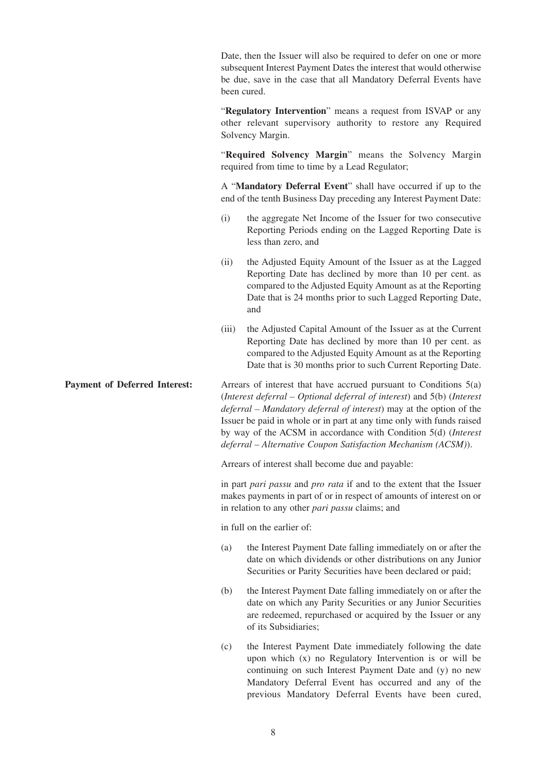Date, then the Issuer will also be required to defer on one or more subsequent Interest Payment Dates the interest that would otherwise be due, save in the case that all Mandatory Deferral Events have been cured.

"**Regulatory Intervention**" means a request from ISVAP or any other relevant supervisory authority to restore any Required Solvency Margin.

"**Required Solvency Margin**" means the Solvency Margin required from time to time by a Lead Regulator;

A "**Mandatory Deferral Event**" shall have occurred if up to the end of the tenth Business Day preceding any Interest Payment Date:

- (i) the aggregate Net Income of the Issuer for two consecutive Reporting Periods ending on the Lagged Reporting Date is less than zero, and
- (ii) the Adjusted Equity Amount of the Issuer as at the Lagged Reporting Date has declined by more than 10 per cent. as compared to the Adjusted Equity Amount as at the Reporting Date that is 24 months prior to such Lagged Reporting Date, and
- (iii) the Adjusted Capital Amount of the Issuer as at the Current Reporting Date has declined by more than 10 per cent. as compared to the Adjusted Equity Amount as at the Reporting Date that is 30 months prior to such Current Reporting Date.

**Payment of Deferred Interest:** Arrears of interest that have accrued pursuant to Conditions 5(a) (*Interest deferral – Optional deferral of interest*) and 5(b) (*Interest deferral – Mandatory deferral of interest*) may at the option of the Issuer be paid in whole or in part at any time only with funds raised by way of the ACSM in accordance with Condition 5(d) (*Interest deferral – Alternative Coupon Satisfaction Mechanism (ACSM)*).

Arrears of interest shall become due and payable:

in part *pari passu* and *pro rata* if and to the extent that the Issuer makes payments in part of or in respect of amounts of interest on or in relation to any other *pari passu* claims; and

in full on the earlier of:

- (a) the Interest Payment Date falling immediately on or after the date on which dividends or other distributions on any Junior Securities or Parity Securities have been declared or paid;
- (b) the Interest Payment Date falling immediately on or after the date on which any Parity Securities or any Junior Securities are redeemed, repurchased or acquired by the Issuer or any of its Subsidiaries;
- (c) the Interest Payment Date immediately following the date upon which (x) no Regulatory Intervention is or will be continuing on such Interest Payment Date and (y) no new Mandatory Deferral Event has occurred and any of the previous Mandatory Deferral Events have been cured,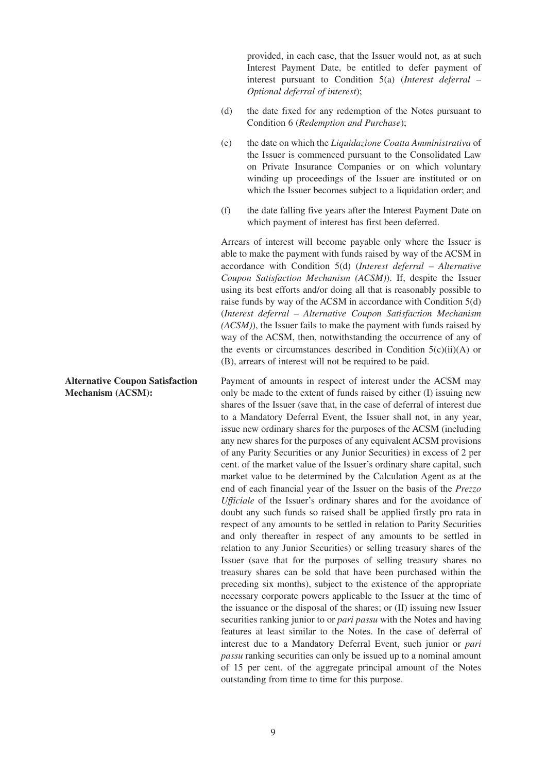provided, in each case, that the Issuer would not, as at such Interest Payment Date, be entitled to defer payment of interest pursuant to Condition 5(a) (*Interest deferral – Optional deferral of interest*);

- (d) the date fixed for any redemption of the Notes pursuant to Condition 6 (*Redemption and Purchase*);
- (e) the date on which the *Liquidazione Coatta Amministrativa* of the Issuer is commenced pursuant to the Consolidated Law on Private Insurance Companies or on which voluntary winding up proceedings of the Issuer are instituted or on which the Issuer becomes subject to a liquidation order; and
- (f) the date falling five years after the Interest Payment Date on which payment of interest has first been deferred.

Arrears of interest will become payable only where the Issuer is able to make the payment with funds raised by way of the ACSM in accordance with Condition 5(d) (*Interest deferral – Alternative Coupon Satisfaction Mechanism (ACSM)*). If, despite the Issuer using its best efforts and/or doing all that is reasonably possible to raise funds by way of the ACSM in accordance with Condition 5(d) (*Interest deferral – Alternative Coupon Satisfaction Mechanism (ACSM)*), the Issuer fails to make the payment with funds raised by way of the ACSM, then, notwithstanding the occurrence of any of the events or circumstances described in Condition  $5(c)(ii)(A)$  or (B), arrears of interest will not be required to be paid.

Payment of amounts in respect of interest under the ACSM may only be made to the extent of funds raised by either (I) issuing new shares of the Issuer (save that, in the case of deferral of interest due to a Mandatory Deferral Event, the Issuer shall not, in any year, issue new ordinary shares for the purposes of the ACSM (including any new shares for the purposes of any equivalent ACSM provisions of any Parity Securities or any Junior Securities) in excess of 2 per cent. of the market value of the Issuer's ordinary share capital, such market value to be determined by the Calculation Agent as at the end of each financial year of the Issuer on the basis of the *Prezzo Ufficiale* of the Issuer's ordinary shares and for the avoidance of doubt any such funds so raised shall be applied firstly pro rata in respect of any amounts to be settled in relation to Parity Securities and only thereafter in respect of any amounts to be settled in relation to any Junior Securities) or selling treasury shares of the Issuer (save that for the purposes of selling treasury shares no treasury shares can be sold that have been purchased within the preceding six months), subject to the existence of the appropriate necessary corporate powers applicable to the Issuer at the time of the issuance or the disposal of the shares; or (II) issuing new Issuer securities ranking junior to or *pari passu* with the Notes and having features at least similar to the Notes. In the case of deferral of interest due to a Mandatory Deferral Event, such junior or *pari passu* ranking securities can only be issued up to a nominal amount of 15 per cent. of the aggregate principal amount of the Notes outstanding from time to time for this purpose.

**Alternative Coupon Satisfaction Mechanism (ACSM):**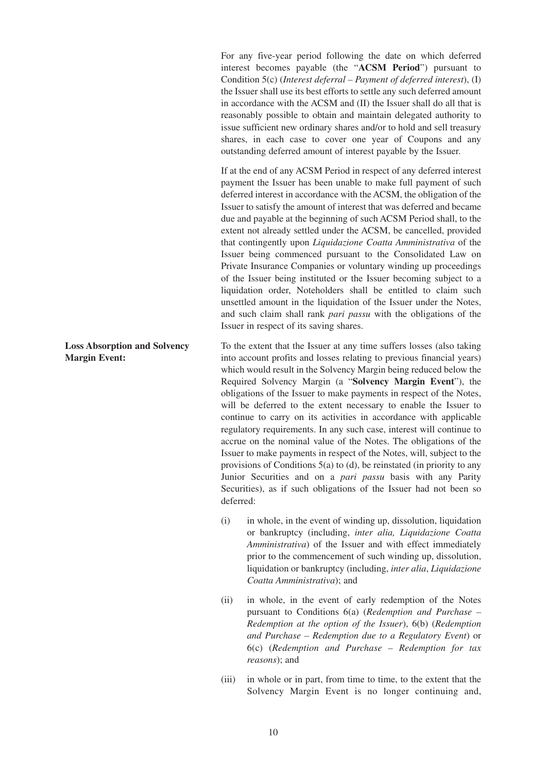For any five-year period following the date on which deferred interest becomes payable (the "**ACSM Period**") pursuant to Condition 5(c) (*Interest deferral – Payment of deferred interest*), (I) the Issuer shall use its best efforts to settle any such deferred amount in accordance with the ACSM and (II) the Issuer shall do all that is reasonably possible to obtain and maintain delegated authority to issue sufficient new ordinary shares and/or to hold and sell treasury shares, in each case to cover one year of Coupons and any outstanding deferred amount of interest payable by the Issuer.

If at the end of any ACSM Period in respect of any deferred interest payment the Issuer has been unable to make full payment of such deferred interest in accordance with the ACSM, the obligation of the Issuer to satisfy the amount of interest that was deferred and became due and payable at the beginning of such ACSM Period shall, to the extent not already settled under the ACSM, be cancelled, provided that contingently upon *Liquidazione Coatta Amministrativa* of the Issuer being commenced pursuant to the Consolidated Law on Private Insurance Companies or voluntary winding up proceedings of the Issuer being instituted or the Issuer becoming subject to a liquidation order, Noteholders shall be entitled to claim such unsettled amount in the liquidation of the Issuer under the Notes, and such claim shall rank *pari passu* with the obligations of the Issuer in respect of its saving shares.

To the extent that the Issuer at any time suffers losses (also taking into account profits and losses relating to previous financial years) which would result in the Solvency Margin being reduced below the Required Solvency Margin (a "**Solvency Margin Event**"), the obligations of the Issuer to make payments in respect of the Notes, will be deferred to the extent necessary to enable the Issuer to continue to carry on its activities in accordance with applicable regulatory requirements. In any such case, interest will continue to accrue on the nominal value of the Notes. The obligations of the Issuer to make payments in respect of the Notes, will, subject to the provisions of Conditions 5(a) to (d), be reinstated (in priority to any Junior Securities and on a *pari passu* basis with any Parity Securities), as if such obligations of the Issuer had not been so deferred:

- (i) in whole, in the event of winding up, dissolution, liquidation or bankruptcy (including, *inter alia, Liquidazione Coatta Amministrativa*) of the Issuer and with effect immediately prior to the commencement of such winding up, dissolution, liquidation or bankruptcy (including, *inter alia*, *Liquidazione Coatta Amministrativa*); and
- (ii) in whole, in the event of early redemption of the Notes pursuant to Conditions 6(a) (*Redemption and Purchase – Redemption at the option of the Issuer*), 6(b) (*Redemption and Purchase – Redemption due to a Regulatory Event*) or 6(c) (*Redemption and Purchase – Redemption for tax reasons*); and
- (iii) in whole or in part, from time to time, to the extent that the Solvency Margin Event is no longer continuing and,

## **Loss Absorption and Solvency Margin Event:**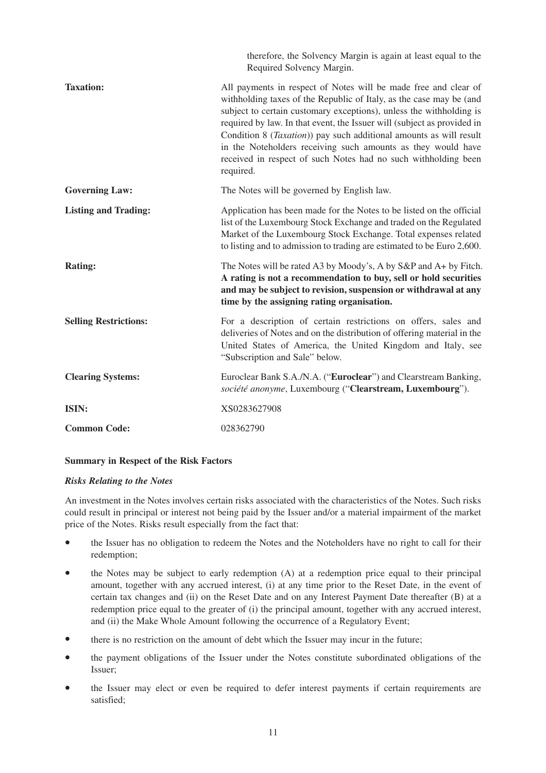|                              | therefore, the Solvency Margin is again at least equal to the<br>Required Solvency Margin.                                                                                                                                                                                                                                                                                                                                                                                                                             |
|------------------------------|------------------------------------------------------------------------------------------------------------------------------------------------------------------------------------------------------------------------------------------------------------------------------------------------------------------------------------------------------------------------------------------------------------------------------------------------------------------------------------------------------------------------|
| <b>Taxation:</b>             | All payments in respect of Notes will be made free and clear of<br>withholding taxes of the Republic of Italy, as the case may be (and<br>subject to certain customary exceptions), unless the withholding is<br>required by law. In that event, the Issuer will (subject as provided in<br>Condition 8 ( <i>Taxation</i> )) pay such additional amounts as will result<br>in the Noteholders receiving such amounts as they would have<br>received in respect of such Notes had no such withholding been<br>required. |
| <b>Governing Law:</b>        | The Notes will be governed by English law.                                                                                                                                                                                                                                                                                                                                                                                                                                                                             |
| <b>Listing and Trading:</b>  | Application has been made for the Notes to be listed on the official<br>list of the Luxembourg Stock Exchange and traded on the Regulated<br>Market of the Luxembourg Stock Exchange. Total expenses related<br>to listing and to admission to trading are estimated to be Euro 2,600.                                                                                                                                                                                                                                 |
| <b>Rating:</b>               | The Notes will be rated A3 by Moody's, A by S&P and A+ by Fitch.<br>A rating is not a recommendation to buy, sell or hold securities<br>and may be subject to revision, suspension or withdrawal at any<br>time by the assigning rating organisation.                                                                                                                                                                                                                                                                  |
| <b>Selling Restrictions:</b> | For a description of certain restrictions on offers, sales and<br>deliveries of Notes and on the distribution of offering material in the<br>United States of America, the United Kingdom and Italy, see<br>"Subscription and Sale" below.                                                                                                                                                                                                                                                                             |
| <b>Clearing Systems:</b>     | Euroclear Bank S.A./N.A. ("Euroclear") and Clearstream Banking,<br>société anonyme, Luxembourg ("Clearstream, Luxembourg").                                                                                                                                                                                                                                                                                                                                                                                            |
| ISIN:                        | XS0283627908                                                                                                                                                                                                                                                                                                                                                                                                                                                                                                           |
| <b>Common Code:</b>          | 028362790                                                                                                                                                                                                                                                                                                                                                                                                                                                                                                              |

## **Summary in Respect of the Risk Factors**

## *Risks Relating to the Notes*

An investment in the Notes involves certain risks associated with the characteristics of the Notes. Such risks could result in principal or interest not being paid by the Issuer and/or a material impairment of the market price of the Notes. Risks result especially from the fact that:

- the Issuer has no obligation to redeem the Notes and the Noteholders have no right to call for their redemption;
- the Notes may be subject to early redemption (A) at a redemption price equal to their principal amount, together with any accrued interest, (i) at any time prior to the Reset Date, in the event of certain tax changes and (ii) on the Reset Date and on any Interest Payment Date thereafter (B) at a redemption price equal to the greater of (i) the principal amount, together with any accrued interest, and (ii) the Make Whole Amount following the occurrence of a Regulatory Event;
- there is no restriction on the amount of debt which the Issuer may incur in the future;
- the payment obligations of the Issuer under the Notes constitute subordinated obligations of the Issuer;
- the Issuer may elect or even be required to defer interest payments if certain requirements are satisfied;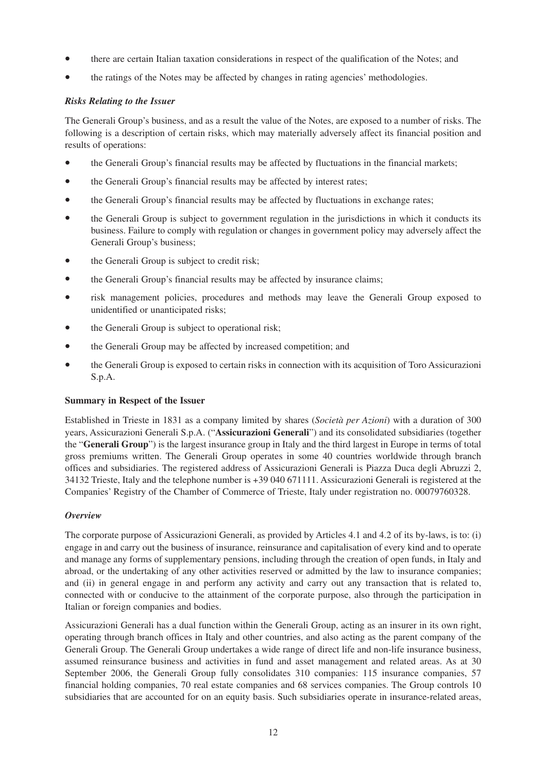- there are certain Italian taxation considerations in respect of the qualification of the Notes; and
- the ratings of the Notes may be affected by changes in rating agencies' methodologies.

# *Risks Relating to the Issuer*

The Generali Group's business, and as a result the value of the Notes, are exposed to a number of risks. The following is a description of certain risks, which may materially adversely affect its financial position and results of operations:

- the Generali Group's financial results may be affected by fluctuations in the financial markets;
- the Generali Group's financial results may be affected by interest rates;
- the Generali Group's financial results may be affected by fluctuations in exchange rates;
- the Generali Group is subject to government regulation in the jurisdictions in which it conducts its business. Failure to comply with regulation or changes in government policy may adversely affect the Generali Group's business;
- the Generali Group is subject to credit risk;
- the Generali Group's financial results may be affected by insurance claims;
- risk management policies, procedures and methods may leave the Generali Group exposed to unidentified or unanticipated risks;
- the Generali Group is subject to operational risk:
- the Generali Group may be affected by increased competition; and
- the Generali Group is exposed to certain risks in connection with its acquisition of Toro Assicurazioni S.p.A.

## **Summary in Respect of the Issuer**

Established in Trieste in 1831 as a company limited by shares (*Società per Azioni*) with a duration of 300 years, Assicurazioni Generali S.p.A. ("**Assicurazioni Generali**") and its consolidated subsidiaries (together the "**Generali Group**") is the largest insurance group in Italy and the third largest in Europe in terms of total gross premiums written. The Generali Group operates in some 40 countries worldwide through branch offices and subsidiaries. The registered address of Assicurazioni Generali is Piazza Duca degli Abruzzi 2, 34132 Trieste, Italy and the telephone number is +39 040 671111. Assicurazioni Generali is registered at the Companies' Registry of the Chamber of Commerce of Trieste, Italy under registration no. 00079760328.

## *Overview*

The corporate purpose of Assicurazioni Generali, as provided by Articles 4.1 and 4.2 of its by-laws, is to: (i) engage in and carry out the business of insurance, reinsurance and capitalisation of every kind and to operate and manage any forms of supplementary pensions, including through the creation of open funds, in Italy and abroad, or the undertaking of any other activities reserved or admitted by the law to insurance companies; and (ii) in general engage in and perform any activity and carry out any transaction that is related to, connected with or conducive to the attainment of the corporate purpose, also through the participation in Italian or foreign companies and bodies.

Assicurazioni Generali has a dual function within the Generali Group, acting as an insurer in its own right, operating through branch offices in Italy and other countries, and also acting as the parent company of the Generali Group. The Generali Group undertakes a wide range of direct life and non-life insurance business, assumed reinsurance business and activities in fund and asset management and related areas. As at 30 September 2006, the Generali Group fully consolidates 310 companies: 115 insurance companies, 57 financial holding companies, 70 real estate companies and 68 services companies. The Group controls 10 subsidiaries that are accounted for on an equity basis. Such subsidiaries operate in insurance-related areas,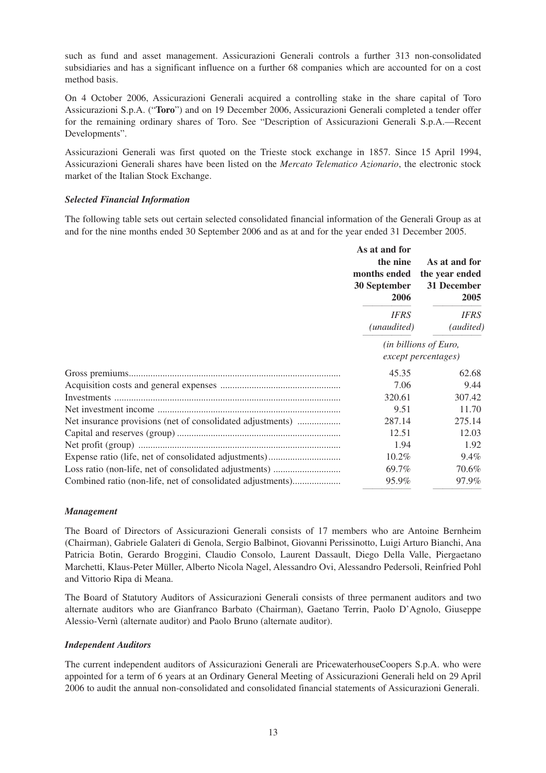such as fund and asset management. Assicurazioni Generali controls a further 313 non-consolidated subsidiaries and has a significant influence on a further 68 companies which are accounted for on a cost method basis.

On 4 October 2006, Assicurazioni Generali acquired a controlling stake in the share capital of Toro Assicurazioni S.p.A. ("**Toro**") and on 19 December 2006, Assicurazioni Generali completed a tender offer for the remaining ordinary shares of Toro. See "Description of Assicurazioni Generali S.p.A.—Recent Developments".

Assicurazioni Generali was first quoted on the Trieste stock exchange in 1857. Since 15 April 1994, Assicurazioni Generali shares have been listed on the *Mercato Telematico Azionario*, the electronic stock market of the Italian Stock Exchange.

## *Selected Financial Information*

The following table sets out certain selected consolidated financial information of the Generali Group as at and for the nine months ended 30 September 2006 and as at and for the year ended 31 December 2005.

|                                                            | As at and for<br>the nine<br>months ended<br>30 September<br>2006 | As at and for<br>the year ended<br>31 December<br>2005 |
|------------------------------------------------------------|-------------------------------------------------------------------|--------------------------------------------------------|
|                                                            | <b>IFRS</b><br>(unaudited)                                        | <b>IFRS</b><br>(audited)                               |
|                                                            | (in billions of Euro,<br>except percentages)                      |                                                        |
|                                                            | 45.35                                                             | 62.68                                                  |
|                                                            | 7.06                                                              | 9.44                                                   |
|                                                            | 320.61                                                            | 307.42                                                 |
|                                                            | 9.51                                                              | 11.70                                                  |
| Net insurance provisions (net of consolidated adjustments) | 287.14                                                            | 275.14                                                 |
|                                                            | 12.51                                                             | 12.03                                                  |
|                                                            | 1.94                                                              | 1.92                                                   |
|                                                            | $10.2\%$                                                          | 9.4%                                                   |
|                                                            | 69.7%                                                             | 70.6%                                                  |
| Combined ratio (non-life, net of consolidated adjustments) | 95.9%                                                             | 97.9%                                                  |

## *Management*

The Board of Directors of Assicurazioni Generali consists of 17 members who are Antoine Bernheim (Chairman), Gabriele Galateri di Genola, Sergio Balbinot, Giovanni Perissinotto, Luigi Arturo Bianchi, Ana Patricia Botin, Gerardo Broggini, Claudio Consolo, Laurent Dassault, Diego Della Valle, Piergaetano Marchetti, Klaus-Peter Müller, Alberto Nicola Nagel, Alessandro Ovi, Alessandro Pedersoli, Reinfried Pohl and Vittorio Ripa di Meana.

The Board of Statutory Auditors of Assicurazioni Generali consists of three permanent auditors and two alternate auditors who are Gianfranco Barbato (Chairman), Gaetano Terrin, Paolo D'Agnolo, Giuseppe Alessio-Vernì (alternate auditor) and Paolo Bruno (alternate auditor).

## *Independent Auditors*

The current independent auditors of Assicurazioni Generali are PricewaterhouseCoopers S.p.A. who were appointed for a term of 6 years at an Ordinary General Meeting of Assicurazioni Generali held on 29 April 2006 to audit the annual non-consolidated and consolidated financial statements of Assicurazioni Generali.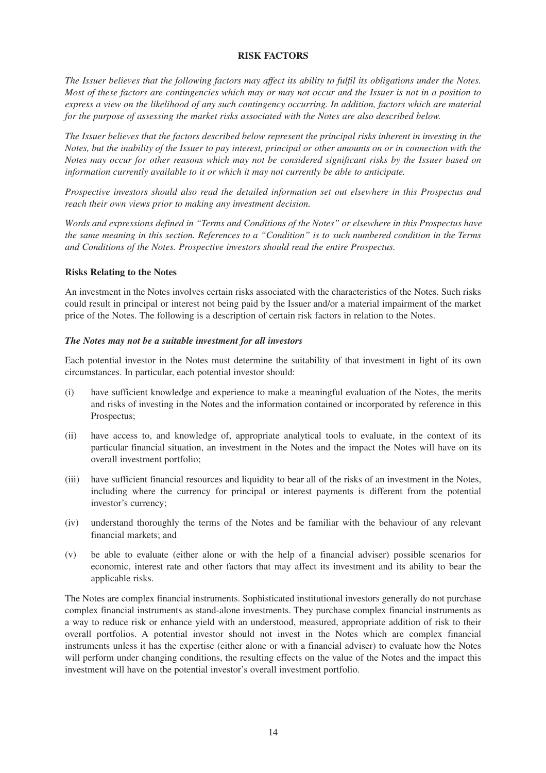#### **RISK FACTORS**

*The Issuer believes that the following factors may affect its ability to fulfil its obligations under the Notes. Most of these factors are contingencies which may or may not occur and the Issuer is not in a position to express a view on the likelihood of any such contingency occurring. In addition, factors which are material for the purpose of assessing the market risks associated with the Notes are also described below.*

*The Issuer believes that the factors described below represent the principal risks inherent in investing in the Notes, but the inability of the Issuer to pay interest, principal or other amounts on or in connection with the Notes may occur for other reasons which may not be considered significant risks by the Issuer based on information currently available to it or which it may not currently be able to anticipate.*

*Prospective investors should also read the detailed information set out elsewhere in this Prospectus and reach their own views prior to making any investment decision.*

*Words and expressions defined in "Terms and Conditions of the Notes" or elsewhere in this Prospectus have the same meaning in this section. References to a "Condition" is to such numbered condition in the Terms and Conditions of the Notes. Prospective investors should read the entire Prospectus.*

#### **Risks Relating to the Notes**

An investment in the Notes involves certain risks associated with the characteristics of the Notes. Such risks could result in principal or interest not being paid by the Issuer and/or a material impairment of the market price of the Notes. The following is a description of certain risk factors in relation to the Notes.

#### *The Notes may not be a suitable investment for all investors*

Each potential investor in the Notes must determine the suitability of that investment in light of its own circumstances. In particular, each potential investor should:

- (i) have sufficient knowledge and experience to make a meaningful evaluation of the Notes, the merits and risks of investing in the Notes and the information contained or incorporated by reference in this Prospectus;
- (ii) have access to, and knowledge of, appropriate analytical tools to evaluate, in the context of its particular financial situation, an investment in the Notes and the impact the Notes will have on its overall investment portfolio;
- (iii) have sufficient financial resources and liquidity to bear all of the risks of an investment in the Notes, including where the currency for principal or interest payments is different from the potential investor's currency;
- (iv) understand thoroughly the terms of the Notes and be familiar with the behaviour of any relevant financial markets; and
- (v) be able to evaluate (either alone or with the help of a financial adviser) possible scenarios for economic, interest rate and other factors that may affect its investment and its ability to bear the applicable risks.

The Notes are complex financial instruments. Sophisticated institutional investors generally do not purchase complex financial instruments as stand-alone investments. They purchase complex financial instruments as a way to reduce risk or enhance yield with an understood, measured, appropriate addition of risk to their overall portfolios. A potential investor should not invest in the Notes which are complex financial instruments unless it has the expertise (either alone or with a financial adviser) to evaluate how the Notes will perform under changing conditions, the resulting effects on the value of the Notes and the impact this investment will have on the potential investor's overall investment portfolio.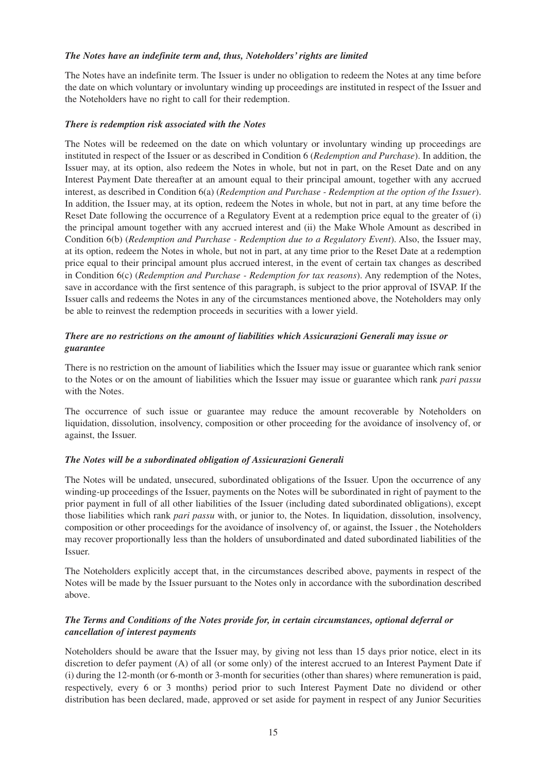#### *The Notes have an indefinite term and, thus, Noteholders' rights are limited*

The Notes have an indefinite term. The Issuer is under no obligation to redeem the Notes at any time before the date on which voluntary or involuntary winding up proceedings are instituted in respect of the Issuer and the Noteholders have no right to call for their redemption.

#### *There is redemption risk associated with the Notes*

The Notes will be redeemed on the date on which voluntary or involuntary winding up proceedings are instituted in respect of the Issuer or as described in Condition 6 (*Redemption and Purchase*). In addition, the Issuer may, at its option, also redeem the Notes in whole, but not in part, on the Reset Date and on any Interest Payment Date thereafter at an amount equal to their principal amount, together with any accrued interest, as described in Condition 6(a) (*Redemption and Purchase - Redemption at the option of the Issuer*). In addition, the Issuer may, at its option, redeem the Notes in whole, but not in part, at any time before the Reset Date following the occurrence of a Regulatory Event at a redemption price equal to the greater of (i) the principal amount together with any accrued interest and (ii) the Make Whole Amount as described in Condition 6(b) (*Redemption and Purchase - Redemption due to a Regulatory Event*). Also, the Issuer may, at its option, redeem the Notes in whole, but not in part, at any time prior to the Reset Date at a redemption price equal to their principal amount plus accrued interest, in the event of certain tax changes as described in Condition 6(c) (*Redemption and Purchase - Redemption for tax reasons*). Any redemption of the Notes, save in accordance with the first sentence of this paragraph, is subject to the prior approval of ISVAP. If the Issuer calls and redeems the Notes in any of the circumstances mentioned above, the Noteholders may only be able to reinvest the redemption proceeds in securities with a lower yield.

# *There are no restrictions on the amount of liabilities which Assicurazioni Generali may issue or guarantee*

There is no restriction on the amount of liabilities which the Issuer may issue or guarantee which rank senior to the Notes or on the amount of liabilities which the Issuer may issue or guarantee which rank *pari passu* with the Notes.

The occurrence of such issue or guarantee may reduce the amount recoverable by Noteholders on liquidation, dissolution, insolvency, composition or other proceeding for the avoidance of insolvency of, or against, the Issuer.

## *The Notes will be a subordinated obligation of Assicurazioni Generali*

The Notes will be undated, unsecured, subordinated obligations of the Issuer. Upon the occurrence of any winding-up proceedings of the Issuer, payments on the Notes will be subordinated in right of payment to the prior payment in full of all other liabilities of the Issuer (including dated subordinated obligations), except those liabilities which rank *pari passu* with, or junior to, the Notes. In liquidation, dissolution, insolvency, composition or other proceedings for the avoidance of insolvency of, or against, the Issuer , the Noteholders may recover proportionally less than the holders of unsubordinated and dated subordinated liabilities of the Issuer.

The Noteholders explicitly accept that, in the circumstances described above, payments in respect of the Notes will be made by the Issuer pursuant to the Notes only in accordance with the subordination described above.

# *The Terms and Conditions of the Notes provide for, in certain circumstances, optional deferral or cancellation of interest payments*

Noteholders should be aware that the Issuer may, by giving not less than 15 days prior notice, elect in its discretion to defer payment (A) of all (or some only) of the interest accrued to an Interest Payment Date if (i) during the 12-month (or 6-month or 3-month for securities (other than shares) where remuneration is paid, respectively, every 6 or 3 months) period prior to such Interest Payment Date no dividend or other distribution has been declared, made, approved or set aside for payment in respect of any Junior Securities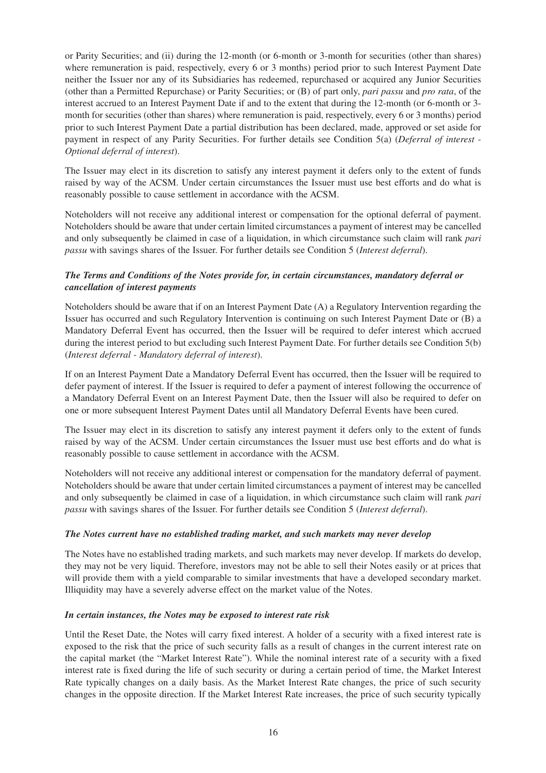or Parity Securities; and (ii) during the 12-month (or 6-month or 3-month for securities (other than shares) where remuneration is paid, respectively, every 6 or 3 months) period prior to such Interest Payment Date neither the Issuer nor any of its Subsidiaries has redeemed, repurchased or acquired any Junior Securities (other than a Permitted Repurchase) or Parity Securities; or (B) of part only, *pari passu* and *pro rata*, of the interest accrued to an Interest Payment Date if and to the extent that during the 12-month (or 6-month or 3 month for securities (other than shares) where remuneration is paid, respectively, every 6 or 3 months) period prior to such Interest Payment Date a partial distribution has been declared, made, approved or set aside for payment in respect of any Parity Securities. For further details see Condition 5(a) (*Deferral of interest - Optional deferral of interest*).

The Issuer may elect in its discretion to satisfy any interest payment it defers only to the extent of funds raised by way of the ACSM. Under certain circumstances the Issuer must use best efforts and do what is reasonably possible to cause settlement in accordance with the ACSM.

Noteholders will not receive any additional interest or compensation for the optional deferral of payment. Noteholders should be aware that under certain limited circumstances a payment of interest may be cancelled and only subsequently be claimed in case of a liquidation, in which circumstance such claim will rank *pari passu* with savings shares of the Issuer. For further details see Condition 5 (*Interest deferral*).

# *The Terms and Conditions of the Notes provide for, in certain circumstances, mandatory deferral or cancellation of interest payments*

Noteholders should be aware that if on an Interest Payment Date (A) a Regulatory Intervention regarding the Issuer has occurred and such Regulatory Intervention is continuing on such Interest Payment Date or (B) a Mandatory Deferral Event has occurred, then the Issuer will be required to defer interest which accrued during the interest period to but excluding such Interest Payment Date. For further details see Condition 5(b) (*Interest deferral - Mandatory deferral of interest*).

If on an Interest Payment Date a Mandatory Deferral Event has occurred, then the Issuer will be required to defer payment of interest. If the Issuer is required to defer a payment of interest following the occurrence of a Mandatory Deferral Event on an Interest Payment Date, then the Issuer will also be required to defer on one or more subsequent Interest Payment Dates until all Mandatory Deferral Events have been cured.

The Issuer may elect in its discretion to satisfy any interest payment it defers only to the extent of funds raised by way of the ACSM. Under certain circumstances the Issuer must use best efforts and do what is reasonably possible to cause settlement in accordance with the ACSM.

Noteholders will not receive any additional interest or compensation for the mandatory deferral of payment. Noteholders should be aware that under certain limited circumstances a payment of interest may be cancelled and only subsequently be claimed in case of a liquidation, in which circumstance such claim will rank *pari passu* with savings shares of the Issuer. For further details see Condition 5 (*Interest deferral*).

## *The Notes current have no established trading market, and such markets may never develop*

The Notes have no established trading markets, and such markets may never develop. If markets do develop, they may not be very liquid. Therefore, investors may not be able to sell their Notes easily or at prices that will provide them with a yield comparable to similar investments that have a developed secondary market. Illiquidity may have a severely adverse effect on the market value of the Notes.

## *In certain instances, the Notes may be exposed to interest rate risk*

Until the Reset Date, the Notes will carry fixed interest. A holder of a security with a fixed interest rate is exposed to the risk that the price of such security falls as a result of changes in the current interest rate on the capital market (the "Market Interest Rate"). While the nominal interest rate of a security with a fixed interest rate is fixed during the life of such security or during a certain period of time, the Market Interest Rate typically changes on a daily basis. As the Market Interest Rate changes, the price of such security changes in the opposite direction. If the Market Interest Rate increases, the price of such security typically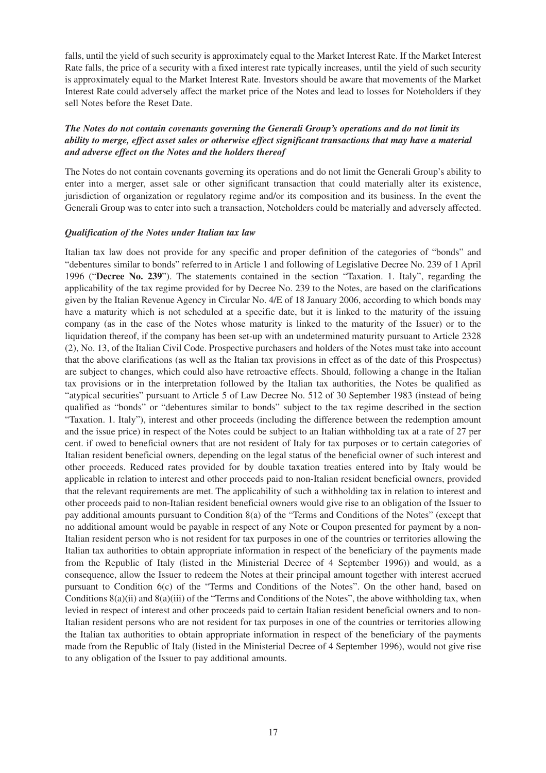falls, until the yield of such security is approximately equal to the Market Interest Rate. If the Market Interest Rate falls, the price of a security with a fixed interest rate typically increases, until the yield of such security is approximately equal to the Market Interest Rate. Investors should be aware that movements of the Market Interest Rate could adversely affect the market price of the Notes and lead to losses for Noteholders if they sell Notes before the Reset Date.

# *The Notes do not contain covenants governing the Generali Group's operations and do not limit its ability to merge, effect asset sales or otherwise effect significant transactions that may have a material and adverse effect on the Notes and the holders thereof*

The Notes do not contain covenants governing its operations and do not limit the Generali Group's ability to enter into a merger, asset sale or other significant transaction that could materially alter its existence, jurisdiction of organization or regulatory regime and/or its composition and its business. In the event the Generali Group was to enter into such a transaction, Noteholders could be materially and adversely affected.

#### *Qualification of the Notes under Italian tax law*

Italian tax law does not provide for any specific and proper definition of the categories of "bonds" and "debentures similar to bonds" referred to in Article 1 and following of Legislative Decree No. 239 of 1 April 1996 ("**Decree No. 239**"). The statements contained in the section "Taxation. 1. Italy", regarding the applicability of the tax regime provided for by Decree No. 239 to the Notes, are based on the clarifications given by the Italian Revenue Agency in Circular No. 4/E of 18 January 2006, according to which bonds may have a maturity which is not scheduled at a specific date, but it is linked to the maturity of the issuing company (as in the case of the Notes whose maturity is linked to the maturity of the Issuer) or to the liquidation thereof, if the company has been set-up with an undetermined maturity pursuant to Article 2328 (2), No. 13, of the Italian Civil Code. Prospective purchasers and holders of the Notes must take into account that the above clarifications (as well as the Italian tax provisions in effect as of the date of this Prospectus) are subject to changes, which could also have retroactive effects. Should, following a change in the Italian tax provisions or in the interpretation followed by the Italian tax authorities, the Notes be qualified as "atypical securities" pursuant to Article 5 of Law Decree No. 512 of 30 September 1983 (instead of being qualified as "bonds" or "debentures similar to bonds" subject to the tax regime described in the section "Taxation. 1. Italy"), interest and other proceeds (including the difference between the redemption amount and the issue price) in respect of the Notes could be subject to an Italian withholding tax at a rate of 27 per cent. if owed to beneficial owners that are not resident of Italy for tax purposes or to certain categories of Italian resident beneficial owners, depending on the legal status of the beneficial owner of such interest and other proceeds. Reduced rates provided for by double taxation treaties entered into by Italy would be applicable in relation to interest and other proceeds paid to non-Italian resident beneficial owners, provided that the relevant requirements are met. The applicability of such a withholding tax in relation to interest and other proceeds paid to non-Italian resident beneficial owners would give rise to an obligation of the Issuer to pay additional amounts pursuant to Condition 8(a) of the "Terms and Conditions of the Notes" (except that no additional amount would be payable in respect of any Note or Coupon presented for payment by a non-Italian resident person who is not resident for tax purposes in one of the countries or territories allowing the Italian tax authorities to obtain appropriate information in respect of the beneficiary of the payments made from the Republic of Italy (listed in the Ministerial Decree of 4 September 1996)) and would, as a consequence, allow the Issuer to redeem the Notes at their principal amount together with interest accrued pursuant to Condition 6(c) of the "Terms and Conditions of the Notes". On the other hand, based on Conditions 8(a)(ii) and 8(a)(iii) of the "Terms and Conditions of the Notes", the above withholding tax, when levied in respect of interest and other proceeds paid to certain Italian resident beneficial owners and to non-Italian resident persons who are not resident for tax purposes in one of the countries or territories allowing the Italian tax authorities to obtain appropriate information in respect of the beneficiary of the payments made from the Republic of Italy (listed in the Ministerial Decree of 4 September 1996), would not give rise to any obligation of the Issuer to pay additional amounts.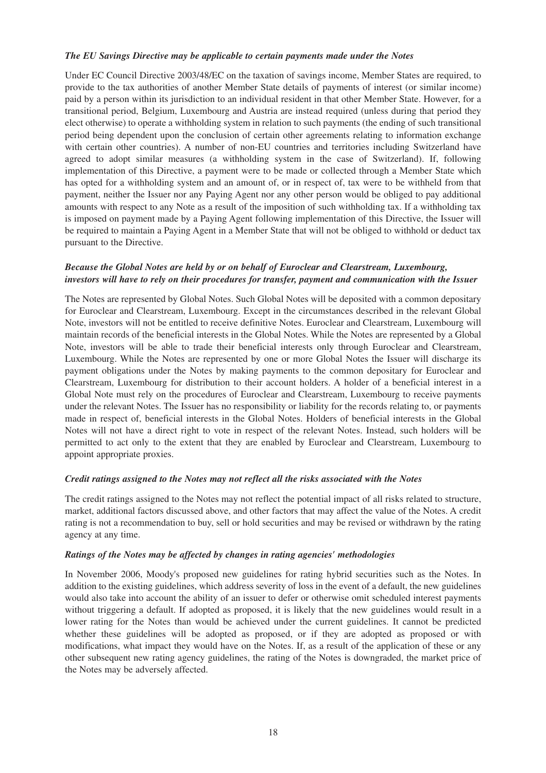#### *The EU Savings Directive may be applicable to certain payments made under the Notes*

Under EC Council Directive 2003/48/EC on the taxation of savings income, Member States are required, to provide to the tax authorities of another Member State details of payments of interest (or similar income) paid by a person within its jurisdiction to an individual resident in that other Member State. However, for a transitional period, Belgium, Luxembourg and Austria are instead required (unless during that period they elect otherwise) to operate a withholding system in relation to such payments (the ending of such transitional period being dependent upon the conclusion of certain other agreements relating to information exchange with certain other countries). A number of non-EU countries and territories including Switzerland have agreed to adopt similar measures (a withholding system in the case of Switzerland). If, following implementation of this Directive, a payment were to be made or collected through a Member State which has opted for a withholding system and an amount of, or in respect of, tax were to be withheld from that payment, neither the Issuer nor any Paying Agent nor any other person would be obliged to pay additional amounts with respect to any Note as a result of the imposition of such withholding tax. If a withholding tax is imposed on payment made by a Paying Agent following implementation of this Directive, the Issuer will be required to maintain a Paying Agent in a Member State that will not be obliged to withhold or deduct tax pursuant to the Directive.

#### *Because the Global Notes are held by or on behalf of Euroclear and Clearstream, Luxembourg, investors will have to rely on their procedures for transfer, payment and communication with the Issuer*

The Notes are represented by Global Notes. Such Global Notes will be deposited with a common depositary for Euroclear and Clearstream, Luxembourg. Except in the circumstances described in the relevant Global Note, investors will not be entitled to receive definitive Notes. Euroclear and Clearstream, Luxembourg will maintain records of the beneficial interests in the Global Notes. While the Notes are represented by a Global Note, investors will be able to trade their beneficial interests only through Euroclear and Clearstream, Luxembourg. While the Notes are represented by one or more Global Notes the Issuer will discharge its payment obligations under the Notes by making payments to the common depositary for Euroclear and Clearstream, Luxembourg for distribution to their account holders. A holder of a beneficial interest in a Global Note must rely on the procedures of Euroclear and Clearstream, Luxembourg to receive payments under the relevant Notes. The Issuer has no responsibility or liability for the records relating to, or payments made in respect of, beneficial interests in the Global Notes. Holders of beneficial interests in the Global Notes will not have a direct right to vote in respect of the relevant Notes. Instead, such holders will be permitted to act only to the extent that they are enabled by Euroclear and Clearstream, Luxembourg to appoint appropriate proxies.

#### *Credit ratings assigned to the Notes may not reflect all the risks associated with the Notes*

The credit ratings assigned to the Notes may not reflect the potential impact of all risks related to structure, market, additional factors discussed above, and other factors that may affect the value of the Notes. A credit rating is not a recommendation to buy, sell or hold securities and may be revised or withdrawn by the rating agency at any time.

#### *Ratings of the Notes may be affected by changes in rating agencies' methodologies*

In November 2006, Moody's proposed new guidelines for rating hybrid securities such as the Notes. In addition to the existing guidelines, which address severity of loss in the event of a default, the new guidelines would also take into account the ability of an issuer to defer or otherwise omit scheduled interest payments without triggering a default. If adopted as proposed, it is likely that the new guidelines would result in a lower rating for the Notes than would be achieved under the current guidelines. It cannot be predicted whether these guidelines will be adopted as proposed, or if they are adopted as proposed or with modifications, what impact they would have on the Notes. If, as a result of the application of these or any other subsequent new rating agency guidelines, the rating of the Notes is downgraded, the market price of the Notes may be adversely affected.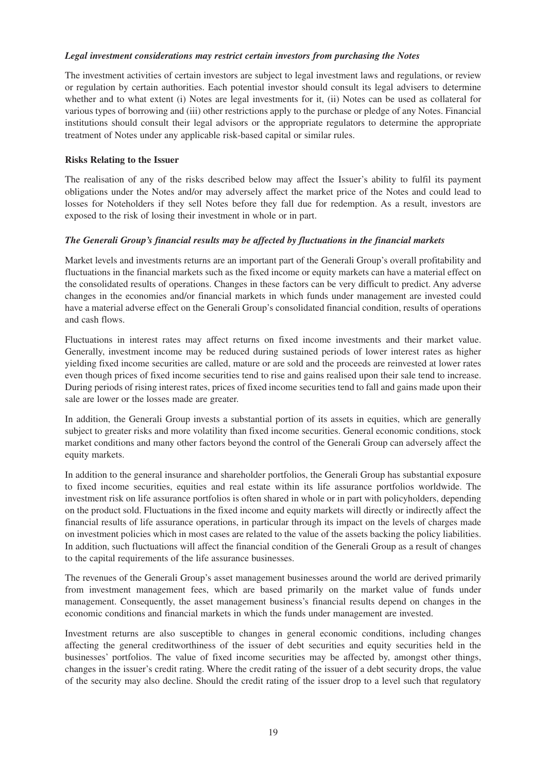#### *Legal investment considerations may restrict certain investors from purchasing the Notes*

The investment activities of certain investors are subject to legal investment laws and regulations, or review or regulation by certain authorities. Each potential investor should consult its legal advisers to determine whether and to what extent (i) Notes are legal investments for it, (ii) Notes can be used as collateral for various types of borrowing and (iii) other restrictions apply to the purchase or pledge of any Notes. Financial institutions should consult their legal advisors or the appropriate regulators to determine the appropriate treatment of Notes under any applicable risk-based capital or similar rules.

# **Risks Relating to the Issuer**

The realisation of any of the risks described below may affect the Issuer's ability to fulfil its payment obligations under the Notes and/or may adversely affect the market price of the Notes and could lead to losses for Noteholders if they sell Notes before they fall due for redemption. As a result, investors are exposed to the risk of losing their investment in whole or in part.

# *The Generali Group's financial results may be affected by fluctuations in the financial markets*

Market levels and investments returns are an important part of the Generali Group's overall profitability and fluctuations in the financial markets such as the fixed income or equity markets can have a material effect on the consolidated results of operations. Changes in these factors can be very difficult to predict. Any adverse changes in the economies and/or financial markets in which funds under management are invested could have a material adverse effect on the Generali Group's consolidated financial condition, results of operations and cash flows.

Fluctuations in interest rates may affect returns on fixed income investments and their market value. Generally, investment income may be reduced during sustained periods of lower interest rates as higher yielding fixed income securities are called, mature or are sold and the proceeds are reinvested at lower rates even though prices of fixed income securities tend to rise and gains realised upon their sale tend to increase. During periods of rising interest rates, prices of fixed income securities tend to fall and gains made upon their sale are lower or the losses made are greater.

In addition, the Generali Group invests a substantial portion of its assets in equities, which are generally subject to greater risks and more volatility than fixed income securities. General economic conditions, stock market conditions and many other factors beyond the control of the Generali Group can adversely affect the equity markets.

In addition to the general insurance and shareholder portfolios, the Generali Group has substantial exposure to fixed income securities, equities and real estate within its life assurance portfolios worldwide. The investment risk on life assurance portfolios is often shared in whole or in part with policyholders, depending on the product sold. Fluctuations in the fixed income and equity markets will directly or indirectly affect the financial results of life assurance operations, in particular through its impact on the levels of charges made on investment policies which in most cases are related to the value of the assets backing the policy liabilities. In addition, such fluctuations will affect the financial condition of the Generali Group as a result of changes to the capital requirements of the life assurance businesses.

The revenues of the Generali Group's asset management businesses around the world are derived primarily from investment management fees, which are based primarily on the market value of funds under management. Consequently, the asset management business's financial results depend on changes in the economic conditions and financial markets in which the funds under management are invested.

Investment returns are also susceptible to changes in general economic conditions, including changes affecting the general creditworthiness of the issuer of debt securities and equity securities held in the businesses' portfolios. The value of fixed income securities may be affected by, amongst other things, changes in the issuer's credit rating. Where the credit rating of the issuer of a debt security drops, the value of the security may also decline. Should the credit rating of the issuer drop to a level such that regulatory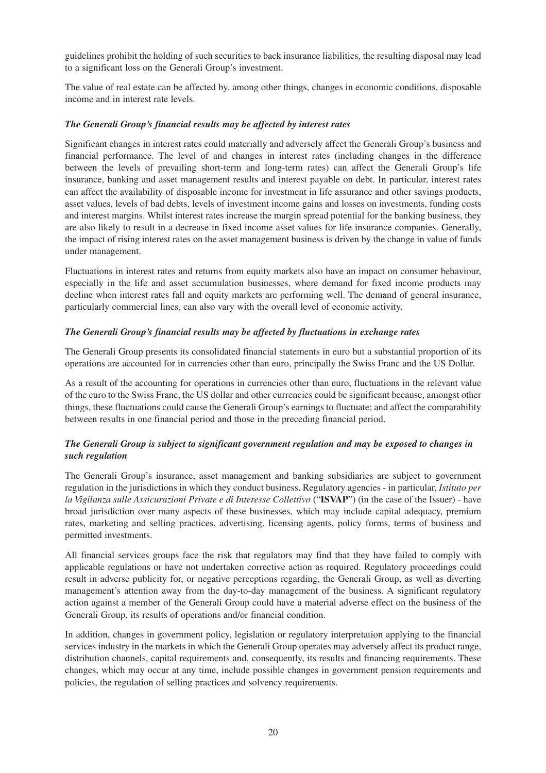guidelines prohibit the holding of such securities to back insurance liabilities, the resulting disposal may lead to a significant loss on the Generali Group's investment.

The value of real estate can be affected by, among other things, changes in economic conditions, disposable income and in interest rate levels.

## *The Generali Group's financial results may be affected by interest rates*

Significant changes in interest rates could materially and adversely affect the Generali Group's business and financial performance. The level of and changes in interest rates (including changes in the difference between the levels of prevailing short-term and long-term rates) can affect the Generali Group's life insurance, banking and asset management results and interest payable on debt. In particular, interest rates can affect the availability of disposable income for investment in life assurance and other savings products, asset values, levels of bad debts, levels of investment income gains and losses on investments, funding costs and interest margins. Whilst interest rates increase the margin spread potential for the banking business, they are also likely to result in a decrease in fixed income asset values for life insurance companies. Generally, the impact of rising interest rates on the asset management business is driven by the change in value of funds under management.

Fluctuations in interest rates and returns from equity markets also have an impact on consumer behaviour, especially in the life and asset accumulation businesses, where demand for fixed income products may decline when interest rates fall and equity markets are performing well. The demand of general insurance, particularly commercial lines, can also vary with the overall level of economic activity.

# *The Generali Group's financial results may be affected by fluctuations in exchange rates*

The Generali Group presents its consolidated financial statements in euro but a substantial proportion of its operations are accounted for in currencies other than euro, principally the Swiss Franc and the US Dollar.

As a result of the accounting for operations in currencies other than euro, fluctuations in the relevant value of the euro to the Swiss Franc, the US dollar and other currencies could be significant because, amongst other things, these fluctuations could cause the Generali Group's earnings to fluctuate; and affect the comparability between results in one financial period and those in the preceding financial period.

# *The Generali Group is subject to significant government regulation and may be exposed to changes in such regulation*

The Generali Group's insurance, asset management and banking subsidiaries are subject to government regulation in the jurisdictions in which they conduct business. Regulatory agencies - in particular, *Istituto per la Vigilanza sulle Assicurazioni Private e di Interesse Collettivo* ("**ISVAP**") (in the case of the Issuer) - have broad jurisdiction over many aspects of these businesses, which may include capital adequacy, premium rates, marketing and selling practices, advertising, licensing agents, policy forms, terms of business and permitted investments.

All financial services groups face the risk that regulators may find that they have failed to comply with applicable regulations or have not undertaken corrective action as required. Regulatory proceedings could result in adverse publicity for, or negative perceptions regarding, the Generali Group, as well as diverting management's attention away from the day-to-day management of the business. A significant regulatory action against a member of the Generali Group could have a material adverse effect on the business of the Generali Group, its results of operations and/or financial condition.

In addition, changes in government policy, legislation or regulatory interpretation applying to the financial services industry in the markets in which the Generali Group operates may adversely affect its product range, distribution channels, capital requirements and, consequently, its results and financing requirements. These changes, which may occur at any time, include possible changes in government pension requirements and policies, the regulation of selling practices and solvency requirements.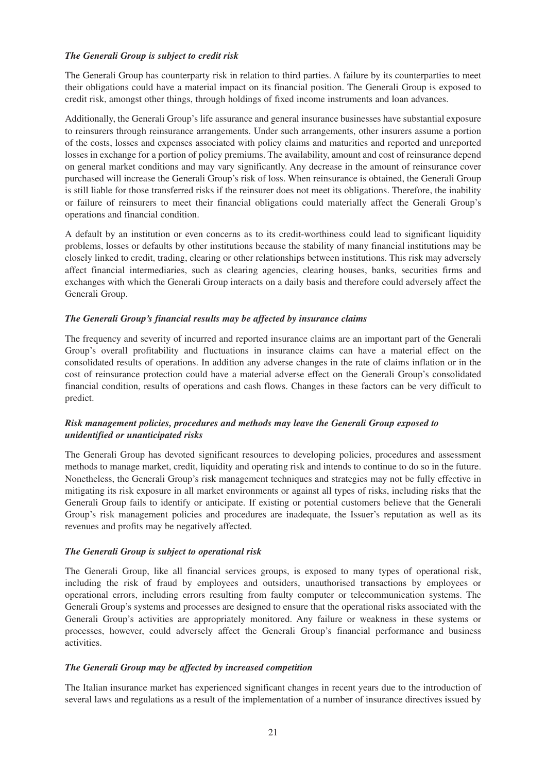#### *The Generali Group is subject to credit risk*

The Generali Group has counterparty risk in relation to third parties. A failure by its counterparties to meet their obligations could have a material impact on its financial position. The Generali Group is exposed to credit risk, amongst other things, through holdings of fixed income instruments and loan advances.

Additionally, the Generali Group's life assurance and general insurance businesses have substantial exposure to reinsurers through reinsurance arrangements. Under such arrangements, other insurers assume a portion of the costs, losses and expenses associated with policy claims and maturities and reported and unreported losses in exchange for a portion of policy premiums. The availability, amount and cost of reinsurance depend on general market conditions and may vary significantly. Any decrease in the amount of reinsurance cover purchased will increase the Generali Group's risk of loss. When reinsurance is obtained, the Generali Group is still liable for those transferred risks if the reinsurer does not meet its obligations. Therefore, the inability or failure of reinsurers to meet their financial obligations could materially affect the Generali Group's operations and financial condition.

A default by an institution or even concerns as to its credit-worthiness could lead to significant liquidity problems, losses or defaults by other institutions because the stability of many financial institutions may be closely linked to credit, trading, clearing or other relationships between institutions. This risk may adversely affect financial intermediaries, such as clearing agencies, clearing houses, banks, securities firms and exchanges with which the Generali Group interacts on a daily basis and therefore could adversely affect the Generali Group.

## *The Generali Group's financial results may be affected by insurance claims*

The frequency and severity of incurred and reported insurance claims are an important part of the Generali Group's overall profitability and fluctuations in insurance claims can have a material effect on the consolidated results of operations. In addition any adverse changes in the rate of claims inflation or in the cost of reinsurance protection could have a material adverse effect on the Generali Group's consolidated financial condition, results of operations and cash flows. Changes in these factors can be very difficult to predict.

# *Risk management policies, procedures and methods may leave the Generali Group exposed to unidentified or unanticipated risks*

The Generali Group has devoted significant resources to developing policies, procedures and assessment methods to manage market, credit, liquidity and operating risk and intends to continue to do so in the future. Nonetheless, the Generali Group's risk management techniques and strategies may not be fully effective in mitigating its risk exposure in all market environments or against all types of risks, including risks that the Generali Group fails to identify or anticipate. If existing or potential customers believe that the Generali Group's risk management policies and procedures are inadequate, the Issuer's reputation as well as its revenues and profits may be negatively affected.

#### *The Generali Group is subject to operational risk*

The Generali Group, like all financial services groups, is exposed to many types of operational risk, including the risk of fraud by employees and outsiders, unauthorised transactions by employees or operational errors, including errors resulting from faulty computer or telecommunication systems. The Generali Group's systems and processes are designed to ensure that the operational risks associated with the Generali Group's activities are appropriately monitored. Any failure or weakness in these systems or processes, however, could adversely affect the Generali Group's financial performance and business activities.

## *The Generali Group may be affected by increased competition*

The Italian insurance market has experienced significant changes in recent years due to the introduction of several laws and regulations as a result of the implementation of a number of insurance directives issued by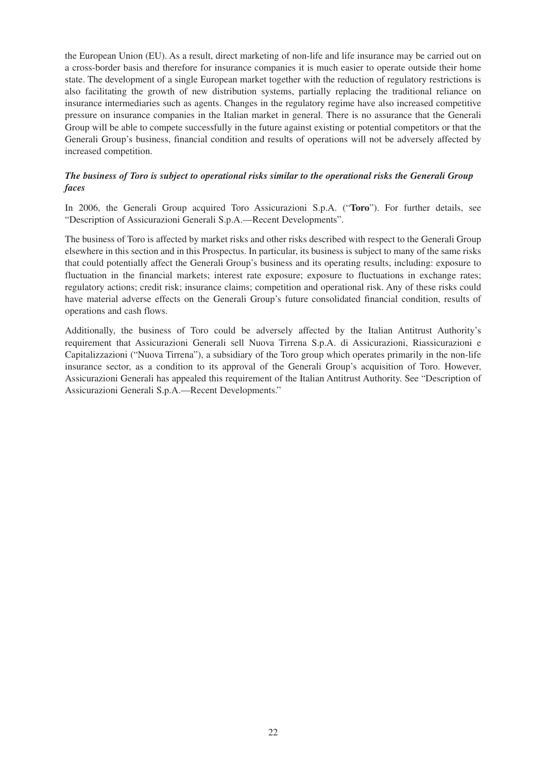the European Union (EU). As a result, direct marketing of non-life and life insurance may be carried out on a cross-border basis and therefore for insurance companies it is much easier to operate outside their home state. The development of a single European market together with the reduction of regulatory restrictions is also facilitating the growth of new distribution systems, partially replacing the traditional reliance on insurance intermediaries such as agents. Changes in the regulatory regime have also increased competitive pressure on insurance companies in the Italian market in general. There is no assurance that the Generali Group will be able to compete successfully in the future against existing or potential competitors or that the Generali Group's business, financial condition and results of operations will not be adversely affected by increased competition.

# *The business of Toro is subject to operational risks similar to the operational risks the Generali Group faces*

In 2006, the Generali Group acquired Toro Assicurazioni S.p.A. ("**Toro**"). For further details, see "Description of Assicurazioni Generali S.p.A.—Recent Developments".

The business of Toro is affected by market risks and other risks described with respect to the Generali Group elsewhere in this section and in this Prospectus. In particular, its business is subject to many of the same risks that could potentially affect the Generali Group's business and its operating results, including: exposure to fluctuation in the financial markets; interest rate exposure; exposure to fluctuations in exchange rates; regulatory actions; credit risk; insurance claims; competition and operational risk. Any of these risks could have material adverse effects on the Generali Group's future consolidated financial condition, results of operations and cash flows.

Additionally, the business of Toro could be adversely affected by the Italian Antitrust Authority's requirement that Assicurazioni Generali sell Nuova Tirrena S.p.A. di Assicurazioni, Riassicurazioni e Capitalizzazioni ("Nuova Tirrena"), a subsidiary of the Toro group which operates primarily in the non-life insurance sector, as a condition to its approval of the Generali Group's acquisition of Toro. However, Assicurazioni Generali has appealed this requirement of the Italian Antitrust Authority. See "Description of Assicurazioni Generali S.p.A.—Recent Developments."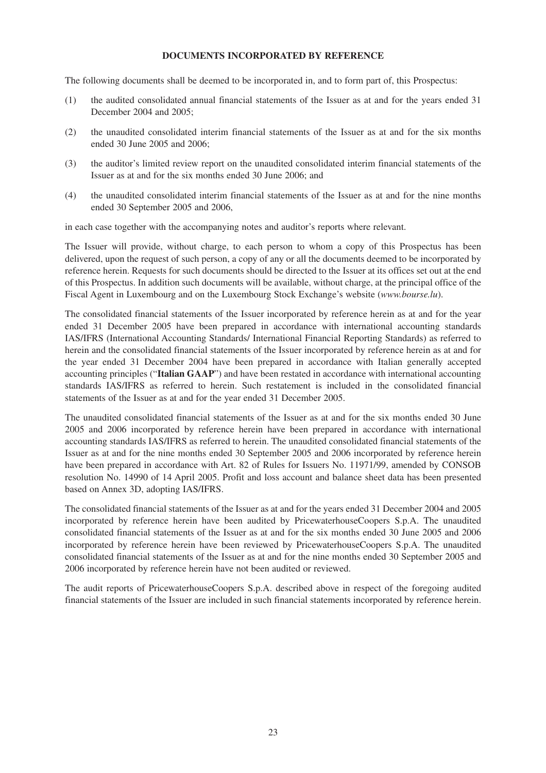# **DOCUMENTS INCORPORATED BY REFERENCE**

The following documents shall be deemed to be incorporated in, and to form part of, this Prospectus:

- (1) the audited consolidated annual financial statements of the Issuer as at and for the years ended 31 December 2004 and 2005;
- (2) the unaudited consolidated interim financial statements of the Issuer as at and for the six months ended 30 June 2005 and 2006;
- (3) the auditor's limited review report on the unaudited consolidated interim financial statements of the Issuer as at and for the six months ended 30 June 2006; and
- (4) the unaudited consolidated interim financial statements of the Issuer as at and for the nine months ended 30 September 2005 and 2006,

in each case together with the accompanying notes and auditor's reports where relevant.

The Issuer will provide, without charge, to each person to whom a copy of this Prospectus has been delivered, upon the request of such person, a copy of any or all the documents deemed to be incorporated by reference herein. Requests for such documents should be directed to the Issuer at its offices set out at the end of this Prospectus. In addition such documents will be available, without charge, at the principal office of the Fiscal Agent in Luxembourg and on the Luxembourg Stock Exchange's website (*www.bourse.lu*).

The consolidated financial statements of the Issuer incorporated by reference herein as at and for the year ended 31 December 2005 have been prepared in accordance with international accounting standards IAS/IFRS (International Accounting Standards/ International Financial Reporting Standards) as referred to herein and the consolidated financial statements of the Issuer incorporated by reference herein as at and for the year ended 31 December 2004 have been prepared in accordance with Italian generally accepted accounting principles ("**Italian GAAP**") and have been restated in accordance with international accounting standards IAS/IFRS as referred to herein. Such restatement is included in the consolidated financial statements of the Issuer as at and for the year ended 31 December 2005.

The unaudited consolidated financial statements of the Issuer as at and for the six months ended 30 June 2005 and 2006 incorporated by reference herein have been prepared in accordance with international accounting standards IAS/IFRS as referred to herein. The unaudited consolidated financial statements of the Issuer as at and for the nine months ended 30 September 2005 and 2006 incorporated by reference herein have been prepared in accordance with Art. 82 of Rules for Issuers No. 11971/99, amended by CONSOB resolution No. 14990 of 14 April 2005. Profit and loss account and balance sheet data has been presented based on Annex 3D, adopting IAS/IFRS.

The consolidated financial statements of the Issuer as at and for the years ended 31 December 2004 and 2005 incorporated by reference herein have been audited by PricewaterhouseCoopers S.p.A. The unaudited consolidated financial statements of the Issuer as at and for the six months ended 30 June 2005 and 2006 incorporated by reference herein have been reviewed by PricewaterhouseCoopers S.p.A. The unaudited consolidated financial statements of the Issuer as at and for the nine months ended 30 September 2005 and 2006 incorporated by reference herein have not been audited or reviewed.

The audit reports of PricewaterhouseCoopers S.p.A. described above in respect of the foregoing audited financial statements of the Issuer are included in such financial statements incorporated by reference herein.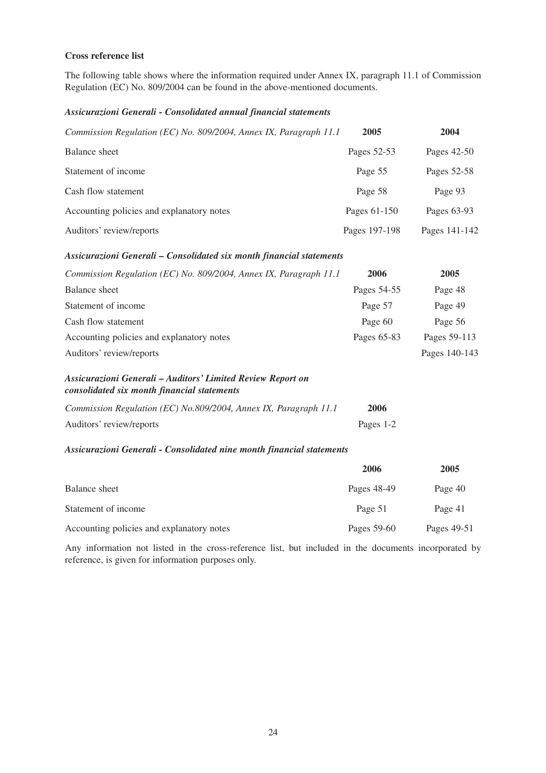# **Cross reference list**

The following table shows where the information required under Annex IX, paragraph 11.1 of Commission Regulation (EC) No. 809/2004 can be found in the above-mentioned documents.

#### *Assicurazioni Generali - Consolidated annual financial statements*

| Commission Regulation (EC) No. 809/2004, Annex IX, Paragraph 11.1 | 2005          | 2004          |
|-------------------------------------------------------------------|---------------|---------------|
| Balance sheet                                                     | Pages 52-53   | Pages 42-50   |
| Statement of income                                               | Page 55       | Pages 52-58   |
| Cash flow statement                                               | Page 58       | Page 93       |
| Accounting policies and explanatory notes                         | Pages 61-150  | Pages 63-93   |
| Auditors' review/reports                                          | Pages 197-198 | Pages 141-142 |

#### *Assicurazioni Generali – Consolidated six month financial statements*

| Commission Regulation (EC) No. 809/2004, Annex IX, Paragraph 11.1 | 2006        | 2005          |
|-------------------------------------------------------------------|-------------|---------------|
| Balance sheet                                                     | Pages 54-55 | Page 48       |
| Statement of income                                               | Page 57     | Page 49       |
| Cash flow statement                                               | Page 60     | Page 56       |
| Accounting policies and explanatory notes                         | Pages 65-83 | Pages 59-113  |
| Auditors' review/reports                                          |             | Pages 140-143 |

## *Assicurazioni Generali – Auditors' Limited Review Report on consolidated six month financial statements*

| Commission Regulation (EC) No.809/2004, Annex IX, Paragraph 11.1 | 2006      |
|------------------------------------------------------------------|-----------|
| Auditors' review/reports                                         | Pages 1-2 |

#### *Assicurazioni Generali - Consolidated nine month financial statements*

|                                           | 2006        | 2005        |
|-------------------------------------------|-------------|-------------|
| Balance sheet                             | Pages 48-49 | Page 40     |
| Statement of income                       | Page 51     | Page 41     |
| Accounting policies and explanatory notes | Pages 59-60 | Pages 49-51 |

Any information not listed in the cross-reference list, but included in the documents incorporated by reference, is given for information purposes only.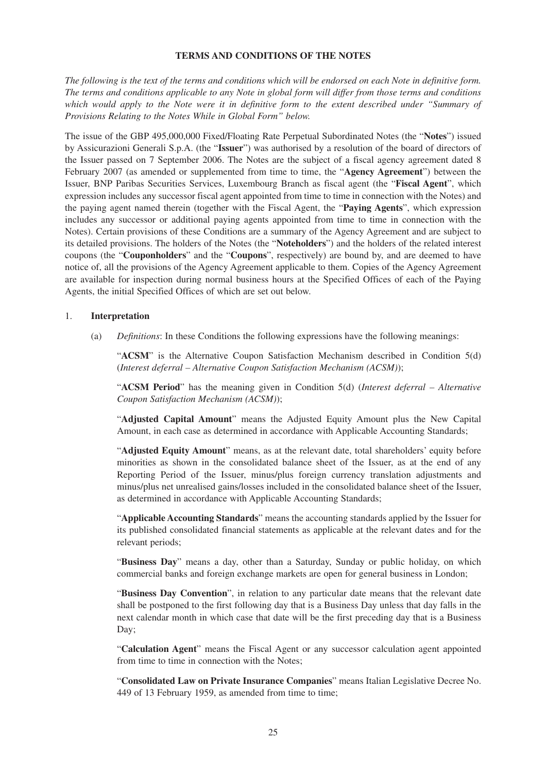#### **TERMS AND CONDITIONS OF THE NOTES**

*The following is the text of the terms and conditions which will be endorsed on each Note in definitive form. The terms and conditions applicable to any Note in global form will differ from those terms and conditions which would apply to the Note were it in definitive form to the extent described under "Summary of Provisions Relating to the Notes While in Global Form" below.*

The issue of the GBP 495,000,000 Fixed/Floating Rate Perpetual Subordinated Notes (the "**Notes**") issued by Assicurazioni Generali S.p.A. (the "**Issuer**") was authorised by a resolution of the board of directors of the Issuer passed on 7 September 2006. The Notes are the subject of a fiscal agency agreement dated 8 February 2007 (as amended or supplemented from time to time, the "**Agency Agreement**") between the Issuer, BNP Paribas Securities Services, Luxembourg Branch as fiscal agent (the "**Fiscal Agent**", which expression includes any successor fiscal agent appointed from time to time in connection with the Notes) and the paying agent named therein (together with the Fiscal Agent, the "**Paying Agents**", which expression includes any successor or additional paying agents appointed from time to time in connection with the Notes). Certain provisions of these Conditions are a summary of the Agency Agreement and are subject to its detailed provisions. The holders of the Notes (the "**Noteholders**") and the holders of the related interest coupons (the "**Couponholders**" and the "**Coupons**", respectively) are bound by, and are deemed to have notice of, all the provisions of the Agency Agreement applicable to them. Copies of the Agency Agreement are available for inspection during normal business hours at the Specified Offices of each of the Paying Agents, the initial Specified Offices of which are set out below.

#### 1. **Interpretation**

(a) *Definitions*: In these Conditions the following expressions have the following meanings:

"**ACSM**" is the Alternative Coupon Satisfaction Mechanism described in Condition 5(d) (*Interest deferral – Alternative Coupon Satisfaction Mechanism (ACSM)*);

"**ACSM Period**" has the meaning given in Condition 5(d) (*Interest deferral – Alternative Coupon Satisfaction Mechanism (ACSM)*);

"**Adjusted Capital Amount**" means the Adjusted Equity Amount plus the New Capital Amount, in each case as determined in accordance with Applicable Accounting Standards;

"**Adjusted Equity Amount**" means, as at the relevant date, total shareholders' equity before minorities as shown in the consolidated balance sheet of the Issuer, as at the end of any Reporting Period of the Issuer, minus/plus foreign currency translation adjustments and minus/plus net unrealised gains/losses included in the consolidated balance sheet of the Issuer, as determined in accordance with Applicable Accounting Standards;

"**Applicable Accounting Standards**" means the accounting standards applied by the Issuer for its published consolidated financial statements as applicable at the relevant dates and for the relevant periods;

"**Business Day**" means a day, other than a Saturday, Sunday or public holiday, on which commercial banks and foreign exchange markets are open for general business in London;

"**Business Day Convention**", in relation to any particular date means that the relevant date shall be postponed to the first following day that is a Business Day unless that day falls in the next calendar month in which case that date will be the first preceding day that is a Business Day;

"**Calculation Agent**" means the Fiscal Agent or any successor calculation agent appointed from time to time in connection with the Notes;

"**Consolidated Law on Private Insurance Companies**" means Italian Legislative Decree No. 449 of 13 February 1959, as amended from time to time;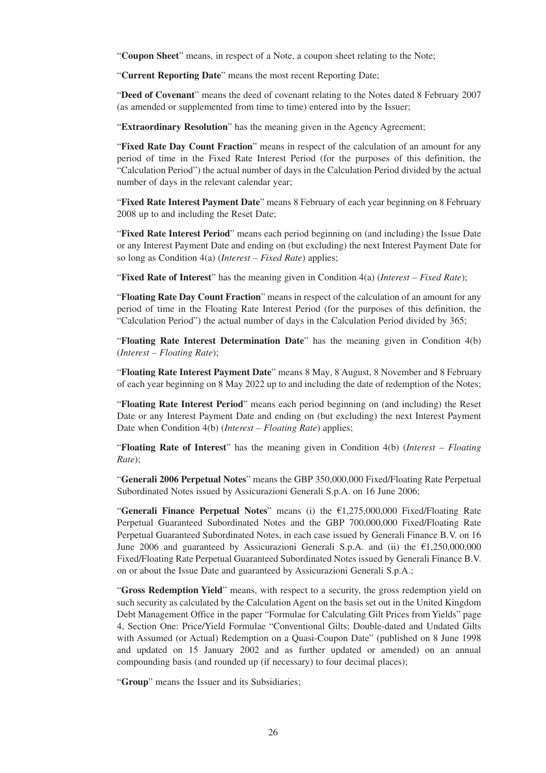"**Coupon Sheet**" means, in respect of a Note, a coupon sheet relating to the Note;

"**Current Reporting Date**" means the most recent Reporting Date;

"**Deed of Covenant**" means the deed of covenant relating to the Notes dated 8 February 2007 (as amended or supplemented from time to time) entered into by the Issuer;

"**Extraordinary Resolution**" has the meaning given in the Agency Agreement;

"**Fixed Rate Day Count Fraction**" means in respect of the calculation of an amount for any period of time in the Fixed Rate Interest Period (for the purposes of this definition, the "Calculation Period") the actual number of days in the Calculation Period divided by the actual number of days in the relevant calendar year;

"**Fixed Rate Interest Payment Date**" means 8 February of each year beginning on 8 February 2008 up to and including the Reset Date;

"**Fixed Rate Interest Period**" means each period beginning on (and including) the Issue Date or any Interest Payment Date and ending on (but excluding) the next Interest Payment Date for so long as Condition 4(a) (*Interest – Fixed Rate*) applies;

"**Fixed Rate of Interest**" has the meaning given in Condition 4(a) (*Interest – Fixed Rate*);

"**Floating Rate Day Count Fraction**" means in respect of the calculation of an amount for any period of time in the Floating Rate Interest Period (for the purposes of this definition, the "Calculation Period") the actual number of days in the Calculation Period divided by 365;

"**Floating Rate Interest Determination Date**" has the meaning given in Condition 4(b) (*Interest – Floating Rate*);

"**Floating Rate Interest Payment Date**" means 8 May, 8 August, 8 November and 8 February of each year beginning on 8 May 2022 up to and including the date of redemption of the Notes;

"**Floating Rate Interest Period**" means each period beginning on (and including) the Reset Date or any Interest Payment Date and ending on (but excluding) the next Interest Payment Date when Condition 4(b) (*Interest – Floating Rate*) applies;

"**Floating Rate of Interest**" has the meaning given in Condition 4(b) (*Interest – Floating Rate*);

"**Generali 2006 Perpetual Notes**" means the GBP 350,000,000 Fixed/Floating Rate Perpetual Subordinated Notes issued by Assicurazioni Generali S.p.A. on 16 June 2006;

"**Generali Finance Perpetual Notes**" means (i) the €1,275,000,000 Fixed/Floating Rate Perpetual Guaranteed Subordinated Notes and the GBP 700,000,000 Fixed/Floating Rate Perpetual Guaranteed Subordinated Notes, in each case issued by Generali Finance B.V. on 16 June 2006 and guaranteed by Assicurazioni Generali S.p.A. and (ii) the  $\epsilon$ 1,250,000,000 Fixed/Floating Rate Perpetual Guaranteed Subordinated Notes issued by Generali Finance B.V. on or about the Issue Date and guaranteed by Assicurazioni Generali S.p.A.;

"**Gross Redemption Yield**" means, with respect to a security, the gross redemption yield on such security as calculated by the Calculation Agent on the basis set out in the United Kingdom Debt Management Office in the paper "Formulae for Calculating Gilt Prices from Yields" page 4, Section One: Price/Yield Formulae "Conventional Gilts; Double-dated and Undated Gilts with Assumed (or Actual) Redemption on a Quasi-Coupon Date" (published on 8 June 1998 and updated on 15 January 2002 and as further updated or amended) on an annual compounding basis (and rounded up (if necessary) to four decimal places);

"**Group**" means the Issuer and its Subsidiaries;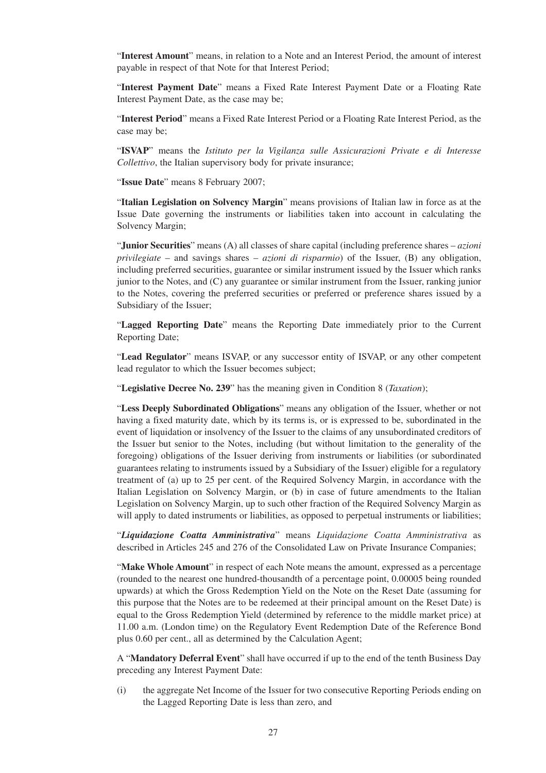"**Interest Amount**" means, in relation to a Note and an Interest Period, the amount of interest payable in respect of that Note for that Interest Period;

"**Interest Payment Date**" means a Fixed Rate Interest Payment Date or a Floating Rate Interest Payment Date, as the case may be;

"**Interest Period**" means a Fixed Rate Interest Period or a Floating Rate Interest Period, as the case may be;

"**ISVAP**" means the *Istituto per la Vigilanza sulle Assicurazioni Private e di Interesse Collettivo*, the Italian supervisory body for private insurance;

"**Issue Date**" means 8 February 2007;

"**Italian Legislation on Solvency Margin**" means provisions of Italian law in force as at the Issue Date governing the instruments or liabilities taken into account in calculating the Solvency Margin;

"**Junior Securities**" means (A) all classes of share capital (including preference shares – *azioni privilegiate* – and savings shares – *azioni di risparmio*) of the Issuer, (B) any obligation, including preferred securities, guarantee or similar instrument issued by the Issuer which ranks junior to the Notes, and (C) any guarantee or similar instrument from the Issuer, ranking junior to the Notes, covering the preferred securities or preferred or preference shares issued by a Subsidiary of the Issuer;

"**Lagged Reporting Date**" means the Reporting Date immediately prior to the Current Reporting Date;

"**Lead Regulator**" means ISVAP, or any successor entity of ISVAP, or any other competent lead regulator to which the Issuer becomes subject;

"**Legislative Decree No. 239**" has the meaning given in Condition 8 (*Taxation*);

"**Less Deeply Subordinated Obligations**" means any obligation of the Issuer, whether or not having a fixed maturity date, which by its terms is, or is expressed to be, subordinated in the event of liquidation or insolvency of the Issuer to the claims of any unsubordinated creditors of the Issuer but senior to the Notes, including (but without limitation to the generality of the foregoing) obligations of the Issuer deriving from instruments or liabilities (or subordinated guarantees relating to instruments issued by a Subsidiary of the Issuer) eligible for a regulatory treatment of (a) up to 25 per cent. of the Required Solvency Margin, in accordance with the Italian Legislation on Solvency Margin, or (b) in case of future amendments to the Italian Legislation on Solvency Margin, up to such other fraction of the Required Solvency Margin as will apply to dated instruments or liabilities, as opposed to perpetual instruments or liabilities;

"*Liquidazione Coatta Amministrativa*" means *Liquidazione Coatta Amministrativa* as described in Articles 245 and 276 of the Consolidated Law on Private Insurance Companies;

"**Make Whole Amount**" in respect of each Note means the amount, expressed as a percentage (rounded to the nearest one hundred-thousandth of a percentage point, 0.00005 being rounded upwards) at which the Gross Redemption Yield on the Note on the Reset Date (assuming for this purpose that the Notes are to be redeemed at their principal amount on the Reset Date) is equal to the Gross Redemption Yield (determined by reference to the middle market price) at 11.00 a.m. (London time) on the Regulatory Event Redemption Date of the Reference Bond plus 0.60 per cent., all as determined by the Calculation Agent;

A "**Mandatory Deferral Event**" shall have occurred if up to the end of the tenth Business Day preceding any Interest Payment Date:

(i) the aggregate Net Income of the Issuer for two consecutive Reporting Periods ending on the Lagged Reporting Date is less than zero, and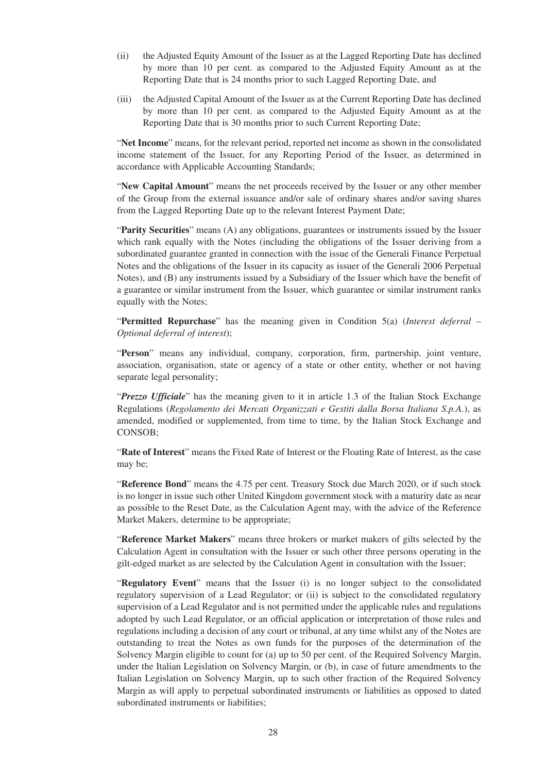- (ii) the Adjusted Equity Amount of the Issuer as at the Lagged Reporting Date has declined by more than 10 per cent. as compared to the Adjusted Equity Amount as at the Reporting Date that is 24 months prior to such Lagged Reporting Date, and
- (iii) the Adjusted Capital Amount of the Issuer as at the Current Reporting Date has declined by more than 10 per cent. as compared to the Adjusted Equity Amount as at the Reporting Date that is 30 months prior to such Current Reporting Date;

"**Net Income**" means, for the relevant period, reported net income as shown in the consolidated income statement of the Issuer, for any Reporting Period of the Issuer, as determined in accordance with Applicable Accounting Standards;

"**New Capital Amount**" means the net proceeds received by the Issuer or any other member of the Group from the external issuance and/or sale of ordinary shares and/or saving shares from the Lagged Reporting Date up to the relevant Interest Payment Date;

"**Parity Securities**" means (A) any obligations, guarantees or instruments issued by the Issuer which rank equally with the Notes (including the obligations of the Issuer deriving from a subordinated guarantee granted in connection with the issue of the Generali Finance Perpetual Notes and the obligations of the Issuer in its capacity as issuer of the Generali 2006 Perpetual Notes), and (B) any instruments issued by a Subsidiary of the Issuer which have the benefit of a guarantee or similar instrument from the Issuer, which guarantee or similar instrument ranks equally with the Notes;

"**Permitted Repurchase**" has the meaning given in Condition 5(a) (*Interest deferral – Optional deferral of interest*);

"**Person**" means any individual, company, corporation, firm, partnership, joint venture, association, organisation, state or agency of a state or other entity, whether or not having separate legal personality;

"*Prezzo Ufficiale*" has the meaning given to it in article 1.3 of the Italian Stock Exchange Regulations (*Regolamento dei Mercati Organizzati e Gestiti dalla Borsa Italiana S.p.A.*), as amended, modified or supplemented, from time to time, by the Italian Stock Exchange and CONSOB;

"**Rate of Interest**" means the Fixed Rate of Interest or the Floating Rate of Interest, as the case may be;

"**Reference Bond**" means the 4.75 per cent. Treasury Stock due March 2020, or if such stock is no longer in issue such other United Kingdom government stock with a maturity date as near as possible to the Reset Date, as the Calculation Agent may, with the advice of the Reference Market Makers, determine to be appropriate;

"**Reference Market Makers**" means three brokers or market makers of gilts selected by the Calculation Agent in consultation with the Issuer or such other three persons operating in the gilt-edged market as are selected by the Calculation Agent in consultation with the Issuer;

"**Regulatory Event**" means that the Issuer (i) is no longer subject to the consolidated regulatory supervision of a Lead Regulator; or (ii) is subject to the consolidated regulatory supervision of a Lead Regulator and is not permitted under the applicable rules and regulations adopted by such Lead Regulator, or an official application or interpretation of those rules and regulations including a decision of any court or tribunal, at any time whilst any of the Notes are outstanding to treat the Notes as own funds for the purposes of the determination of the Solvency Margin eligible to count for (a) up to 50 per cent. of the Required Solvency Margin, under the Italian Legislation on Solvency Margin, or (b), in case of future amendments to the Italian Legislation on Solvency Margin, up to such other fraction of the Required Solvency Margin as will apply to perpetual subordinated instruments or liabilities as opposed to dated subordinated instruments or liabilities;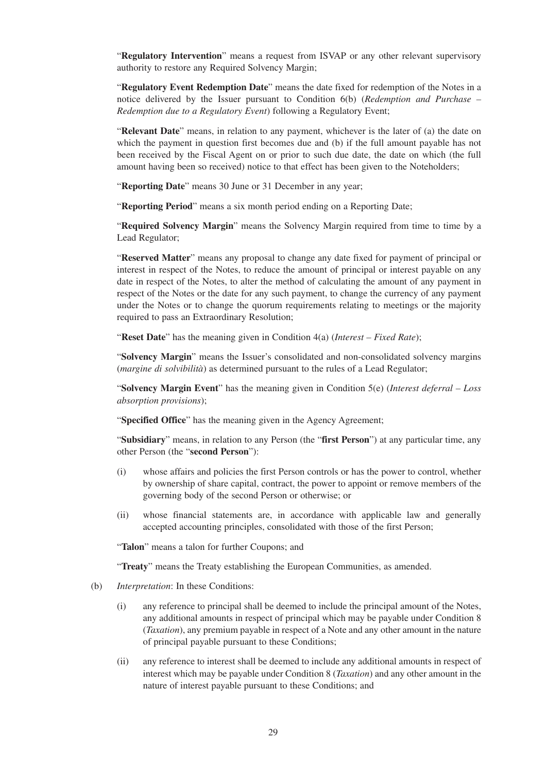"**Regulatory Intervention**" means a request from ISVAP or any other relevant supervisory authority to restore any Required Solvency Margin;

"**Regulatory Event Redemption Date**" means the date fixed for redemption of the Notes in a notice delivered by the Issuer pursuant to Condition 6(b) (*Redemption and Purchase – Redemption due to a Regulatory Event*) following a Regulatory Event;

"**Relevant Date**" means, in relation to any payment, whichever is the later of (a) the date on which the payment in question first becomes due and (b) if the full amount payable has not been received by the Fiscal Agent on or prior to such due date, the date on which (the full amount having been so received) notice to that effect has been given to the Noteholders;

"**Reporting Date**" means 30 June or 31 December in any year;

"**Reporting Period**" means a six month period ending on a Reporting Date;

"**Required Solvency Margin**" means the Solvency Margin required from time to time by a Lead Regulator;

"**Reserved Matter**" means any proposal to change any date fixed for payment of principal or interest in respect of the Notes, to reduce the amount of principal or interest payable on any date in respect of the Notes, to alter the method of calculating the amount of any payment in respect of the Notes or the date for any such payment, to change the currency of any payment under the Notes or to change the quorum requirements relating to meetings or the majority required to pass an Extraordinary Resolution;

"**Reset Date**" has the meaning given in Condition 4(a) (*Interest – Fixed Rate*);

"**Solvency Margin**" means the Issuer's consolidated and non-consolidated solvency margins (*margine di solvibilità*) as determined pursuant to the rules of a Lead Regulator;

"**Solvency Margin Event**" has the meaning given in Condition 5(e) (*Interest deferral – Loss absorption provisions*);

"**Specified Office**" has the meaning given in the Agency Agreement;

"**Subsidiary**" means, in relation to any Person (the "**first Person**") at any particular time, any other Person (the "**second Person**"):

- (i) whose affairs and policies the first Person controls or has the power to control, whether by ownership of share capital, contract, the power to appoint or remove members of the governing body of the second Person or otherwise; or
- (ii) whose financial statements are, in accordance with applicable law and generally accepted accounting principles, consolidated with those of the first Person;

"**Talon**" means a talon for further Coupons; and

"**Treaty**" means the Treaty establishing the European Communities, as amended.

- (b) *Interpretation*: In these Conditions:
	- (i) any reference to principal shall be deemed to include the principal amount of the Notes, any additional amounts in respect of principal which may be payable under Condition 8 (*Taxation*), any premium payable in respect of a Note and any other amount in the nature of principal payable pursuant to these Conditions;
	- (ii) any reference to interest shall be deemed to include any additional amounts in respect of interest which may be payable under Condition 8 (*Taxation*) and any other amount in the nature of interest payable pursuant to these Conditions; and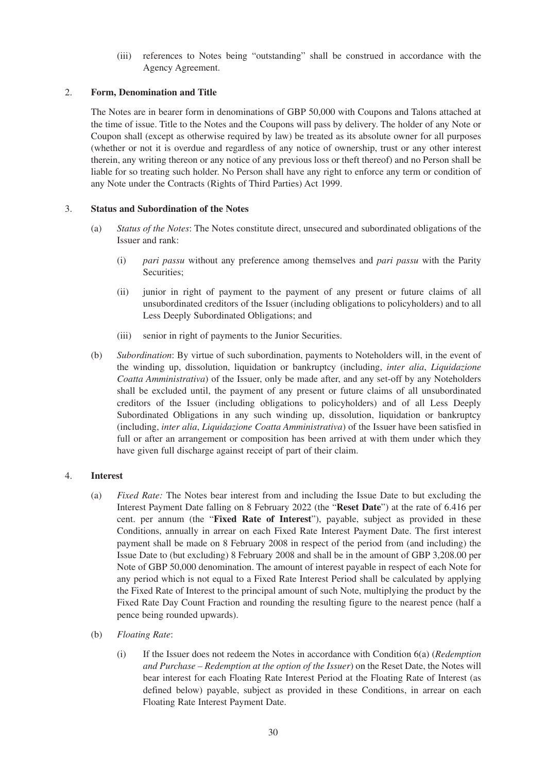(iii) references to Notes being "outstanding" shall be construed in accordance with the Agency Agreement.

#### 2. **Form, Denomination and Title**

The Notes are in bearer form in denominations of GBP 50,000 with Coupons and Talons attached at the time of issue. Title to the Notes and the Coupons will pass by delivery. The holder of any Note or Coupon shall (except as otherwise required by law) be treated as its absolute owner for all purposes (whether or not it is overdue and regardless of any notice of ownership, trust or any other interest therein, any writing thereon or any notice of any previous loss or theft thereof) and no Person shall be liable for so treating such holder. No Person shall have any right to enforce any term or condition of any Note under the Contracts (Rights of Third Parties) Act 1999.

#### 3. **Status and Subordination of the Notes**

- (a) *Status of the Notes*: The Notes constitute direct, unsecured and subordinated obligations of the Issuer and rank:
	- (i) *pari passu* without any preference among themselves and *pari passu* with the Parity Securities;
	- (ii) junior in right of payment to the payment of any present or future claims of all unsubordinated creditors of the Issuer (including obligations to policyholders) and to all Less Deeply Subordinated Obligations; and
	- (iii) senior in right of payments to the Junior Securities.
- (b) *Subordination*: By virtue of such subordination, payments to Noteholders will, in the event of the winding up, dissolution, liquidation or bankruptcy (including, *inter alia*, *Liquidazione Coatta Amministrativa*) of the Issuer, only be made after, and any set-off by any Noteholders shall be excluded until, the payment of any present or future claims of all unsubordinated creditors of the Issuer (including obligations to policyholders) and of all Less Deeply Subordinated Obligations in any such winding up, dissolution, liquidation or bankruptcy (including, *inter alia*, *Liquidazione Coatta Amministrativa*) of the Issuer have been satisfied in full or after an arrangement or composition has been arrived at with them under which they have given full discharge against receipt of part of their claim.

## 4. **Interest**

- (a) *Fixed Rate:* The Notes bear interest from and including the Issue Date to but excluding the Interest Payment Date falling on 8 February 2022 (the "**Reset Date**") at the rate of 6.416 per cent. per annum (the "**Fixed Rate of Interest**"), payable, subject as provided in these Conditions, annually in arrear on each Fixed Rate Interest Payment Date. The first interest payment shall be made on 8 February 2008 in respect of the period from (and including) the Issue Date to (but excluding) 8 February 2008 and shall be in the amount of GBP 3,208.00 per Note of GBP 50,000 denomination. The amount of interest payable in respect of each Note for any period which is not equal to a Fixed Rate Interest Period shall be calculated by applying the Fixed Rate of Interest to the principal amount of such Note, multiplying the product by the Fixed Rate Day Count Fraction and rounding the resulting figure to the nearest pence (half a pence being rounded upwards).
- (b) *Floating Rate*:
	- (i) If the Issuer does not redeem the Notes in accordance with Condition 6(a) (*Redemption and Purchase – Redemption at the option of the Issuer*) on the Reset Date, the Notes will bear interest for each Floating Rate Interest Period at the Floating Rate of Interest (as defined below) payable, subject as provided in these Conditions, in arrear on each Floating Rate Interest Payment Date.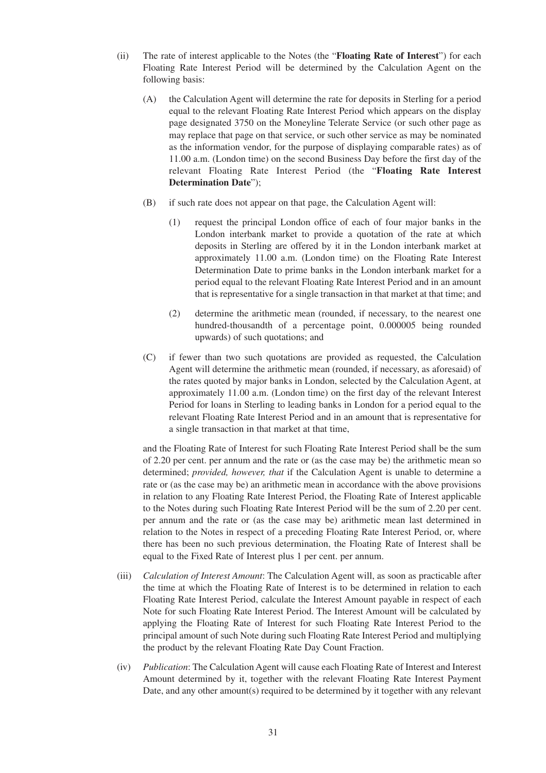- (ii) The rate of interest applicable to the Notes (the "**Floating Rate of Interest**") for each Floating Rate Interest Period will be determined by the Calculation Agent on the following basis:
	- (A) the Calculation Agent will determine the rate for deposits in Sterling for a period equal to the relevant Floating Rate Interest Period which appears on the display page designated 3750 on the Moneyline Telerate Service (or such other page as may replace that page on that service, or such other service as may be nominated as the information vendor, for the purpose of displaying comparable rates) as of 11.00 a.m. (London time) on the second Business Day before the first day of the relevant Floating Rate Interest Period (the "**Floating Rate Interest Determination Date**");
	- (B) if such rate does not appear on that page, the Calculation Agent will:
		- (1) request the principal London office of each of four major banks in the London interbank market to provide a quotation of the rate at which deposits in Sterling are offered by it in the London interbank market at approximately 11.00 a.m. (London time) on the Floating Rate Interest Determination Date to prime banks in the London interbank market for a period equal to the relevant Floating Rate Interest Period and in an amount that is representative for a single transaction in that market at that time; and
		- (2) determine the arithmetic mean (rounded, if necessary, to the nearest one hundred-thousandth of a percentage point, 0.000005 being rounded upwards) of such quotations; and
	- (C) if fewer than two such quotations are provided as requested, the Calculation Agent will determine the arithmetic mean (rounded, if necessary, as aforesaid) of the rates quoted by major banks in London, selected by the Calculation Agent, at approximately 11.00 a.m. (London time) on the first day of the relevant Interest Period for loans in Sterling to leading banks in London for a period equal to the relevant Floating Rate Interest Period and in an amount that is representative for a single transaction in that market at that time,

and the Floating Rate of Interest for such Floating Rate Interest Period shall be the sum of 2.20 per cent. per annum and the rate or (as the case may be) the arithmetic mean so determined; *provided, however, that* if the Calculation Agent is unable to determine a rate or (as the case may be) an arithmetic mean in accordance with the above provisions in relation to any Floating Rate Interest Period, the Floating Rate of Interest applicable to the Notes during such Floating Rate Interest Period will be the sum of 2.20 per cent. per annum and the rate or (as the case may be) arithmetic mean last determined in relation to the Notes in respect of a preceding Floating Rate Interest Period, or, where there has been no such previous determination, the Floating Rate of Interest shall be equal to the Fixed Rate of Interest plus 1 per cent. per annum.

- (iii) *Calculation of Interest Amount*: The Calculation Agent will, as soon as practicable after the time at which the Floating Rate of Interest is to be determined in relation to each Floating Rate Interest Period, calculate the Interest Amount payable in respect of each Note for such Floating Rate Interest Period. The Interest Amount will be calculated by applying the Floating Rate of Interest for such Floating Rate Interest Period to the principal amount of such Note during such Floating Rate Interest Period and multiplying the product by the relevant Floating Rate Day Count Fraction.
- (iv) *Publication*: The Calculation Agent will cause each Floating Rate of Interest and Interest Amount determined by it, together with the relevant Floating Rate Interest Payment Date, and any other amount(s) required to be determined by it together with any relevant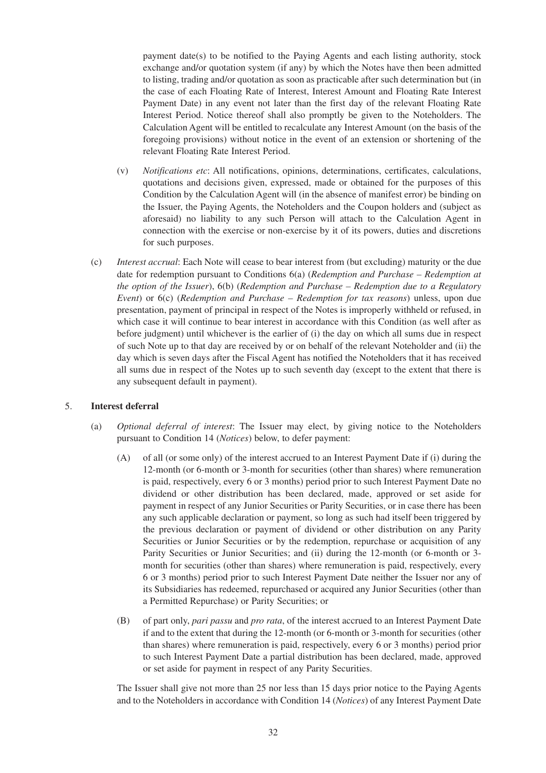payment date(s) to be notified to the Paying Agents and each listing authority, stock exchange and/or quotation system (if any) by which the Notes have then been admitted to listing, trading and/or quotation as soon as practicable after such determination but (in the case of each Floating Rate of Interest, Interest Amount and Floating Rate Interest Payment Date) in any event not later than the first day of the relevant Floating Rate Interest Period. Notice thereof shall also promptly be given to the Noteholders. The Calculation Agent will be entitled to recalculate any Interest Amount (on the basis of the foregoing provisions) without notice in the event of an extension or shortening of the relevant Floating Rate Interest Period.

- (v) *Notifications etc*: All notifications, opinions, determinations, certificates, calculations, quotations and decisions given, expressed, made or obtained for the purposes of this Condition by the Calculation Agent will (in the absence of manifest error) be binding on the Issuer, the Paying Agents, the Noteholders and the Coupon holders and (subject as aforesaid) no liability to any such Person will attach to the Calculation Agent in connection with the exercise or non-exercise by it of its powers, duties and discretions for such purposes.
- (c) *Interest accrual*: Each Note will cease to bear interest from (but excluding) maturity or the due date for redemption pursuant to Conditions 6(a) (*Redemption and Purchase – Redemption at the option of the Issuer*), 6(b) (*Redemption and Purchase – Redemption due to a Regulatory Event*) or 6(c) (*Redemption and Purchase – Redemption for tax reasons*) unless, upon due presentation, payment of principal in respect of the Notes is improperly withheld or refused, in which case it will continue to bear interest in accordance with this Condition (as well after as before judgment) until whichever is the earlier of (i) the day on which all sums due in respect of such Note up to that day are received by or on behalf of the relevant Noteholder and (ii) the day which is seven days after the Fiscal Agent has notified the Noteholders that it has received all sums due in respect of the Notes up to such seventh day (except to the extent that there is any subsequent default in payment).

#### 5. **Interest deferral**

- (a) *Optional deferral of interest*: The Issuer may elect, by giving notice to the Noteholders pursuant to Condition 14 (*Notices*) below, to defer payment:
	- (A) of all (or some only) of the interest accrued to an Interest Payment Date if (i) during the 12-month (or 6-month or 3-month for securities (other than shares) where remuneration is paid, respectively, every 6 or 3 months) period prior to such Interest Payment Date no dividend or other distribution has been declared, made, approved or set aside for payment in respect of any Junior Securities or Parity Securities, or in case there has been any such applicable declaration or payment, so long as such had itself been triggered by the previous declaration or payment of dividend or other distribution on any Parity Securities or Junior Securities or by the redemption, repurchase or acquisition of any Parity Securities or Junior Securities; and (ii) during the 12-month (or 6-month or 3 month for securities (other than shares) where remuneration is paid, respectively, every 6 or 3 months) period prior to such Interest Payment Date neither the Issuer nor any of its Subsidiaries has redeemed, repurchased or acquired any Junior Securities (other than a Permitted Repurchase) or Parity Securities; or
	- (B) of part only, *pari passu* and *pro rata*, of the interest accrued to an Interest Payment Date if and to the extent that during the 12-month (or 6-month or 3-month for securities (other than shares) where remuneration is paid, respectively, every 6 or 3 months) period prior to such Interest Payment Date a partial distribution has been declared, made, approved or set aside for payment in respect of any Parity Securities.

The Issuer shall give not more than 25 nor less than 15 days prior notice to the Paying Agents and to the Noteholders in accordance with Condition 14 (*Notices*) of any Interest Payment Date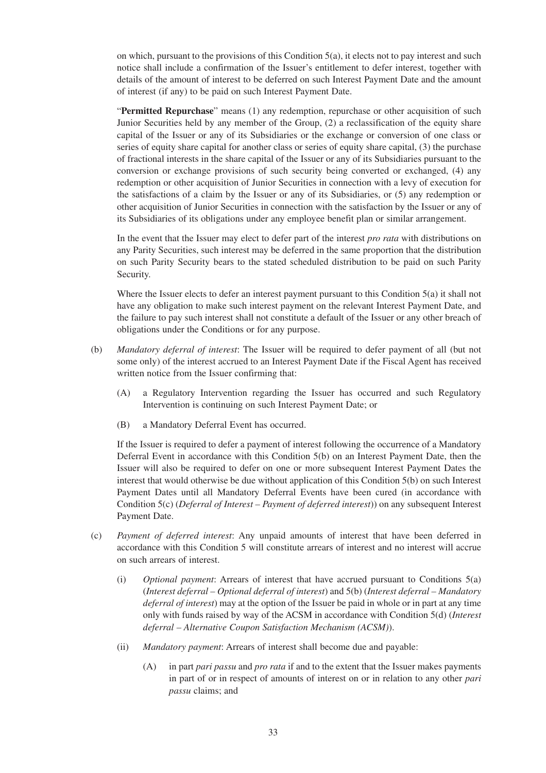on which, pursuant to the provisions of this Condition 5(a), it elects not to pay interest and such notice shall include a confirmation of the Issuer's entitlement to defer interest, together with details of the amount of interest to be deferred on such Interest Payment Date and the amount of interest (if any) to be paid on such Interest Payment Date.

"**Permitted Repurchase**" means (1) any redemption, repurchase or other acquisition of such Junior Securities held by any member of the Group, (2) a reclassification of the equity share capital of the Issuer or any of its Subsidiaries or the exchange or conversion of one class or series of equity share capital for another class or series of equity share capital, (3) the purchase of fractional interests in the share capital of the Issuer or any of its Subsidiaries pursuant to the conversion or exchange provisions of such security being converted or exchanged, (4) any redemption or other acquisition of Junior Securities in connection with a levy of execution for the satisfactions of a claim by the Issuer or any of its Subsidiaries, or (5) any redemption or other acquisition of Junior Securities in connection with the satisfaction by the Issuer or any of its Subsidiaries of its obligations under any employee benefit plan or similar arrangement.

In the event that the Issuer may elect to defer part of the interest *pro rata* with distributions on any Parity Securities, such interest may be deferred in the same proportion that the distribution on such Parity Security bears to the stated scheduled distribution to be paid on such Parity Security.

Where the Issuer elects to defer an interest payment pursuant to this Condition 5(a) it shall not have any obligation to make such interest payment on the relevant Interest Payment Date, and the failure to pay such interest shall not constitute a default of the Issuer or any other breach of obligations under the Conditions or for any purpose.

- (b) *Mandatory deferral of interest*: The Issuer will be required to defer payment of all (but not some only) of the interest accrued to an Interest Payment Date if the Fiscal Agent has received written notice from the Issuer confirming that:
	- (A) a Regulatory Intervention regarding the Issuer has occurred and such Regulatory Intervention is continuing on such Interest Payment Date; or
	- (B) a Mandatory Deferral Event has occurred.

If the Issuer is required to defer a payment of interest following the occurrence of a Mandatory Deferral Event in accordance with this Condition 5(b) on an Interest Payment Date, then the Issuer will also be required to defer on one or more subsequent Interest Payment Dates the interest that would otherwise be due without application of this Condition 5(b) on such Interest Payment Dates until all Mandatory Deferral Events have been cured (in accordance with Condition 5(c) (*Deferral of Interest – Payment of deferred interest*)) on any subsequent Interest Payment Date.

- (c) *Payment of deferred interest*: Any unpaid amounts of interest that have been deferred in accordance with this Condition 5 will constitute arrears of interest and no interest will accrue on such arrears of interest.
	- (i) *Optional payment*: Arrears of interest that have accrued pursuant to Conditions 5(a) (*Interest deferral – Optional deferral of interest*) and 5(b) (*Interest deferral – Mandatory deferral of interest*) may at the option of the Issuer be paid in whole or in part at any time only with funds raised by way of the ACSM in accordance with Condition 5(d) (*Interest deferral – Alternative Coupon Satisfaction Mechanism (ACSM)*).
	- (ii) *Mandatory payment*: Arrears of interest shall become due and payable:
		- (A) in part *pari passu* and *pro rata* if and to the extent that the Issuer makes payments in part of or in respect of amounts of interest on or in relation to any other *pari passu* claims; and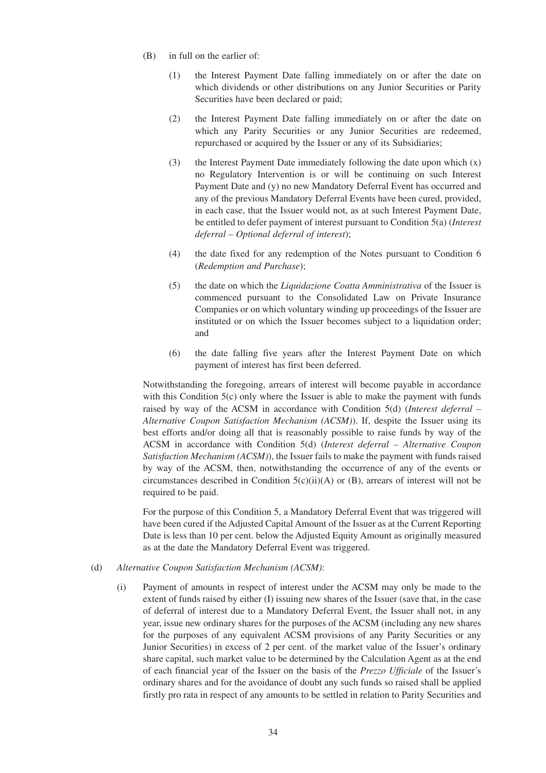- (B) in full on the earlier of:
	- (1) the Interest Payment Date falling immediately on or after the date on which dividends or other distributions on any Junior Securities or Parity Securities have been declared or paid;
	- (2) the Interest Payment Date falling immediately on or after the date on which any Parity Securities or any Junior Securities are redeemed, repurchased or acquired by the Issuer or any of its Subsidiaries;
	- (3) the Interest Payment Date immediately following the date upon which (x) no Regulatory Intervention is or will be continuing on such Interest Payment Date and (y) no new Mandatory Deferral Event has occurred and any of the previous Mandatory Deferral Events have been cured, provided, in each case, that the Issuer would not, as at such Interest Payment Date, be entitled to defer payment of interest pursuant to Condition 5(a) (*Interest deferral – Optional deferral of interest*);
	- (4) the date fixed for any redemption of the Notes pursuant to Condition 6 (*Redemption and Purchase*);
	- (5) the date on which the *Liquidazione Coatta Amministrativa* of the Issuer is commenced pursuant to the Consolidated Law on Private Insurance Companies or on which voluntary winding up proceedings of the Issuer are instituted or on which the Issuer becomes subject to a liquidation order; and
	- (6) the date falling five years after the Interest Payment Date on which payment of interest has first been deferred.

Notwithstanding the foregoing, arrears of interest will become payable in accordance with this Condition 5(c) only where the Issuer is able to make the payment with funds raised by way of the ACSM in accordance with Condition 5(d) (*Interest deferral – Alternative Coupon Satisfaction Mechanism (ACSM)*). If, despite the Issuer using its best efforts and/or doing all that is reasonably possible to raise funds by way of the ACSM in accordance with Condition 5(d) (*Interest deferral – Alternative Coupon Satisfaction Mechanism (ACSM)*), the Issuer fails to make the payment with funds raised by way of the ACSM, then, notwithstanding the occurrence of any of the events or circumstances described in Condition 5(c)(ii)(A) or (B), arrears of interest will not be required to be paid.

For the purpose of this Condition 5, a Mandatory Deferral Event that was triggered will have been cured if the Adjusted Capital Amount of the Issuer as at the Current Reporting Date is less than 10 per cent. below the Adjusted Equity Amount as originally measured as at the date the Mandatory Deferral Event was triggered.

- (d) *Alternative Coupon Satisfaction Mechanism (ACSM)*:
	- (i) Payment of amounts in respect of interest under the ACSM may only be made to the extent of funds raised by either (I) issuing new shares of the Issuer (save that, in the case of deferral of interest due to a Mandatory Deferral Event, the Issuer shall not, in any year, issue new ordinary shares for the purposes of the ACSM (including any new shares for the purposes of any equivalent ACSM provisions of any Parity Securities or any Junior Securities) in excess of 2 per cent. of the market value of the Issuer's ordinary share capital, such market value to be determined by the Calculation Agent as at the end of each financial year of the Issuer on the basis of the *Prezzo Ufficiale* of the Issuer's ordinary shares and for the avoidance of doubt any such funds so raised shall be applied firstly pro rata in respect of any amounts to be settled in relation to Parity Securities and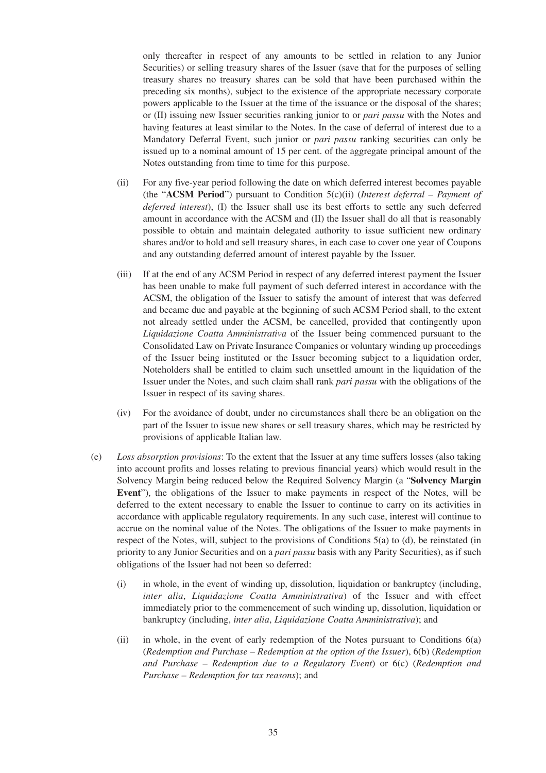only thereafter in respect of any amounts to be settled in relation to any Junior Securities) or selling treasury shares of the Issuer (save that for the purposes of selling treasury shares no treasury shares can be sold that have been purchased within the preceding six months), subject to the existence of the appropriate necessary corporate powers applicable to the Issuer at the time of the issuance or the disposal of the shares; or (II) issuing new Issuer securities ranking junior to or *pari passu* with the Notes and having features at least similar to the Notes. In the case of deferral of interest due to a Mandatory Deferral Event, such junior or *pari passu* ranking securities can only be issued up to a nominal amount of 15 per cent. of the aggregate principal amount of the Notes outstanding from time to time for this purpose.

- (ii) For any five-year period following the date on which deferred interest becomes payable (the "**ACSM Period**") pursuant to Condition 5(c)(ii) (*Interest deferral – Payment of deferred interest*), (I) the Issuer shall use its best efforts to settle any such deferred amount in accordance with the ACSM and (II) the Issuer shall do all that is reasonably possible to obtain and maintain delegated authority to issue sufficient new ordinary shares and/or to hold and sell treasury shares, in each case to cover one year of Coupons and any outstanding deferred amount of interest payable by the Issuer.
- (iii) If at the end of any ACSM Period in respect of any deferred interest payment the Issuer has been unable to make full payment of such deferred interest in accordance with the ACSM, the obligation of the Issuer to satisfy the amount of interest that was deferred and became due and payable at the beginning of such ACSM Period shall, to the extent not already settled under the ACSM, be cancelled, provided that contingently upon *Liquidazione Coatta Amministrativa* of the Issuer being commenced pursuant to the Consolidated Law on Private Insurance Companies or voluntary winding up proceedings of the Issuer being instituted or the Issuer becoming subject to a liquidation order, Noteholders shall be entitled to claim such unsettled amount in the liquidation of the Issuer under the Notes, and such claim shall rank *pari passu* with the obligations of the Issuer in respect of its saving shares.
- (iv) For the avoidance of doubt, under no circumstances shall there be an obligation on the part of the Issuer to issue new shares or sell treasury shares, which may be restricted by provisions of applicable Italian law.
- (e) *Loss absorption provisions*: To the extent that the Issuer at any time suffers losses (also taking into account profits and losses relating to previous financial years) which would result in the Solvency Margin being reduced below the Required Solvency Margin (a "**Solvency Margin Event**"), the obligations of the Issuer to make payments in respect of the Notes, will be deferred to the extent necessary to enable the Issuer to continue to carry on its activities in accordance with applicable regulatory requirements. In any such case, interest will continue to accrue on the nominal value of the Notes. The obligations of the Issuer to make payments in respect of the Notes, will, subject to the provisions of Conditions 5(a) to (d), be reinstated (in priority to any Junior Securities and on a *pari passu* basis with any Parity Securities), as if such obligations of the Issuer had not been so deferred:
	- (i) in whole, in the event of winding up, dissolution, liquidation or bankruptcy (including, *inter alia*, *Liquidazione Coatta Amministrativa*) of the Issuer and with effect immediately prior to the commencement of such winding up, dissolution, liquidation or bankruptcy (including, *inter alia*, *Liquidazione Coatta Amministrativa*); and
	- (ii) in whole, in the event of early redemption of the Notes pursuant to Conditions 6(a) (*Redemption and Purchase – Redemption at the option of the Issuer*), 6(b) (*Redemption and Purchase – Redemption due to a Regulatory Event*) or 6(c) (*Redemption and Purchase – Redemption for tax reasons*); and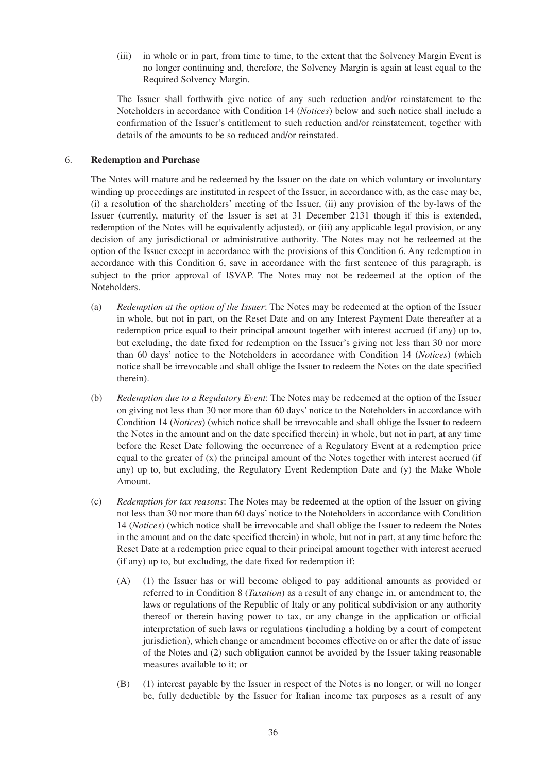(iii) in whole or in part, from time to time, to the extent that the Solvency Margin Event is no longer continuing and, therefore, the Solvency Margin is again at least equal to the Required Solvency Margin.

The Issuer shall forthwith give notice of any such reduction and/or reinstatement to the Noteholders in accordance with Condition 14 (*Notices*) below and such notice shall include a confirmation of the Issuer's entitlement to such reduction and/or reinstatement, together with details of the amounts to be so reduced and/or reinstated.

#### 6. **Redemption and Purchase**

The Notes will mature and be redeemed by the Issuer on the date on which voluntary or involuntary winding up proceedings are instituted in respect of the Issuer, in accordance with, as the case may be, (i) a resolution of the shareholders' meeting of the Issuer, (ii) any provision of the by-laws of the Issuer (currently, maturity of the Issuer is set at 31 December 2131 though if this is extended, redemption of the Notes will be equivalently adjusted), or (iii) any applicable legal provision, or any decision of any jurisdictional or administrative authority. The Notes may not be redeemed at the option of the Issuer except in accordance with the provisions of this Condition 6. Any redemption in accordance with this Condition 6, save in accordance with the first sentence of this paragraph, is subject to the prior approval of ISVAP. The Notes may not be redeemed at the option of the Noteholders.

- (a) *Redemption at the option of the Issuer*: The Notes may be redeemed at the option of the Issuer in whole, but not in part, on the Reset Date and on any Interest Payment Date thereafter at a redemption price equal to their principal amount together with interest accrued (if any) up to, but excluding, the date fixed for redemption on the Issuer's giving not less than 30 nor more than 60 days' notice to the Noteholders in accordance with Condition 14 (*Notices*) (which notice shall be irrevocable and shall oblige the Issuer to redeem the Notes on the date specified therein).
- (b) *Redemption due to a Regulatory Event*: The Notes may be redeemed at the option of the Issuer on giving not less than 30 nor more than 60 days' notice to the Noteholders in accordance with Condition 14 (*Notices*) (which notice shall be irrevocable and shall oblige the Issuer to redeem the Notes in the amount and on the date specified therein) in whole, but not in part, at any time before the Reset Date following the occurrence of a Regulatory Event at a redemption price equal to the greater of  $(x)$  the principal amount of the Notes together with interest accrued (if any) up to, but excluding, the Regulatory Event Redemption Date and (y) the Make Whole Amount.
- (c) *Redemption for tax reasons*: The Notes may be redeemed at the option of the Issuer on giving not less than 30 nor more than 60 days' notice to the Noteholders in accordance with Condition 14 (*Notices*) (which notice shall be irrevocable and shall oblige the Issuer to redeem the Notes in the amount and on the date specified therein) in whole, but not in part, at any time before the Reset Date at a redemption price equal to their principal amount together with interest accrued (if any) up to, but excluding, the date fixed for redemption if:
	- (A) (1) the Issuer has or will become obliged to pay additional amounts as provided or referred to in Condition 8 (*Taxation*) as a result of any change in, or amendment to, the laws or regulations of the Republic of Italy or any political subdivision or any authority thereof or therein having power to tax, or any change in the application or official interpretation of such laws or regulations (including a holding by a court of competent jurisdiction), which change or amendment becomes effective on or after the date of issue of the Notes and (2) such obligation cannot be avoided by the Issuer taking reasonable measures available to it; or
	- (B) (1) interest payable by the Issuer in respect of the Notes is no longer, or will no longer be, fully deductible by the Issuer for Italian income tax purposes as a result of any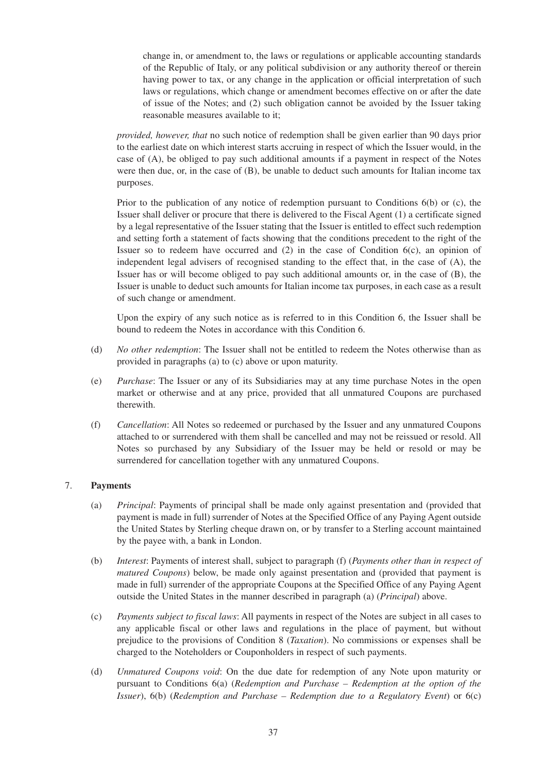change in, or amendment to, the laws or regulations or applicable accounting standards of the Republic of Italy, or any political subdivision or any authority thereof or therein having power to tax, or any change in the application or official interpretation of such laws or regulations, which change or amendment becomes effective on or after the date of issue of the Notes; and (2) such obligation cannot be avoided by the Issuer taking reasonable measures available to it;

*provided, however, that* no such notice of redemption shall be given earlier than 90 days prior to the earliest date on which interest starts accruing in respect of which the Issuer would, in the case of (A), be obliged to pay such additional amounts if a payment in respect of the Notes were then due, or, in the case of (B), be unable to deduct such amounts for Italian income tax purposes.

Prior to the publication of any notice of redemption pursuant to Conditions 6(b) or (c), the Issuer shall deliver or procure that there is delivered to the Fiscal Agent (1) a certificate signed by a legal representative of the Issuer stating that the Issuer is entitled to effect such redemption and setting forth a statement of facts showing that the conditions precedent to the right of the Issuer so to redeem have occurred and (2) in the case of Condition 6(c), an opinion of independent legal advisers of recognised standing to the effect that, in the case of (A), the Issuer has or will become obliged to pay such additional amounts or, in the case of (B), the Issuer is unable to deduct such amounts for Italian income tax purposes, in each case as a result of such change or amendment.

Upon the expiry of any such notice as is referred to in this Condition 6, the Issuer shall be bound to redeem the Notes in accordance with this Condition 6.

- (d) *No other redemption*: The Issuer shall not be entitled to redeem the Notes otherwise than as provided in paragraphs (a) to (c) above or upon maturity.
- (e) *Purchase*: The Issuer or any of its Subsidiaries may at any time purchase Notes in the open market or otherwise and at any price, provided that all unmatured Coupons are purchased therewith.
- (f) *Cancellation*: All Notes so redeemed or purchased by the Issuer and any unmatured Coupons attached to or surrendered with them shall be cancelled and may not be reissued or resold. All Notes so purchased by any Subsidiary of the Issuer may be held or resold or may be surrendered for cancellation together with any unmatured Coupons.

# 7. **Payments**

- (a) *Principal*: Payments of principal shall be made only against presentation and (provided that payment is made in full) surrender of Notes at the Specified Office of any Paying Agent outside the United States by Sterling cheque drawn on, or by transfer to a Sterling account maintained by the payee with, a bank in London.
- (b) *Interest*: Payments of interest shall, subject to paragraph (f) (*Payments other than in respect of matured Coupons*) below, be made only against presentation and (provided that payment is made in full) surrender of the appropriate Coupons at the Specified Office of any Paying Agent outside the United States in the manner described in paragraph (a) (*Principal*) above.
- (c) *Payments subject to fiscal laws*: All payments in respect of the Notes are subject in all cases to any applicable fiscal or other laws and regulations in the place of payment, but without prejudice to the provisions of Condition 8 (*Taxation*). No commissions or expenses shall be charged to the Noteholders or Couponholders in respect of such payments.
- (d) *Unmatured Coupons void*: On the due date for redemption of any Note upon maturity or pursuant to Conditions 6(a) (*Redemption and Purchase – Redemption at the option of the Issuer*), 6(b) (*Redemption and Purchase – Redemption due to a Regulatory Event*) or 6(c)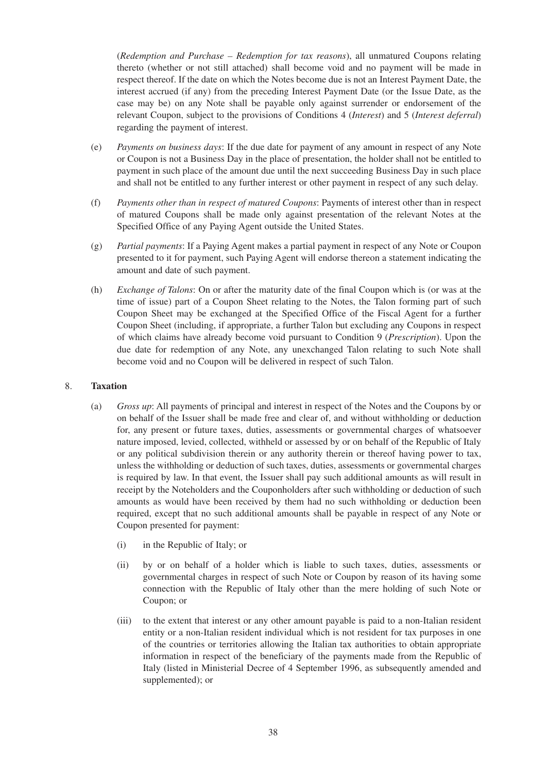(*Redemption and Purchase – Redemption for tax reasons*), all unmatured Coupons relating thereto (whether or not still attached) shall become void and no payment will be made in respect thereof. If the date on which the Notes become due is not an Interest Payment Date, the interest accrued (if any) from the preceding Interest Payment Date (or the Issue Date, as the case may be) on any Note shall be payable only against surrender or endorsement of the relevant Coupon, subject to the provisions of Conditions 4 (*Interest*) and 5 (*Interest deferral*) regarding the payment of interest.

- (e) *Payments on business days*: If the due date for payment of any amount in respect of any Note or Coupon is not a Business Day in the place of presentation, the holder shall not be entitled to payment in such place of the amount due until the next succeeding Business Day in such place and shall not be entitled to any further interest or other payment in respect of any such delay.
- (f) *Payments other than in respect of matured Coupons*: Payments of interest other than in respect of matured Coupons shall be made only against presentation of the relevant Notes at the Specified Office of any Paying Agent outside the United States.
- (g) *Partial payments*: If a Paying Agent makes a partial payment in respect of any Note or Coupon presented to it for payment, such Paying Agent will endorse thereon a statement indicating the amount and date of such payment.
- (h) *Exchange of Talons*: On or after the maturity date of the final Coupon which is (or was at the time of issue) part of a Coupon Sheet relating to the Notes, the Talon forming part of such Coupon Sheet may be exchanged at the Specified Office of the Fiscal Agent for a further Coupon Sheet (including, if appropriate, a further Talon but excluding any Coupons in respect of which claims have already become void pursuant to Condition 9 (*Prescription*). Upon the due date for redemption of any Note, any unexchanged Talon relating to such Note shall become void and no Coupon will be delivered in respect of such Talon.

# 8. **Taxation**

- (a) *Gross up*: All payments of principal and interest in respect of the Notes and the Coupons by or on behalf of the Issuer shall be made free and clear of, and without withholding or deduction for, any present or future taxes, duties, assessments or governmental charges of whatsoever nature imposed, levied, collected, withheld or assessed by or on behalf of the Republic of Italy or any political subdivision therein or any authority therein or thereof having power to tax, unless the withholding or deduction of such taxes, duties, assessments or governmental charges is required by law. In that event, the Issuer shall pay such additional amounts as will result in receipt by the Noteholders and the Couponholders after such withholding or deduction of such amounts as would have been received by them had no such withholding or deduction been required, except that no such additional amounts shall be payable in respect of any Note or Coupon presented for payment:
	- (i) in the Republic of Italy; or
	- (ii) by or on behalf of a holder which is liable to such taxes, duties, assessments or governmental charges in respect of such Note or Coupon by reason of its having some connection with the Republic of Italy other than the mere holding of such Note or Coupon; or
	- (iii) to the extent that interest or any other amount payable is paid to a non-Italian resident entity or a non-Italian resident individual which is not resident for tax purposes in one of the countries or territories allowing the Italian tax authorities to obtain appropriate information in respect of the beneficiary of the payments made from the Republic of Italy (listed in Ministerial Decree of 4 September 1996, as subsequently amended and supplemented); or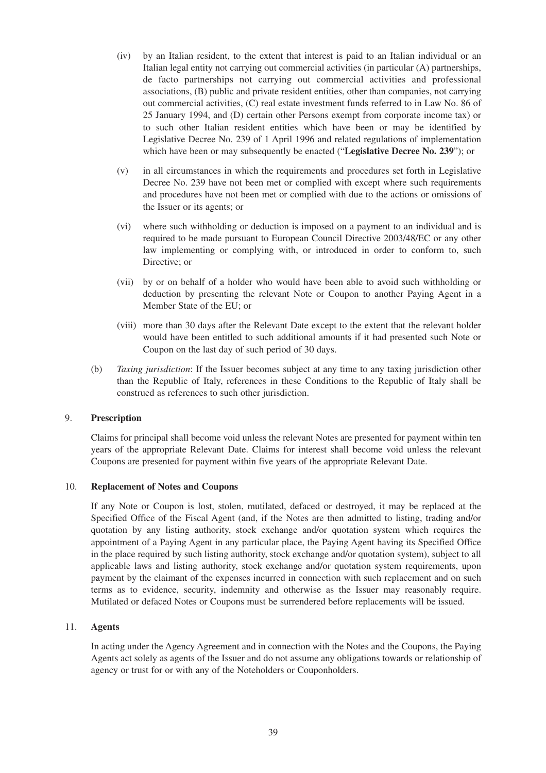- (iv) by an Italian resident, to the extent that interest is paid to an Italian individual or an Italian legal entity not carrying out commercial activities (in particular (A) partnerships, de facto partnerships not carrying out commercial activities and professional associations, (B) public and private resident entities, other than companies, not carrying out commercial activities, (C) real estate investment funds referred to in Law No. 86 of 25 January 1994, and (D) certain other Persons exempt from corporate income tax) or to such other Italian resident entities which have been or may be identified by Legislative Decree No. 239 of 1 April 1996 and related regulations of implementation which have been or may subsequently be enacted ("**Legislative Decree No. 239**"); or
- (v) in all circumstances in which the requirements and procedures set forth in Legislative Decree No. 239 have not been met or complied with except where such requirements and procedures have not been met or complied with due to the actions or omissions of the Issuer or its agents; or
- (vi) where such withholding or deduction is imposed on a payment to an individual and is required to be made pursuant to European Council Directive 2003/48/EC or any other law implementing or complying with, or introduced in order to conform to, such Directive; or
- (vii) by or on behalf of a holder who would have been able to avoid such withholding or deduction by presenting the relevant Note or Coupon to another Paying Agent in a Member State of the EU; or
- (viii) more than 30 days after the Relevant Date except to the extent that the relevant holder would have been entitled to such additional amounts if it had presented such Note or Coupon on the last day of such period of 30 days.
- (b) *Taxing jurisdiction*: If the Issuer becomes subject at any time to any taxing jurisdiction other than the Republic of Italy, references in these Conditions to the Republic of Italy shall be construed as references to such other jurisdiction.

# 9. **Prescription**

Claims for principal shall become void unless the relevant Notes are presented for payment within ten years of the appropriate Relevant Date. Claims for interest shall become void unless the relevant Coupons are presented for payment within five years of the appropriate Relevant Date.

# 10. **Replacement of Notes and Coupons**

If any Note or Coupon is lost, stolen, mutilated, defaced or destroyed, it may be replaced at the Specified Office of the Fiscal Agent (and, if the Notes are then admitted to listing, trading and/or quotation by any listing authority, stock exchange and/or quotation system which requires the appointment of a Paying Agent in any particular place, the Paying Agent having its Specified Office in the place required by such listing authority, stock exchange and/or quotation system), subject to all applicable laws and listing authority, stock exchange and/or quotation system requirements, upon payment by the claimant of the expenses incurred in connection with such replacement and on such terms as to evidence, security, indemnity and otherwise as the Issuer may reasonably require. Mutilated or defaced Notes or Coupons must be surrendered before replacements will be issued.

# 11. **Agents**

In acting under the Agency Agreement and in connection with the Notes and the Coupons, the Paying Agents act solely as agents of the Issuer and do not assume any obligations towards or relationship of agency or trust for or with any of the Noteholders or Couponholders.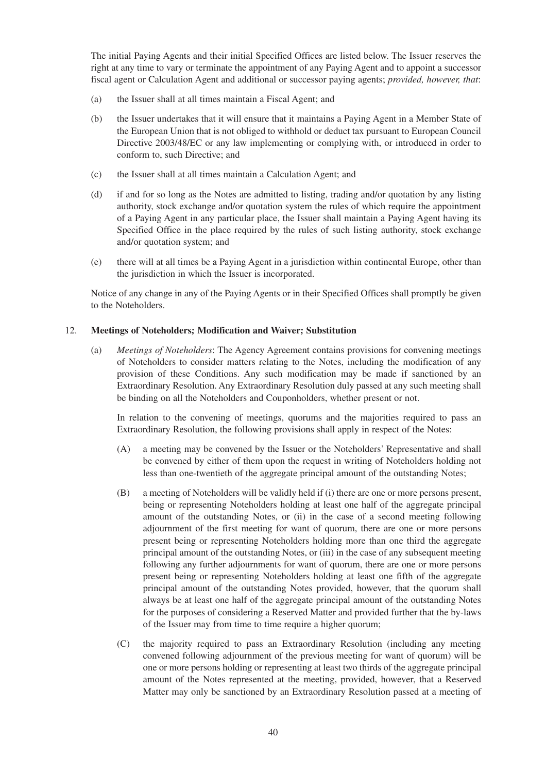The initial Paying Agents and their initial Specified Offices are listed below. The Issuer reserves the right at any time to vary or terminate the appointment of any Paying Agent and to appoint a successor fiscal agent or Calculation Agent and additional or successor paying agents; *provided, however, that*:

- (a) the Issuer shall at all times maintain a Fiscal Agent; and
- (b) the Issuer undertakes that it will ensure that it maintains a Paying Agent in a Member State of the European Union that is not obliged to withhold or deduct tax pursuant to European Council Directive 2003/48/EC or any law implementing or complying with, or introduced in order to conform to, such Directive; and
- (c) the Issuer shall at all times maintain a Calculation Agent; and
- (d) if and for so long as the Notes are admitted to listing, trading and/or quotation by any listing authority, stock exchange and/or quotation system the rules of which require the appointment of a Paying Agent in any particular place, the Issuer shall maintain a Paying Agent having its Specified Office in the place required by the rules of such listing authority, stock exchange and/or quotation system; and
- (e) there will at all times be a Paying Agent in a jurisdiction within continental Europe, other than the jurisdiction in which the Issuer is incorporated.

Notice of any change in any of the Paying Agents or in their Specified Offices shall promptly be given to the Noteholders.

# 12. **Meetings of Noteholders; Modification and Waiver; Substitution**

(a) *Meetings of Noteholders*: The Agency Agreement contains provisions for convening meetings of Noteholders to consider matters relating to the Notes, including the modification of any provision of these Conditions. Any such modification may be made if sanctioned by an Extraordinary Resolution. Any Extraordinary Resolution duly passed at any such meeting shall be binding on all the Noteholders and Couponholders, whether present or not.

In relation to the convening of meetings, quorums and the majorities required to pass an Extraordinary Resolution, the following provisions shall apply in respect of the Notes:

- (A) a meeting may be convened by the Issuer or the Noteholders' Representative and shall be convened by either of them upon the request in writing of Noteholders holding not less than one-twentieth of the aggregate principal amount of the outstanding Notes;
- (B) a meeting of Noteholders will be validly held if (i) there are one or more persons present, being or representing Noteholders holding at least one half of the aggregate principal amount of the outstanding Notes, or (ii) in the case of a second meeting following adjournment of the first meeting for want of quorum, there are one or more persons present being or representing Noteholders holding more than one third the aggregate principal amount of the outstanding Notes, or (iii) in the case of any subsequent meeting following any further adjournments for want of quorum, there are one or more persons present being or representing Noteholders holding at least one fifth of the aggregate principal amount of the outstanding Notes provided, however, that the quorum shall always be at least one half of the aggregate principal amount of the outstanding Notes for the purposes of considering a Reserved Matter and provided further that the by-laws of the Issuer may from time to time require a higher quorum;
- (C) the majority required to pass an Extraordinary Resolution (including any meeting convened following adjournment of the previous meeting for want of quorum) will be one or more persons holding or representing at least two thirds of the aggregate principal amount of the Notes represented at the meeting, provided, however, that a Reserved Matter may only be sanctioned by an Extraordinary Resolution passed at a meeting of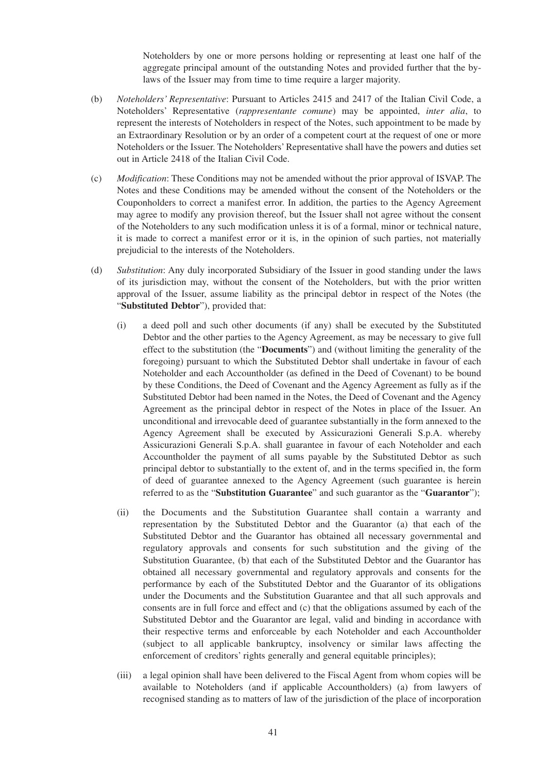Noteholders by one or more persons holding or representing at least one half of the aggregate principal amount of the outstanding Notes and provided further that the bylaws of the Issuer may from time to time require a larger majority.

- (b) *Noteholders' Representative*: Pursuant to Articles 2415 and 2417 of the Italian Civil Code, a Noteholders' Representative (*rappresentante comune*) may be appointed, *inter alia*, to represent the interests of Noteholders in respect of the Notes, such appointment to be made by an Extraordinary Resolution or by an order of a competent court at the request of one or more Noteholders or the Issuer. The Noteholders' Representative shall have the powers and duties set out in Article 2418 of the Italian Civil Code.
- (c) *Modification*: These Conditions may not be amended without the prior approval of ISVAP. The Notes and these Conditions may be amended without the consent of the Noteholders or the Couponholders to correct a manifest error. In addition, the parties to the Agency Agreement may agree to modify any provision thereof, but the Issuer shall not agree without the consent of the Noteholders to any such modification unless it is of a formal, minor or technical nature, it is made to correct a manifest error or it is, in the opinion of such parties, not materially prejudicial to the interests of the Noteholders.
- (d) *Substitution*: Any duly incorporated Subsidiary of the Issuer in good standing under the laws of its jurisdiction may, without the consent of the Noteholders, but with the prior written approval of the Issuer, assume liability as the principal debtor in respect of the Notes (the "**Substituted Debtor**"), provided that:
	- (i) a deed poll and such other documents (if any) shall be executed by the Substituted Debtor and the other parties to the Agency Agreement, as may be necessary to give full effect to the substitution (the "**Documents**") and (without limiting the generality of the foregoing) pursuant to which the Substituted Debtor shall undertake in favour of each Noteholder and each Accountholder (as defined in the Deed of Covenant) to be bound by these Conditions, the Deed of Covenant and the Agency Agreement as fully as if the Substituted Debtor had been named in the Notes, the Deed of Covenant and the Agency Agreement as the principal debtor in respect of the Notes in place of the Issuer. An unconditional and irrevocable deed of guarantee substantially in the form annexed to the Agency Agreement shall be executed by Assicurazioni Generali S.p.A. whereby Assicurazioni Generali S.p.A. shall guarantee in favour of each Noteholder and each Accountholder the payment of all sums payable by the Substituted Debtor as such principal debtor to substantially to the extent of, and in the terms specified in, the form of deed of guarantee annexed to the Agency Agreement (such guarantee is herein referred to as the "**Substitution Guarantee**" and such guarantor as the "**Guarantor**");
	- (ii) the Documents and the Substitution Guarantee shall contain a warranty and representation by the Substituted Debtor and the Guarantor (a) that each of the Substituted Debtor and the Guarantor has obtained all necessary governmental and regulatory approvals and consents for such substitution and the giving of the Substitution Guarantee, (b) that each of the Substituted Debtor and the Guarantor has obtained all necessary governmental and regulatory approvals and consents for the performance by each of the Substituted Debtor and the Guarantor of its obligations under the Documents and the Substitution Guarantee and that all such approvals and consents are in full force and effect and (c) that the obligations assumed by each of the Substituted Debtor and the Guarantor are legal, valid and binding in accordance with their respective terms and enforceable by each Noteholder and each Accountholder (subject to all applicable bankruptcy, insolvency or similar laws affecting the enforcement of creditors' rights generally and general equitable principles);
	- (iii) a legal opinion shall have been delivered to the Fiscal Agent from whom copies will be available to Noteholders (and if applicable Accountholders) (a) from lawyers of recognised standing as to matters of law of the jurisdiction of the place of incorporation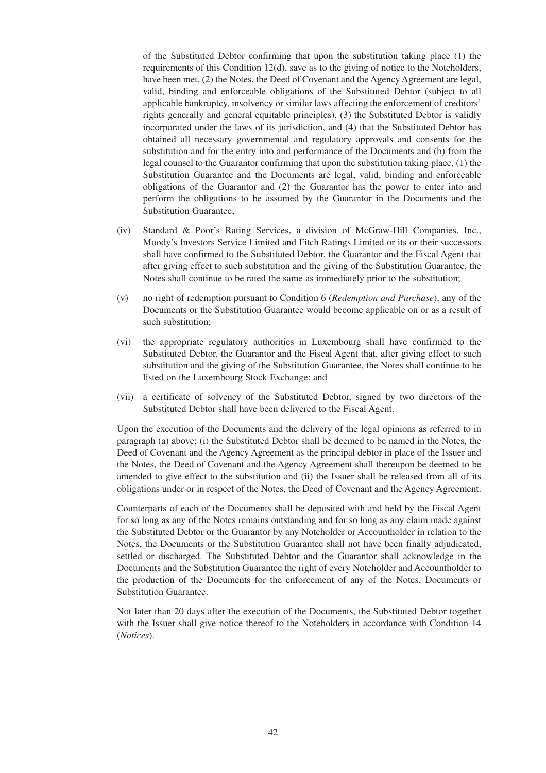of the Substituted Debtor confirming that upon the substitution taking place (1) the requirements of this Condition 12(d), save as to the giving of notice to the Noteholders, have been met, (2) the Notes, the Deed of Covenant and the Agency Agreement are legal, valid, binding and enforceable obligations of the Substituted Debtor (subject to all applicable bankruptcy, insolvency or similar laws affecting the enforcement of creditors' rights generally and general equitable principles), (3) the Substituted Debtor is validly incorporated under the laws of its jurisdiction, and (4) that the Substituted Debtor has obtained all necessary governmental and regulatory approvals and consents for the substitution and for the entry into and performance of the Documents and (b) from the legal counsel to the Guarantor confirming that upon the substitution taking place, (1) the Substitution Guarantee and the Documents are legal, valid, binding and enforceable obligations of the Guarantor and (2) the Guarantor has the power to enter into and perform the obligations to be assumed by the Guarantor in the Documents and the Substitution Guarantee;

- (iv) Standard & Poor's Rating Services, a division of McGraw-Hill Companies, Inc., Moody's Investors Service Limited and Fitch Ratings Limited or its or their successors shall have confirmed to the Substituted Debtor, the Guarantor and the Fiscal Agent that after giving effect to such substitution and the giving of the Substitution Guarantee, the Notes shall continue to be rated the same as immediately prior to the substitution;
- (v) no right of redemption pursuant to Condition 6 (*Redemption and Purchase*), any of the Documents or the Substitution Guarantee would become applicable on or as a result of such substitution;
- (vi) the appropriate regulatory authorities in Luxembourg shall have confirmed to the Substituted Debtor, the Guarantor and the Fiscal Agent that, after giving effect to such substitution and the giving of the Substitution Guarantee, the Notes shall continue to be listed on the Luxembourg Stock Exchange; and
- (vii) a certificate of solvency of the Substituted Debtor, signed by two directors of the Substituted Debtor shall have been delivered to the Fiscal Agent.

Upon the execution of the Documents and the delivery of the legal opinions as referred to in paragraph (a) above; (i) the Substituted Debtor shall be deemed to be named in the Notes, the Deed of Covenant and the Agency Agreement as the principal debtor in place of the Issuer and the Notes, the Deed of Covenant and the Agency Agreement shall thereupon be deemed to be amended to give effect to the substitution and (ii) the Issuer shall be released from all of its obligations under or in respect of the Notes, the Deed of Covenant and the Agency Agreement.

Counterparts of each of the Documents shall be deposited with and held by the Fiscal Agent for so long as any of the Notes remains outstanding and for so long as any claim made against the Substituted Debtor or the Guarantor by any Noteholder or Accountholder in relation to the Notes, the Documents or the Substitution Guarantee shall not have been finally adjudicated, settled or discharged. The Substituted Debtor and the Guarantor shall acknowledge in the Documents and the Substitution Guarantee the right of every Noteholder and Accountholder to the production of the Documents for the enforcement of any of the Notes, Documents or Substitution Guarantee.

Not later than 20 days after the execution of the Documents, the Substituted Debtor together with the Issuer shall give notice thereof to the Noteholders in accordance with Condition 14 (*Notices*).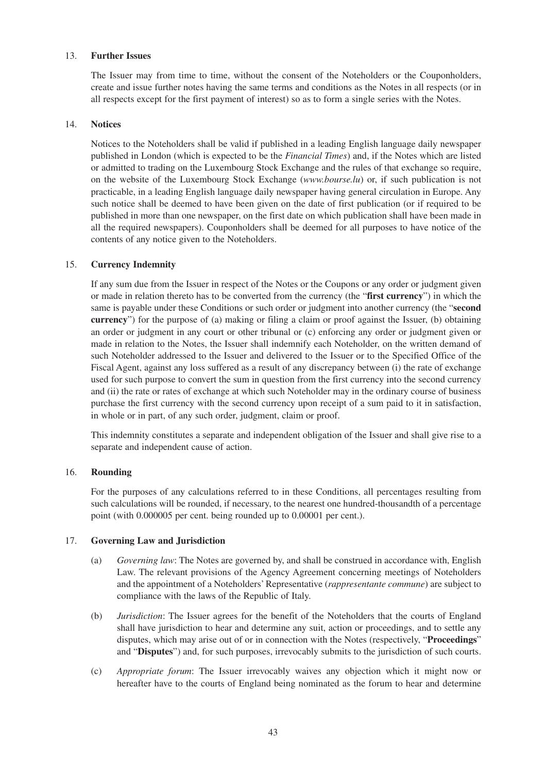### 13. **Further Issues**

The Issuer may from time to time, without the consent of the Noteholders or the Couponholders, create and issue further notes having the same terms and conditions as the Notes in all respects (or in all respects except for the first payment of interest) so as to form a single series with the Notes.

### 14. **Notices**

Notices to the Noteholders shall be valid if published in a leading English language daily newspaper published in London (which is expected to be the *Financial Times*) and, if the Notes which are listed or admitted to trading on the Luxembourg Stock Exchange and the rules of that exchange so require, on the website of the Luxembourg Stock Exchange (*www.bourse.lu*) or, if such publication is not practicable, in a leading English language daily newspaper having general circulation in Europe. Any such notice shall be deemed to have been given on the date of first publication (or if required to be published in more than one newspaper, on the first date on which publication shall have been made in all the required newspapers). Couponholders shall be deemed for all purposes to have notice of the contents of any notice given to the Noteholders.

# 15. **Currency Indemnity**

If any sum due from the Issuer in respect of the Notes or the Coupons or any order or judgment given or made in relation thereto has to be converted from the currency (the "**first currency**") in which the same is payable under these Conditions or such order or judgment into another currency (the "**second currency**") for the purpose of (a) making or filing a claim or proof against the Issuer, (b) obtaining an order or judgment in any court or other tribunal or (c) enforcing any order or judgment given or made in relation to the Notes, the Issuer shall indemnify each Noteholder, on the written demand of such Noteholder addressed to the Issuer and delivered to the Issuer or to the Specified Office of the Fiscal Agent, against any loss suffered as a result of any discrepancy between (i) the rate of exchange used for such purpose to convert the sum in question from the first currency into the second currency and (ii) the rate or rates of exchange at which such Noteholder may in the ordinary course of business purchase the first currency with the second currency upon receipt of a sum paid to it in satisfaction, in whole or in part, of any such order, judgment, claim or proof.

This indemnity constitutes a separate and independent obligation of the Issuer and shall give rise to a separate and independent cause of action.

#### 16. **Rounding**

For the purposes of any calculations referred to in these Conditions, all percentages resulting from such calculations will be rounded, if necessary, to the nearest one hundred-thousandth of a percentage point (with 0.000005 per cent. being rounded up to 0.00001 per cent.).

#### 17. **Governing Law and Jurisdiction**

- (a) *Governing law*: The Notes are governed by, and shall be construed in accordance with, English Law. The relevant provisions of the Agency Agreement concerning meetings of Noteholders and the appointment of a Noteholders' Representative (*rappresentante commune*) are subject to compliance with the laws of the Republic of Italy.
- (b) *Jurisdiction*: The Issuer agrees for the benefit of the Noteholders that the courts of England shall have jurisdiction to hear and determine any suit, action or proceedings, and to settle any disputes, which may arise out of or in connection with the Notes (respectively, "**Proceedings**" and "**Disputes**") and, for such purposes, irrevocably submits to the jurisdiction of such courts.
- (c) *Appropriate forum*: The Issuer irrevocably waives any objection which it might now or hereafter have to the courts of England being nominated as the forum to hear and determine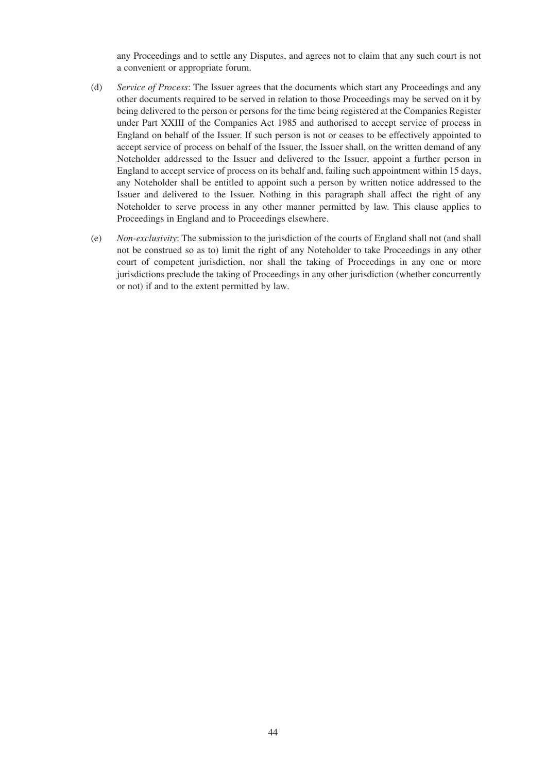any Proceedings and to settle any Disputes, and agrees not to claim that any such court is not a convenient or appropriate forum.

- (d) *Service of Process*: The Issuer agrees that the documents which start any Proceedings and any other documents required to be served in relation to those Proceedings may be served on it by being delivered to the person or persons for the time being registered at the Companies Register under Part XXIII of the Companies Act 1985 and authorised to accept service of process in England on behalf of the Issuer. If such person is not or ceases to be effectively appointed to accept service of process on behalf of the Issuer, the Issuer shall, on the written demand of any Noteholder addressed to the Issuer and delivered to the Issuer, appoint a further person in England to accept service of process on its behalf and, failing such appointment within 15 days, any Noteholder shall be entitled to appoint such a person by written notice addressed to the Issuer and delivered to the Issuer. Nothing in this paragraph shall affect the right of any Noteholder to serve process in any other manner permitted by law. This clause applies to Proceedings in England and to Proceedings elsewhere.
- (e) *Non-exclusivity*: The submission to the jurisdiction of the courts of England shall not (and shall not be construed so as to) limit the right of any Noteholder to take Proceedings in any other court of competent jurisdiction, nor shall the taking of Proceedings in any one or more jurisdictions preclude the taking of Proceedings in any other jurisdiction (whether concurrently or not) if and to the extent permitted by law.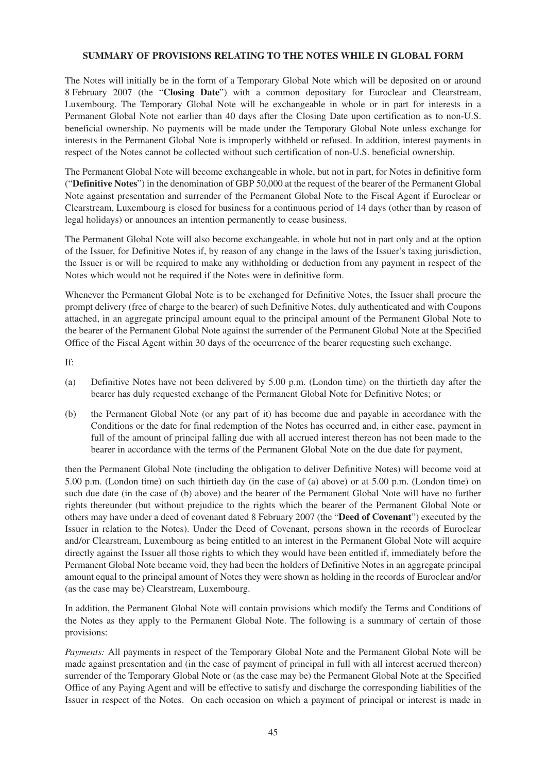### **SUMMARY OF PROVISIONS RELATING TO THE NOTES WHILE IN GLOBAL FORM**

The Notes will initially be in the form of a Temporary Global Note which will be deposited on or around 8 February 2007 (the "**Closing Date**") with a common depositary for Euroclear and Clearstream, Luxembourg. The Temporary Global Note will be exchangeable in whole or in part for interests in a Permanent Global Note not earlier than 40 days after the Closing Date upon certification as to non-U.S. beneficial ownership. No payments will be made under the Temporary Global Note unless exchange for interests in the Permanent Global Note is improperly withheld or refused. In addition, interest payments in respect of the Notes cannot be collected without such certification of non-U.S. beneficial ownership.

The Permanent Global Note will become exchangeable in whole, but not in part, for Notes in definitive form ("**Definitive Notes**") in the denomination of GBP 50,000 at the request of the bearer of the Permanent Global Note against presentation and surrender of the Permanent Global Note to the Fiscal Agent if Euroclear or Clearstream, Luxembourg is closed for business for a continuous period of 14 days (other than by reason of legal holidays) or announces an intention permanently to cease business.

The Permanent Global Note will also become exchangeable, in whole but not in part only and at the option of the Issuer, for Definitive Notes if, by reason of any change in the laws of the Issuer's taxing jurisdiction, the Issuer is or will be required to make any withholding or deduction from any payment in respect of the Notes which would not be required if the Notes were in definitive form.

Whenever the Permanent Global Note is to be exchanged for Definitive Notes, the Issuer shall procure the prompt delivery (free of charge to the bearer) of such Definitive Notes, duly authenticated and with Coupons attached, in an aggregate principal amount equal to the principal amount of the Permanent Global Note to the bearer of the Permanent Global Note against the surrender of the Permanent Global Note at the Specified Office of the Fiscal Agent within 30 days of the occurrence of the bearer requesting such exchange.

If:

- (a) Definitive Notes have not been delivered by 5.00 p.m. (London time) on the thirtieth day after the bearer has duly requested exchange of the Permanent Global Note for Definitive Notes; or
- (b) the Permanent Global Note (or any part of it) has become due and payable in accordance with the Conditions or the date for final redemption of the Notes has occurred and, in either case, payment in full of the amount of principal falling due with all accrued interest thereon has not been made to the bearer in accordance with the terms of the Permanent Global Note on the due date for payment,

then the Permanent Global Note (including the obligation to deliver Definitive Notes) will become void at 5.00 p.m. (London time) on such thirtieth day (in the case of (a) above) or at 5.00 p.m. (London time) on such due date (in the case of (b) above) and the bearer of the Permanent Global Note will have no further rights thereunder (but without prejudice to the rights which the bearer of the Permanent Global Note or others may have under a deed of covenant dated 8 February 2007 (the "**Deed of Covenant**") executed by the Issuer in relation to the Notes). Under the Deed of Covenant, persons shown in the records of Euroclear and/or Clearstream, Luxembourg as being entitled to an interest in the Permanent Global Note will acquire directly against the Issuer all those rights to which they would have been entitled if, immediately before the Permanent Global Note became void, they had been the holders of Definitive Notes in an aggregate principal amount equal to the principal amount of Notes they were shown as holding in the records of Euroclear and/or (as the case may be) Clearstream, Luxembourg.

In addition, the Permanent Global Note will contain provisions which modify the Terms and Conditions of the Notes as they apply to the Permanent Global Note. The following is a summary of certain of those provisions:

*Payments:* All payments in respect of the Temporary Global Note and the Permanent Global Note will be made against presentation and (in the case of payment of principal in full with all interest accrued thereon) surrender of the Temporary Global Note or (as the case may be) the Permanent Global Note at the Specified Office of any Paying Agent and will be effective to satisfy and discharge the corresponding liabilities of the Issuer in respect of the Notes. On each occasion on which a payment of principal or interest is made in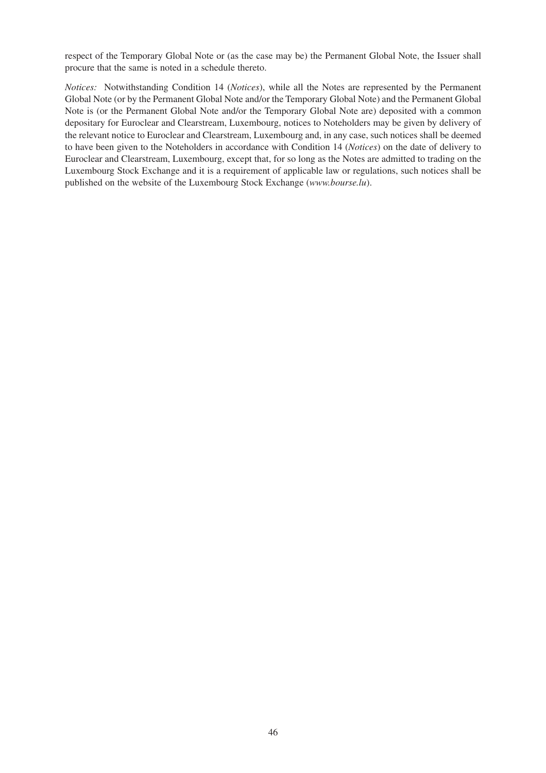respect of the Temporary Global Note or (as the case may be) the Permanent Global Note, the Issuer shall procure that the same is noted in a schedule thereto.

*Notices:* Notwithstanding Condition 14 (*Notices*), while all the Notes are represented by the Permanent Global Note (or by the Permanent Global Note and/or the Temporary Global Note) and the Permanent Global Note is (or the Permanent Global Note and/or the Temporary Global Note are) deposited with a common depositary for Euroclear and Clearstream, Luxembourg, notices to Noteholders may be given by delivery of the relevant notice to Euroclear and Clearstream, Luxembourg and, in any case, such notices shall be deemed to have been given to the Noteholders in accordance with Condition 14 (*Notices*) on the date of delivery to Euroclear and Clearstream, Luxembourg, except that, for so long as the Notes are admitted to trading on the Luxembourg Stock Exchange and it is a requirement of applicable law or regulations, such notices shall be published on the website of the Luxembourg Stock Exchange (*www.bourse.lu*).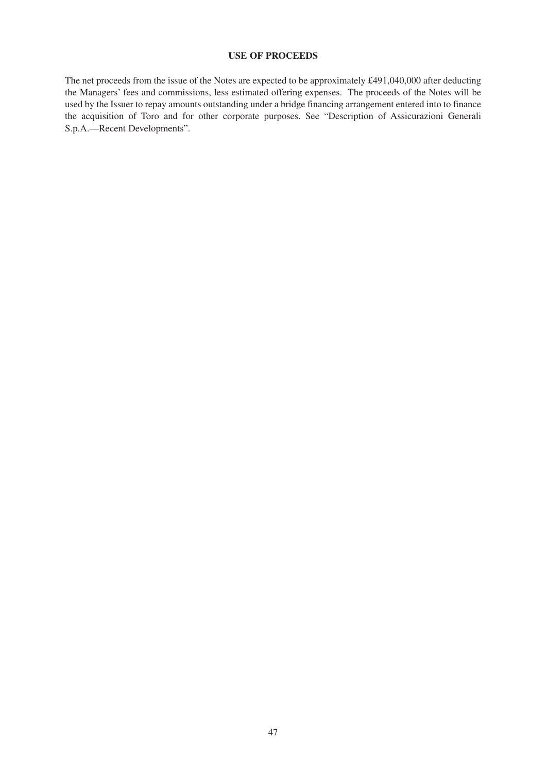# **USE OF PROCEEDS**

The net proceeds from the issue of the Notes are expected to be approximately £491,040,000 after deducting the Managers' fees and commissions, less estimated offering expenses. The proceeds of the Notes will be used by the Issuer to repay amounts outstanding under a bridge financing arrangement entered into to finance the acquisition of Toro and for other corporate purposes. See "Description of Assicurazioni Generali S.p.A.—Recent Developments".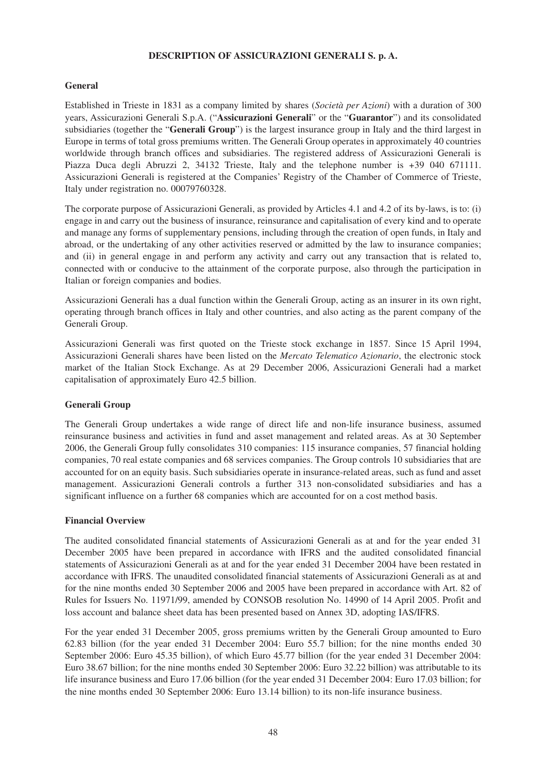### **DESCRIPTION OF ASSICURAZIONI GENERALI S. p. A.**

# **General**

Established in Trieste in 1831 as a company limited by shares (*Società per Azioni*) with a duration of 300 years, Assicurazioni Generali S.p.A. ("**Assicurazioni Generali**" or the "**Guarantor**") and its consolidated subsidiaries (together the "**Generali Group**") is the largest insurance group in Italy and the third largest in Europe in terms of total gross premiums written. The Generali Group operates in approximately 40 countries worldwide through branch offices and subsidiaries. The registered address of Assicurazioni Generali is Piazza Duca degli Abruzzi 2, 34132 Trieste, Italy and the telephone number is +39 040 671111. Assicurazioni Generali is registered at the Companies' Registry of the Chamber of Commerce of Trieste, Italy under registration no. 00079760328.

The corporate purpose of Assicurazioni Generali, as provided by Articles 4.1 and 4.2 of its by-laws, is to: (i) engage in and carry out the business of insurance, reinsurance and capitalisation of every kind and to operate and manage any forms of supplementary pensions, including through the creation of open funds, in Italy and abroad, or the undertaking of any other activities reserved or admitted by the law to insurance companies; and (ii) in general engage in and perform any activity and carry out any transaction that is related to, connected with or conducive to the attainment of the corporate purpose, also through the participation in Italian or foreign companies and bodies.

Assicurazioni Generali has a dual function within the Generali Group, acting as an insurer in its own right, operating through branch offices in Italy and other countries, and also acting as the parent company of the Generali Group.

Assicurazioni Generali was first quoted on the Trieste stock exchange in 1857. Since 15 April 1994, Assicurazioni Generali shares have been listed on the *Mercato Telematico Azionario*, the electronic stock market of the Italian Stock Exchange. As at 29 December 2006, Assicurazioni Generali had a market capitalisation of approximately Euro 42.5 billion.

# **Generali Group**

The Generali Group undertakes a wide range of direct life and non-life insurance business, assumed reinsurance business and activities in fund and asset management and related areas. As at 30 September 2006, the Generali Group fully consolidates 310 companies: 115 insurance companies, 57 financial holding companies, 70 real estate companies and 68 services companies. The Group controls 10 subsidiaries that are accounted for on an equity basis. Such subsidiaries operate in insurance-related areas, such as fund and asset management. Assicurazioni Generali controls a further 313 non-consolidated subsidiaries and has a significant influence on a further 68 companies which are accounted for on a cost method basis.

#### **Financial Overview**

The audited consolidated financial statements of Assicurazioni Generali as at and for the year ended 31 December 2005 have been prepared in accordance with IFRS and the audited consolidated financial statements of Assicurazioni Generali as at and for the year ended 31 December 2004 have been restated in accordance with IFRS. The unaudited consolidated financial statements of Assicurazioni Generali as at and for the nine months ended 30 September 2006 and 2005 have been prepared in accordance with Art. 82 of Rules for Issuers No. 11971/99, amended by CONSOB resolution No. 14990 of 14 April 2005. Profit and loss account and balance sheet data has been presented based on Annex 3D, adopting IAS/IFRS.

For the year ended 31 December 2005, gross premiums written by the Generali Group amounted to Euro 62.83 billion (for the year ended 31 December 2004: Euro 55.7 billion; for the nine months ended 30 September 2006: Euro 45.35 billion), of which Euro 45.77 billion (for the year ended 31 December 2004: Euro 38.67 billion; for the nine months ended 30 September 2006: Euro 32.22 billion) was attributable to its life insurance business and Euro 17.06 billion (for the year ended 31 December 2004: Euro 17.03 billion; for the nine months ended 30 September 2006: Euro 13.14 billion) to its non-life insurance business.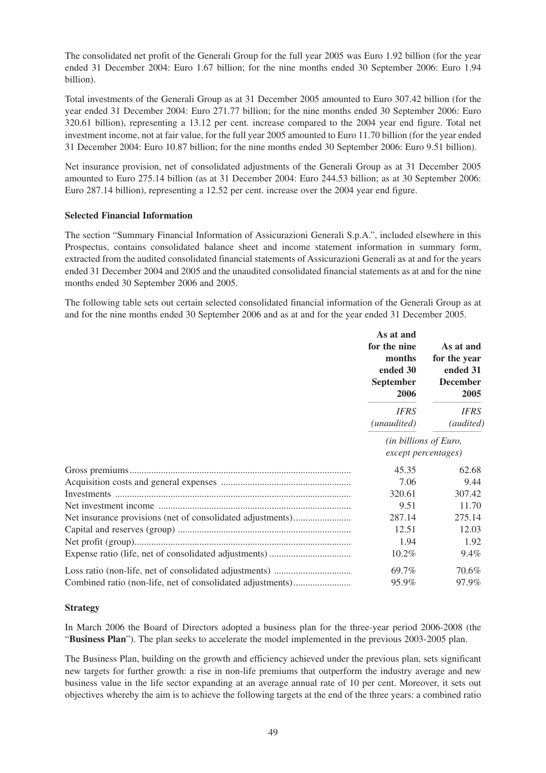The consolidated net profit of the Generali Group for the full year 2005 was Euro 1.92 billion (for the year ended 31 December 2004: Euro 1.67 billion; for the nine months ended 30 September 2006: Euro 1.94 billion).

Total investments of the Generali Group as at 31 December 2005 amounted to Euro 307.42 billion (for the year ended 31 December 2004: Euro 271.77 billion; for the nine months ended 30 September 2006: Euro 320.61 billion), representing a 13.12 per cent. increase compared to the 2004 year end figure. Total net investment income, not at fair value, for the full year 2005 amounted to Euro 11.70 billion (for the year ended 31 December 2004: Euro 10.87 billion; for the nine months ended 30 September 2006: Euro 9.51 billion).

Net insurance provision, net of consolidated adjustments of the Generali Group as at 31 December 2005 amounted to Euro 275.14 billion (as at 31 December 2004: Euro 244.53 billion; as at 30 September 2006: Euro 287.14 billion), representing a 12.52 per cent. increase over the 2004 year end figure.

# **Selected Financial Information**

The section "Summary Financial Information of Assicurazioni Generali S.p.A.", included elsewhere in this Prospectus, contains consolidated balance sheet and income statement information in summary form, extracted from the audited consolidated financial statements of Assicurazioni Generali as at and for the years ended 31 December 2004 and 2005 and the unaudited consolidated financial statements as at and for the nine months ended 30 September 2006 and 2005.

The following table sets out certain selected consolidated financial information of the Generali Group as at and for the nine months ended 30 September 2006 and as at and for the year ended 31 December 2005.

|                                                            | As at and<br>for the nine<br>months<br>ended 30<br><b>September</b><br>2006 | As at and<br>for the year<br>ended 31<br><b>December</b><br>2005 |  |
|------------------------------------------------------------|-----------------------------------------------------------------------------|------------------------------------------------------------------|--|
|                                                            | <b>IFRS</b><br>(unaudited)                                                  | <b>IFRS</b><br>(audited)                                         |  |
|                                                            | (in billions of Euro,<br>except percentages)                                |                                                                  |  |
|                                                            | 45.35                                                                       | 62.68                                                            |  |
|                                                            | 7.06                                                                        | 9.44                                                             |  |
|                                                            | 320.61                                                                      | 307.42                                                           |  |
|                                                            | 9.51                                                                        | 11.70                                                            |  |
| Net insurance provisions (net of consolidated adjustments) | 287.14                                                                      | 275.14                                                           |  |
|                                                            | 12.51                                                                       | 12.03                                                            |  |
|                                                            | 1.94                                                                        | 1.92                                                             |  |
|                                                            | 10.2%                                                                       | 9.4%                                                             |  |
|                                                            | 69.7%                                                                       | 70.6%                                                            |  |
| Combined ratio (non-life, net of consolidated adjustments) | 95.9%                                                                       | 97.9%                                                            |  |

# **Strategy**

In March 2006 the Board of Directors adopted a business plan for the three-year period 2006-2008 (the "**Business Plan**"). The plan seeks to accelerate the model implemented in the previous 2003-2005 plan.

The Business Plan, building on the growth and efficiency achieved under the previous plan, sets significant new targets for further growth: a rise in non-life premiums that outperform the industry average and new business value in the life sector expanding at an average annual rate of 10 per cent. Moreover, it sets out objectives whereby the aim is to achieve the following targets at the end of the three years: a combined ratio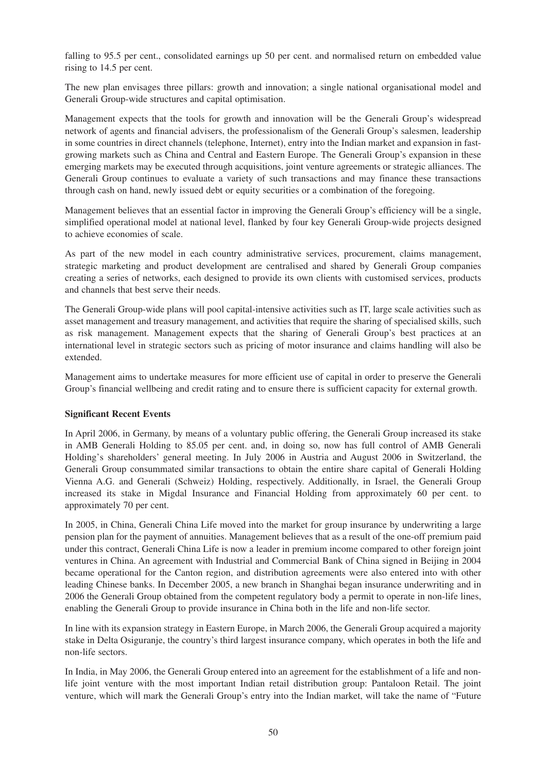falling to 95.5 per cent., consolidated earnings up 50 per cent. and normalised return on embedded value rising to 14.5 per cent.

The new plan envisages three pillars: growth and innovation; a single national organisational model and Generali Group-wide structures and capital optimisation.

Management expects that the tools for growth and innovation will be the Generali Group's widespread network of agents and financial advisers, the professionalism of the Generali Group's salesmen, leadership in some countries in direct channels (telephone, Internet), entry into the Indian market and expansion in fastgrowing markets such as China and Central and Eastern Europe. The Generali Group's expansion in these emerging markets may be executed through acquisitions, joint venture agreements or strategic alliances. The Generali Group continues to evaluate a variety of such transactions and may finance these transactions through cash on hand, newly issued debt or equity securities or a combination of the foregoing.

Management believes that an essential factor in improving the Generali Group's efficiency will be a single, simplified operational model at national level, flanked by four key Generali Group-wide projects designed to achieve economies of scale.

As part of the new model in each country administrative services, procurement, claims management, strategic marketing and product development are centralised and shared by Generali Group companies creating a series of networks, each designed to provide its own clients with customised services, products and channels that best serve their needs.

The Generali Group-wide plans will pool capital-intensive activities such as IT, large scale activities such as asset management and treasury management, and activities that require the sharing of specialised skills, such as risk management. Management expects that the sharing of Generali Group's best practices at an international level in strategic sectors such as pricing of motor insurance and claims handling will also be extended.

Management aims to undertake measures for more efficient use of capital in order to preserve the Generali Group's financial wellbeing and credit rating and to ensure there is sufficient capacity for external growth.

# **Significant Recent Events**

In April 2006, in Germany, by means of a voluntary public offering, the Generali Group increased its stake in AMB Generali Holding to 85.05 per cent. and, in doing so, now has full control of AMB Generali Holding's shareholders' general meeting. In July 2006 in Austria and August 2006 in Switzerland, the Generali Group consummated similar transactions to obtain the entire share capital of Generali Holding Vienna A.G. and Generali (Schweiz) Holding, respectively. Additionally, in Israel, the Generali Group increased its stake in Migdal Insurance and Financial Holding from approximately 60 per cent. to approximately 70 per cent.

In 2005, in China, Generali China Life moved into the market for group insurance by underwriting a large pension plan for the payment of annuities. Management believes that as a result of the one-off premium paid under this contract, Generali China Life is now a leader in premium income compared to other foreign joint ventures in China. An agreement with Industrial and Commercial Bank of China signed in Beijing in 2004 became operational for the Canton region, and distribution agreements were also entered into with other leading Chinese banks. In December 2005, a new branch in Shanghai began insurance underwriting and in 2006 the Generali Group obtained from the competent regulatory body a permit to operate in non-life lines, enabling the Generali Group to provide insurance in China both in the life and non-life sector.

In line with its expansion strategy in Eastern Europe, in March 2006, the Generali Group acquired a majority stake in Delta Osiguranje, the country's third largest insurance company, which operates in both the life and non-life sectors.

In India, in May 2006, the Generali Group entered into an agreement for the establishment of a life and nonlife joint venture with the most important Indian retail distribution group: Pantaloon Retail. The joint venture, which will mark the Generali Group's entry into the Indian market, will take the name of "Future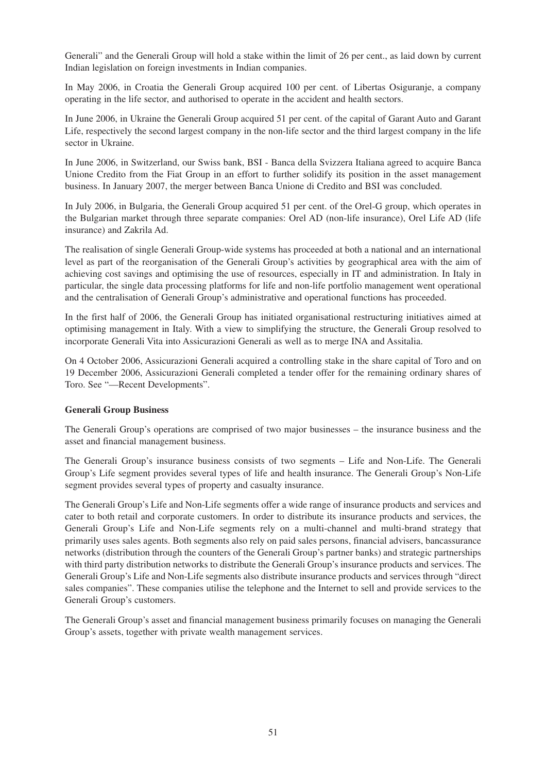Generali" and the Generali Group will hold a stake within the limit of 26 per cent., as laid down by current Indian legislation on foreign investments in Indian companies.

In May 2006, in Croatia the Generali Group acquired 100 per cent. of Libertas Osiguranje, a company operating in the life sector, and authorised to operate in the accident and health sectors.

In June 2006, in Ukraine the Generali Group acquired 51 per cent. of the capital of Garant Auto and Garant Life, respectively the second largest company in the non-life sector and the third largest company in the life sector in Ukraine.

In June 2006, in Switzerland, our Swiss bank, BSI - Banca della Svizzera Italiana agreed to acquire Banca Unione Credito from the Fiat Group in an effort to further solidify its position in the asset management business. In January 2007, the merger between Banca Unione di Credito and BSI was concluded.

In July 2006, in Bulgaria, the Generali Group acquired 51 per cent. of the Orel-G group, which operates in the Bulgarian market through three separate companies: Orel AD (non-life insurance), Orel Life AD (life insurance) and Zakrila Ad.

The realisation of single Generali Group-wide systems has proceeded at both a national and an international level as part of the reorganisation of the Generali Group's activities by geographical area with the aim of achieving cost savings and optimising the use of resources, especially in IT and administration. In Italy in particular, the single data processing platforms for life and non-life portfolio management went operational and the centralisation of Generali Group's administrative and operational functions has proceeded.

In the first half of 2006, the Generali Group has initiated organisational restructuring initiatives aimed at optimising management in Italy. With a view to simplifying the structure, the Generali Group resolved to incorporate Generali Vita into Assicurazioni Generali as well as to merge INA and Assitalia.

On 4 October 2006, Assicurazioni Generali acquired a controlling stake in the share capital of Toro and on 19 December 2006, Assicurazioni Generali completed a tender offer for the remaining ordinary shares of Toro. See "—Recent Developments".

# **Generali Group Business**

The Generali Group's operations are comprised of two major businesses – the insurance business and the asset and financial management business.

The Generali Group's insurance business consists of two segments – Life and Non-Life. The Generali Group's Life segment provides several types of life and health insurance. The Generali Group's Non-Life segment provides several types of property and casualty insurance.

The Generali Group's Life and Non-Life segments offer a wide range of insurance products and services and cater to both retail and corporate customers. In order to distribute its insurance products and services, the Generali Group's Life and Non-Life segments rely on a multi-channel and multi-brand strategy that primarily uses sales agents. Both segments also rely on paid sales persons, financial advisers, bancassurance networks (distribution through the counters of the Generali Group's partner banks) and strategic partnerships with third party distribution networks to distribute the Generali Group's insurance products and services. The Generali Group's Life and Non-Life segments also distribute insurance products and services through "direct sales companies". These companies utilise the telephone and the Internet to sell and provide services to the Generali Group's customers.

The Generali Group's asset and financial management business primarily focuses on managing the Generali Group's assets, together with private wealth management services.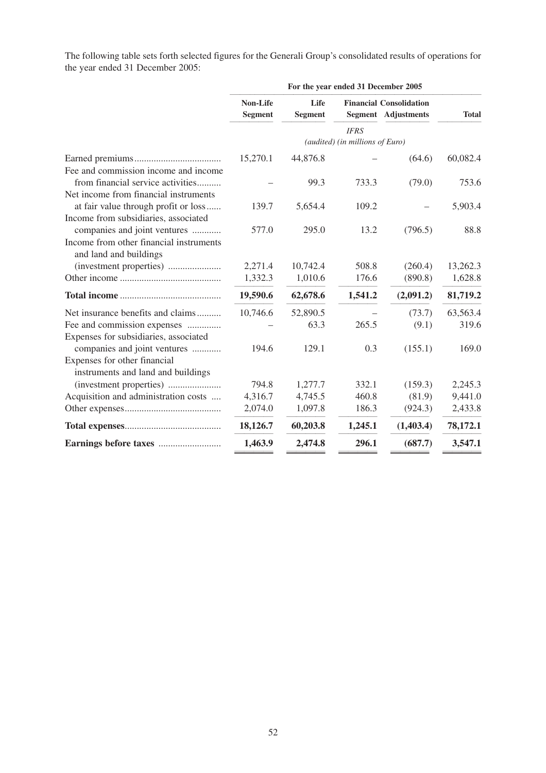The following table sets forth selected figures for the Generali Group's consolidated results of operations for the year ended 31 December 2005:

|                                                                              | For the year ended 31 December 2005 |                        |                                 |                                                              |              |
|------------------------------------------------------------------------------|-------------------------------------|------------------------|---------------------------------|--------------------------------------------------------------|--------------|
|                                                                              | Non-Life<br><b>Segment</b>          | Life<br><b>Segment</b> |                                 | <b>Financial Consolidation</b><br><b>Segment</b> Adjustments | <b>Total</b> |
|                                                                              |                                     |                        | <b>IFRS</b>                     |                                                              |              |
|                                                                              |                                     |                        | (audited) (in millions of Euro) |                                                              |              |
| Fee and commission income and income                                         | 15,270.1                            | 44,876.8               |                                 | (64.6)                                                       | 60,082.4     |
| from financial service activities<br>Net income from financial instruments   |                                     | 99.3                   | 733.3                           | (79.0)                                                       | 753.6        |
| at fair value through profit or loss<br>Income from subsidiaries, associated | 139.7                               | 5,654.4                | 109.2                           |                                                              | 5,903.4      |
| companies and joint ventures                                                 | 577.0                               | 295.0                  | 13.2                            | (796.5)                                                      | 88.8         |
| Income from other financial instruments<br>and land and buildings            |                                     |                        |                                 |                                                              |              |
|                                                                              | 2,271.4                             | 10,742.4               | 508.8                           | (260.4)                                                      | 13,262.3     |
|                                                                              | 1,332.3                             | 1,010.6                | 176.6                           | (890.8)                                                      | 1,628.8      |
|                                                                              | 19,590.6                            | 62,678.6               | 1,541.2                         | (2,091.2)                                                    | 81,719.2     |
| Net insurance benefits and claims                                            | 10,746.6                            | 52,890.5               |                                 | (73.7)                                                       | 63,563.4     |
| Fee and commission expenses<br>Expenses for subsidiaries, associated         |                                     | 63.3                   | 265.5                           | (9.1)                                                        | 319.6        |
| companies and joint ventures                                                 | 194.6                               | 129.1                  | 0.3                             | (155.1)                                                      | 169.0        |
| Expenses for other financial<br>instruments and land and buildings           |                                     |                        |                                 |                                                              |              |
|                                                                              | 794.8                               | 1,277.7                | 332.1                           | (159.3)                                                      | 2,245.3      |
| Acquisition and administration costs                                         | 4,316.7                             | 4,745.5                | 460.8                           | (81.9)                                                       | 9,441.0      |
|                                                                              | 2,074.0                             | 1,097.8                | 186.3                           | (924.3)                                                      | 2,433.8      |
|                                                                              | 18,126.7                            | 60,203.8               | 1,245.1                         | (1,403.4)                                                    | 78,172.1     |
|                                                                              | 1,463.9                             | 2,474.8                | 296.1                           | (687.7)                                                      | 3,547.1      |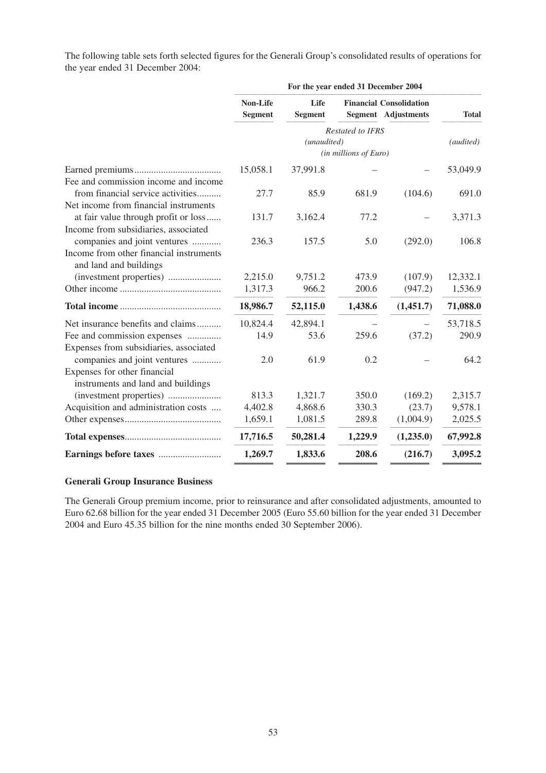The following table sets forth selected figures for the Generali Group's consolidated results of operations for the year ended 31 December 2004:

|                                                                                                    | For the year ended 31 December 2004 |                        |                                           |                                                              |              |
|----------------------------------------------------------------------------------------------------|-------------------------------------|------------------------|-------------------------------------------|--------------------------------------------------------------|--------------|
|                                                                                                    | Non-Life<br><b>Segment</b>          | Life<br><b>Segment</b> |                                           | <b>Financial Consolidation</b><br><b>Segment</b> Adjustments | <b>Total</b> |
|                                                                                                    |                                     | (unaudited)            | Restated to IFRS<br>(in millions of Euro) |                                                              | (audited)    |
| Fee and commission income and income                                                               | 15,058.1                            | 37,991.8               |                                           |                                                              | 53,049.9     |
| from financial service activities<br>Net income from financial instruments                         | 27.7                                | 85.9                   | 681.9                                     | (104.6)                                                      | 691.0        |
| at fair value through profit or loss<br>Income from subsidiaries, associated                       | 131.7                               | 3,162.4                | 77.2                                      |                                                              | 3,371.3      |
| companies and joint ventures<br>Income from other financial instruments<br>and land and buildings  | 236.3                               | 157.5                  | 5.0                                       | (292.0)                                                      | 106.8        |
|                                                                                                    | 2,215.0                             | 9,751.2                | 473.9                                     | (107.9)                                                      | 12,332.1     |
|                                                                                                    | 1,317.3                             | 966.2                  | 200.6                                     | (947.2)                                                      | 1,536.9      |
|                                                                                                    | 18,986.7                            | 52,115.0               | 1,438.6                                   | (1,451.7)                                                    | 71,088.0     |
| Net insurance benefits and claims                                                                  | 10,824.4                            | 42,894.1               |                                           |                                                              | 53,718.5     |
| Fee and commission expenses<br>Expenses from subsidiaries, associated                              | 14.9                                | 53.6                   | 259.6                                     | (37.2)                                                       | 290.9        |
| companies and joint ventures<br>Expenses for other financial<br>instruments and land and buildings | 2.0                                 | 61.9                   | 0.2                                       |                                                              | 64.2         |
|                                                                                                    | 813.3                               | 1,321.7                | 350.0                                     | (169.2)                                                      | 2,315.7      |
| Acquisition and administration costs                                                               | 4,402.8                             | 4,868.6                | 330.3                                     | (23.7)                                                       | 9,578.1      |
|                                                                                                    | 1,659.1                             | 1,081.5                | 289.8                                     | (1,004.9)                                                    | 2,025.5      |
|                                                                                                    | 17,716.5                            | 50,281.4               | 1,229.9                                   | (1,235.0)                                                    | 67,992.8     |
|                                                                                                    | 1,269.7                             | 1,833.6                | 208.6                                     | (216.7)                                                      | 3,095.2      |
|                                                                                                    |                                     |                        |                                           |                                                              |              |

# **Generali Group Insurance Business**

The Generali Group premium income, prior to reinsurance and after consolidated adjustments, amounted to Euro 62.68 billion for the year ended 31 December 2005 (Euro 55.60 billion for the year ended 31 December 2004 and Euro 45.35 billion for the nine months ended 30 September 2006).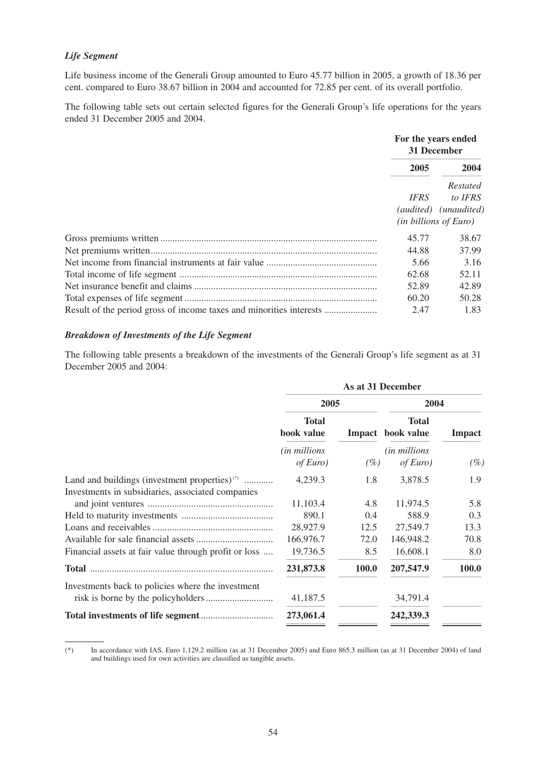# *Life Segment*

Life business income of the Generali Group amounted to Euro 45.77 billion in 2005, a growth of 18.36 per cent. compared to Euro 38.67 billion in 2004 and accounted for 72.85 per cent. of its overall portfolio.

The following table sets out certain selected figures for the Generali Group's life operations for the years ended 31 December 2005 and 2004.

|                                                                     | For the years ended<br>31 December |                                                                                |  |
|---------------------------------------------------------------------|------------------------------------|--------------------------------------------------------------------------------|--|
|                                                                     | 2005                               | 2004                                                                           |  |
|                                                                     | <b>IFRS</b>                        | Restated<br>to IFRS<br>(audited) (unaudited)<br>( <i>in billions of Euro</i> ) |  |
|                                                                     | 45.77                              | 38.67                                                                          |  |
|                                                                     | 44.88                              | 37.99                                                                          |  |
|                                                                     | 5.66                               | 3.16                                                                           |  |
|                                                                     | 62.68                              | 52.11                                                                          |  |
|                                                                     | 52.89                              | 42.89                                                                          |  |
|                                                                     | 60.20                              | 50.28                                                                          |  |
| Result of the period gross of income taxes and minorities interests | 2.47                               | 1.83                                                                           |  |

#### *Breakdown of Investments of the Life Segment*

The following table presents a breakdown of the investments of the Generali Group's life segment as at 31 December 2005 and 2004:

|                                                       | As at 31 December                 |       |                                   |        |  |  |  |  |  |  |  |  |  |  |                                   |               |
|-------------------------------------------------------|-----------------------------------|-------|-----------------------------------|--------|--|--|--|--|--|--|--|--|--|--|-----------------------------------|---------------|
|                                                       | 2005                              |       | 2004                              |        |  |  |  |  |  |  |  |  |  |  |                                   |               |
|                                                       | <b>Total</b><br>book value        |       |                                   |        |  |  |  |  |  |  |  |  |  |  | <b>Total</b><br>Impact book value | <b>Impact</b> |
|                                                       | <i>(in millions</i> )<br>of Euro) | (%)   | <i>(in millions</i> )<br>of Euro) | $(\%)$ |  |  |  |  |  |  |  |  |  |  |                                   |               |
| Land and buildings (investment properties) $(*)$      | 4,239.3                           | 1.8   | 3,878.5                           | 1.9    |  |  |  |  |  |  |  |  |  |  |                                   |               |
| Investments in subsidiaries, associated companies     | 11,103.4                          | 4.8   | 11,974.5                          | 5.8    |  |  |  |  |  |  |  |  |  |  |                                   |               |
|                                                       | 890.1                             | 0.4   | 588.9                             | 0.3    |  |  |  |  |  |  |  |  |  |  |                                   |               |
|                                                       | 28,927.9                          | 12.5  | 27,549.7                          | 13.3   |  |  |  |  |  |  |  |  |  |  |                                   |               |
|                                                       | 166,976.7                         | 72.0  | 146,948.2                         | 70.8   |  |  |  |  |  |  |  |  |  |  |                                   |               |
| Financial assets at fair value through profit or loss | 19,736.5                          | 8.5   | 16,608.1                          | 8.0    |  |  |  |  |  |  |  |  |  |  |                                   |               |
|                                                       | 231,873.8                         | 100.0 | 207,547.9                         | 100.0  |  |  |  |  |  |  |  |  |  |  |                                   |               |
| Investments back to policies where the investment     |                                   |       |                                   |        |  |  |  |  |  |  |  |  |  |  |                                   |               |
|                                                       | 41,187.5                          |       | 34,791.4                          |        |  |  |  |  |  |  |  |  |  |  |                                   |               |
|                                                       | 273,061.4                         |       | 242,339.3                         |        |  |  |  |  |  |  |  |  |  |  |                                   |               |

<sup>(\*)</sup> In accordance with IAS, Euro 1,129.2 million (as at 31 December 2005) and Euro 865.3 million (as at 31 December 2004) of land and buildings used for own activities are classified as tangible assets.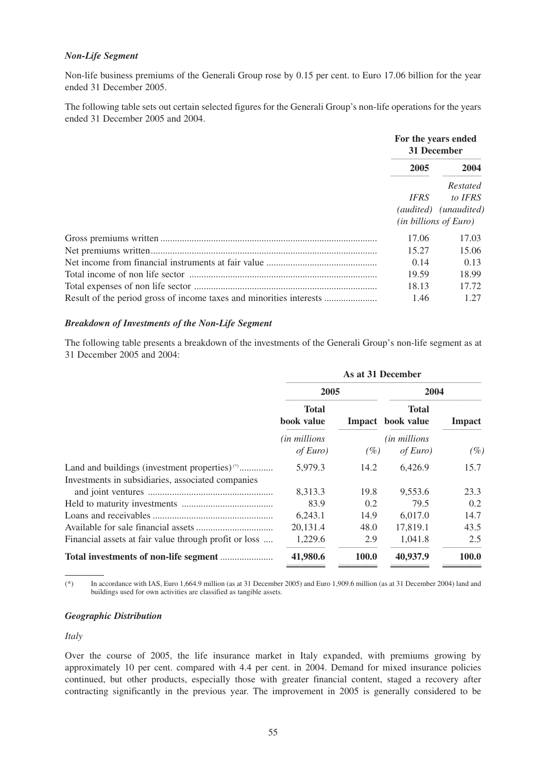### *Non-Life Segment*

Non-life business premiums of the Generali Group rose by 0.15 per cent. to Euro 17.06 billion for the year ended 31 December 2005.

The following table sets out certain selected figures for the Generali Group's non-life operations for the years ended 31 December 2005 and 2004.

|                                                                     | For the years ended<br>31 December |                                                                                |  |
|---------------------------------------------------------------------|------------------------------------|--------------------------------------------------------------------------------|--|
|                                                                     | 2005                               | 2004                                                                           |  |
|                                                                     | IFRS                               | Restated<br>to IFRS<br>(audited) (unaudited)<br>( <i>in billions of Euro</i> ) |  |
|                                                                     | 17.06                              | 17.03                                                                          |  |
|                                                                     | 15.27                              | 15.06                                                                          |  |
|                                                                     | 0.14                               | 0.13                                                                           |  |
|                                                                     | 19.59                              | 18.99                                                                          |  |
|                                                                     | 18.13                              | 17.72                                                                          |  |
| Result of the period gross of income taxes and minorities interests | 1.46                               | 1.27                                                                           |  |

#### *Breakdown of Investments of the Non-Life Segment*

The following table presents a breakdown of the investments of the Generali Group's non-life segment as at 31 December 2005 and 2004:

|                                                                                                                | As at 31 December                                                         |                                   |                                   |       |
|----------------------------------------------------------------------------------------------------------------|---------------------------------------------------------------------------|-----------------------------------|-----------------------------------|-------|
|                                                                                                                | 2005                                                                      |                                   | 2004                              |       |
|                                                                                                                | <b>Total</b><br>book value<br><i>(in millions</i> )<br>of Euro)<br>$(\%)$ | <b>Total</b><br>Impact book value | <b>Impact</b>                     |       |
|                                                                                                                |                                                                           |                                   | <i>(in millions</i> )<br>of Euro) | (%    |
| Land and buildings (investment properties) <sup>(*)</sup><br>Investments in subsidiaries, associated companies | 5,979.3                                                                   | 14.2                              | 6,426.9                           | 15.7  |
|                                                                                                                | 8,313.3                                                                   | 19.8                              | 9,553.6                           | 23.3  |
|                                                                                                                | 83.9                                                                      | 0.2                               | 79.5                              | 0.2   |
|                                                                                                                | 6,243.1                                                                   | 14.9                              | 6,017.0                           | 14.7  |
|                                                                                                                | 20,131.4                                                                  | 48.0                              | 17,819.1                          | 43.5  |
| Financial assets at fair value through profit or loss                                                          | 1,229.6                                                                   | 2.9                               | 1,041.8                           | 2.5   |
|                                                                                                                | 41,980.6                                                                  | 100.0                             | 40,937.9                          | 100.0 |

(\*) In accordance with IAS, Euro 1,664.9 million (as at 31 December 2005) and Euro 1,909.6 million (as at 31 December 2004) land and buildings used for own activities are classified as tangible assets.

### *Geographic Distribution*

#### *Italy*

Over the course of 2005, the life insurance market in Italy expanded, with premiums growing by approximately 10 per cent. compared with 4.4 per cent. in 2004. Demand for mixed insurance policies continued, but other products, especially those with greater financial content, staged a recovery after contracting significantly in the previous year. The improvement in 2005 is generally considered to be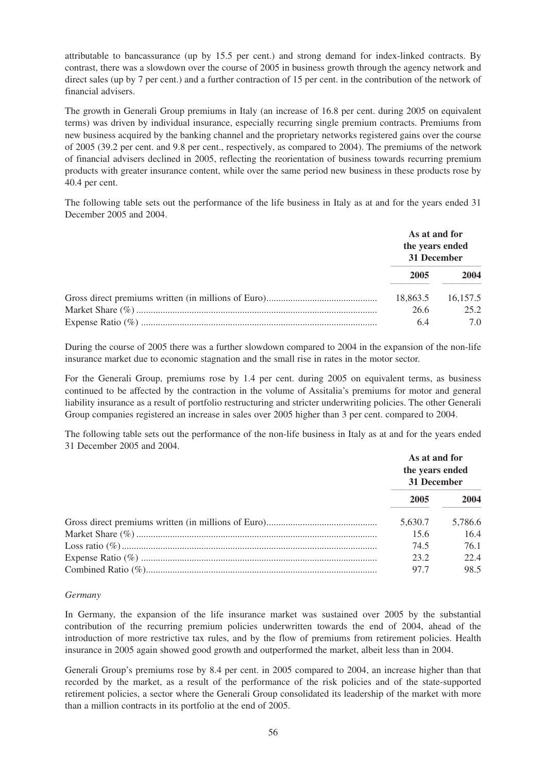attributable to bancassurance (up by 15.5 per cent.) and strong demand for index-linked contracts. By contrast, there was a slowdown over the course of 2005 in business growth through the agency network and direct sales (up by 7 per cent.) and a further contraction of 15 per cent. in the contribution of the network of financial advisers.

The growth in Generali Group premiums in Italy (an increase of 16.8 per cent. during 2005 on equivalent terms) was driven by individual insurance, especially recurring single premium contracts. Premiums from new business acquired by the banking channel and the proprietary networks registered gains over the course of 2005 (39.2 per cent. and 9.8 per cent., respectively, as compared to 2004). The premiums of the network of financial advisers declined in 2005, reflecting the reorientation of business towards recurring premium products with greater insurance content, while over the same period new business in these products rose by 40.4 per cent.

The following table sets out the performance of the life business in Italy as at and for the years ended 31 December 2005 and 2004.

| As at and for<br>the years ended<br>31 December |                         |
|-------------------------------------------------|-------------------------|
| 2005                                            | 2004                    |
| 18,863.5<br>26.6<br>6.4                         | 16.157.5<br>25.2<br>7 Q |

During the course of 2005 there was a further slowdown compared to 2004 in the expansion of the non-life insurance market due to economic stagnation and the small rise in rates in the motor sector.

For the Generali Group, premiums rose by 1.4 per cent. during 2005 on equivalent terms, as business continued to be affected by the contraction in the volume of Assitalia's premiums for motor and general liability insurance as a result of portfolio restructuring and stricter underwriting policies. The other Generali Group companies registered an increase in sales over 2005 higher than 3 per cent. compared to 2004.

The following table sets out the performance of the non-life business in Italy as at and for the years ended 31 December 2005 and 2004.

| As at and for<br>the years ended<br>31 December |         |
|-------------------------------------------------|---------|
| 2005                                            | 2004    |
| 5,630.7                                         | 5,786.6 |
| 15.6                                            | 16.4    |
| 74.5                                            | 76.1    |
| 23.2                                            | 22.4    |
| 97.7                                            | 98.5    |

#### *Germany*

In Germany, the expansion of the life insurance market was sustained over 2005 by the substantial contribution of the recurring premium policies underwritten towards the end of 2004, ahead of the introduction of more restrictive tax rules, and by the flow of premiums from retirement policies. Health insurance in 2005 again showed good growth and outperformed the market, albeit less than in 2004.

Generali Group's premiums rose by 8.4 per cent. in 2005 compared to 2004, an increase higher than that recorded by the market, as a result of the performance of the risk policies and of the state-supported retirement policies, a sector where the Generali Group consolidated its leadership of the market with more than a million contracts in its portfolio at the end of 2005.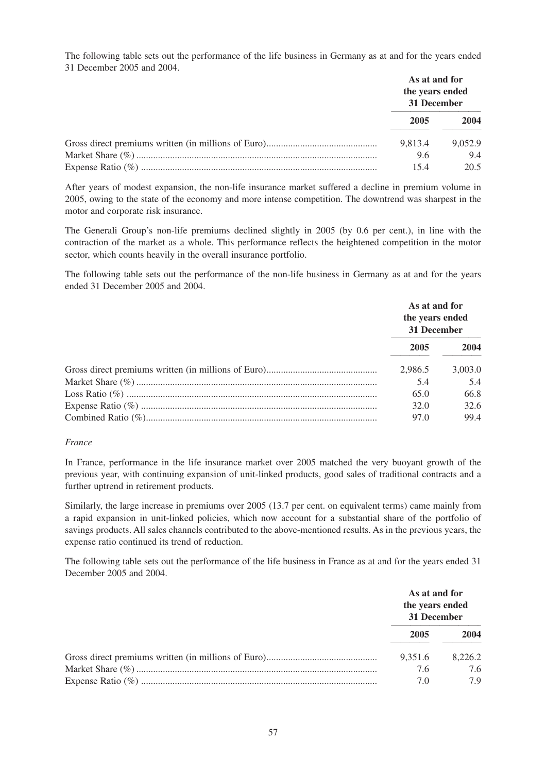The following table sets out the performance of the life business in Germany as at and for the years ended 31 December 2005 and 2004.

| As at and for<br>the years ended<br>31 December |         |
|-------------------------------------------------|---------|
| 2005                                            | 2004    |
| 9.813.4                                         | 9.052.9 |
| 9.6                                             | 9.4     |
| 154                                             | 20.5    |

After years of modest expansion, the non-life insurance market suffered a decline in premium volume in 2005, owing to the state of the economy and more intense competition. The downtrend was sharpest in the motor and corporate risk insurance.

The Generali Group's non-life premiums declined slightly in 2005 (by 0.6 per cent.), in line with the contraction of the market as a whole. This performance reflects the heightened competition in the motor sector, which counts heavily in the overall insurance portfolio.

The following table sets out the performance of the non-life business in Germany as at and for the years ended 31 December 2005 and 2004.

| As at and for<br>the years ended<br>31 December |         |
|-------------------------------------------------|---------|
| 2005                                            | 2004    |
| 2.986.5                                         | 3,003.0 |
| 5.4                                             | 5.4     |
| 65.0                                            | 66.8    |
| 32.0                                            | 32.6    |
| 97.0                                            | 99.4    |

#### *France*

In France, performance in the life insurance market over 2005 matched the very buoyant growth of the previous year, with continuing expansion of unit-linked products, good sales of traditional contracts and a further uptrend in retirement products.

Similarly, the large increase in premiums over 2005 (13.7 per cent. on equivalent terms) came mainly from a rapid expansion in unit-linked policies, which now account for a substantial share of the portfolio of savings products. All sales channels contributed to the above-mentioned results. As in the previous years, the expense ratio continued its trend of reduction.

The following table sets out the performance of the life business in France as at and for the years ended 31 December 2005 and 2004.

| As at and for<br>the years ended<br>31 December |         |
|-------------------------------------------------|---------|
| 2005                                            | 2004    |
| 9,351.6                                         | 8.226.2 |
| 7.6                                             | 7.6     |
| 7.0                                             | 79      |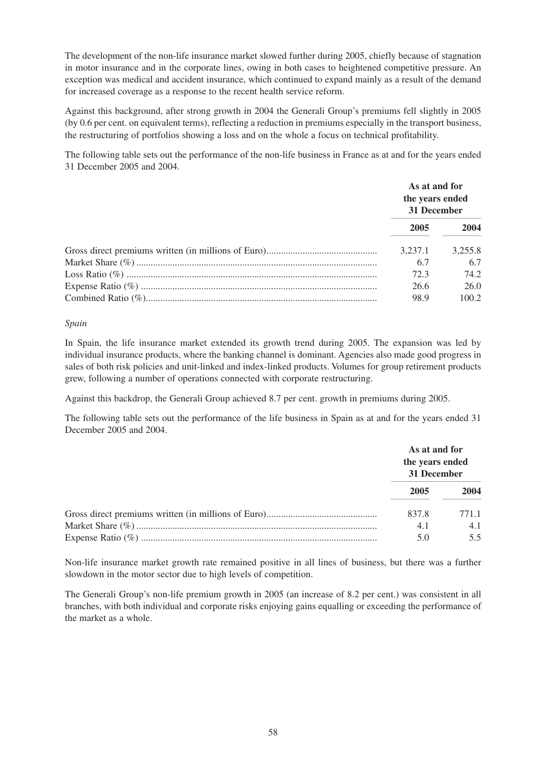The development of the non-life insurance market slowed further during 2005, chiefly because of stagnation in motor insurance and in the corporate lines, owing in both cases to heightened competitive pressure. An exception was medical and accident insurance, which continued to expand mainly as a result of the demand for increased coverage as a response to the recent health service reform.

Against this background, after strong growth in 2004 the Generali Group's premiums fell slightly in 2005 (by 0.6 per cent. on equivalent terms), reflecting a reduction in premiums especially in the transport business, the restructuring of portfolios showing a loss and on the whole a focus on technical profitability.

The following table sets out the performance of the non-life business in France as at and for the years ended 31 December 2005 and 2004.

| As at and for<br>the years ended<br>31 December |         |
|-------------------------------------------------|---------|
| 2005                                            | 2004    |
| 3.237.1                                         | 3.255.8 |
| 6.7                                             | 6.7     |
| 72.3                                            | 74.2    |
| 26.6                                            | 26.0    |
| 98.9                                            | 100.2   |

### *Spain*

In Spain, the life insurance market extended its growth trend during 2005. The expansion was led by individual insurance products, where the banking channel is dominant. Agencies also made good progress in sales of both risk policies and unit-linked and index-linked products. Volumes for group retirement products grew, following a number of operations connected with corporate restructuring.

Against this backdrop, the Generali Group achieved 8.7 per cent. growth in premiums during 2005.

The following table sets out the performance of the life business in Spain as at and for the years ended 31 December 2005 and 2004.

|       | As at and for<br>the years ended<br>31 December |  |
|-------|-------------------------------------------------|--|
| 2005  | 2004                                            |  |
| 837.8 | 771.1                                           |  |
| 4.1   | 4.1                                             |  |
| 5.0   | 55                                              |  |

Non-life insurance market growth rate remained positive in all lines of business, but there was a further slowdown in the motor sector due to high levels of competition.

The Generali Group's non-life premium growth in 2005 (an increase of 8.2 per cent.) was consistent in all branches, with both individual and corporate risks enjoying gains equalling or exceeding the performance of the market as a whole.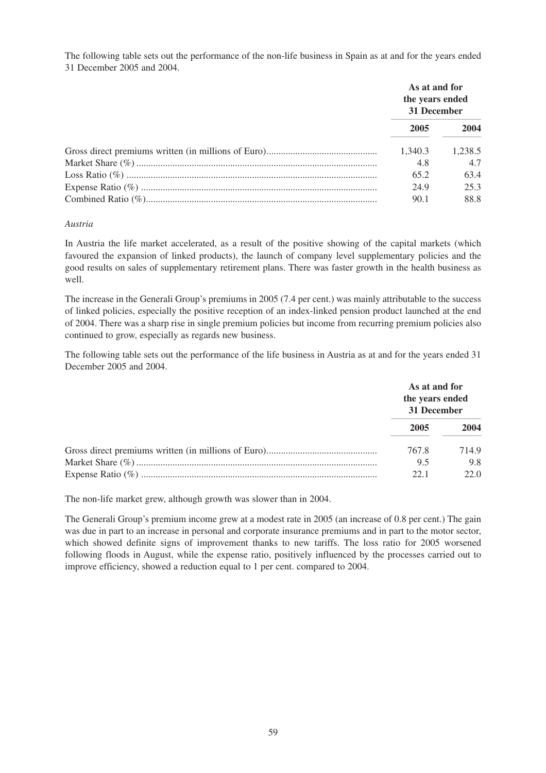The following table sets out the performance of the non-life business in Spain as at and for the years ended 31 December 2005 and 2004.

| As at and for<br>the years ended<br>31 December |         |
|-------------------------------------------------|---------|
| 2005                                            | 2004    |
| 1.340.3                                         | 1.238.5 |
| 4.8                                             | 4.7     |
| 65.2                                            | 63.4    |
| 24.9                                            | 25.3    |
| 90.1                                            | 88.8    |

### *Austria*

In Austria the life market accelerated, as a result of the positive showing of the capital markets (which favoured the expansion of linked products), the launch of company level supplementary policies and the good results on sales of supplementary retirement plans. There was faster growth in the health business as well.

The increase in the Generali Group's premiums in 2005 (7.4 per cent.) was mainly attributable to the success of linked policies, especially the positive reception of an index-linked pension product launched at the end of 2004. There was a sharp rise in single premium policies but income from recurring premium policies also continued to grow, especially as regards new business.

The following table sets out the performance of the life business in Austria as at and for the years ended 31 December 2005 and 2004.

|       | As at and for<br>the years ended<br>31 December |  |
|-------|-------------------------------------------------|--|
| 2005  | 2004                                            |  |
| 767.8 | 714.9                                           |  |
| 9.5   | 9.8                                             |  |
| 221   | 22.O                                            |  |

The non-life market grew, although growth was slower than in 2004.

The Generali Group's premium income grew at a modest rate in 2005 (an increase of 0.8 per cent.) The gain was due in part to an increase in personal and corporate insurance premiums and in part to the motor sector, which showed definite signs of improvement thanks to new tariffs. The loss ratio for 2005 worsened following floods in August, while the expense ratio, positively influenced by the processes carried out to improve efficiency, showed a reduction equal to 1 per cent. compared to 2004.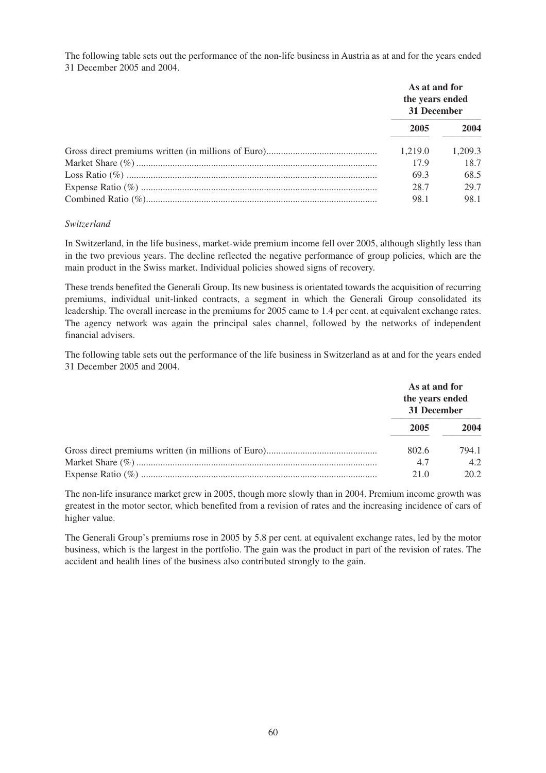The following table sets out the performance of the non-life business in Austria as at and for the years ended 31 December 2005 and 2004.

| As at and for<br>the years ended<br>31 December |         |
|-------------------------------------------------|---------|
| 2005                                            | 2004    |
| 1.219.0                                         | 1.209.3 |
| 17.9                                            | 18.7    |
| 69.3                                            | 68.5    |
| 28.7                                            | 29.7    |
| 98.1                                            | 98.1    |

### *Switzerland*

In Switzerland, in the life business, market-wide premium income fell over 2005, although slightly less than in the two previous years. The decline reflected the negative performance of group policies, which are the main product in the Swiss market. Individual policies showed signs of recovery.

These trends benefited the Generali Group. Its new business is orientated towards the acquisition of recurring premiums, individual unit-linked contracts, a segment in which the Generali Group consolidated its leadership. The overall increase in the premiums for 2005 came to 1.4 per cent. at equivalent exchange rates. The agency network was again the principal sales channel, followed by the networks of independent financial advisers.

The following table sets out the performance of the life business in Switzerland as at and for the years ended 31 December 2005 and 2004.

| As at and for<br>the years ended<br>31 December |       |
|-------------------------------------------------|-------|
| 2005                                            | 2004  |
| 802.6                                           | 794.1 |
| 4.7                                             | 4.2   |
| 21.0                                            | 20.2  |

The non-life insurance market grew in 2005, though more slowly than in 2004. Premium income growth was greatest in the motor sector, which benefited from a revision of rates and the increasing incidence of cars of higher value.

The Generali Group's premiums rose in 2005 by 5.8 per cent. at equivalent exchange rates, led by the motor business, which is the largest in the portfolio. The gain was the product in part of the revision of rates. The accident and health lines of the business also contributed strongly to the gain.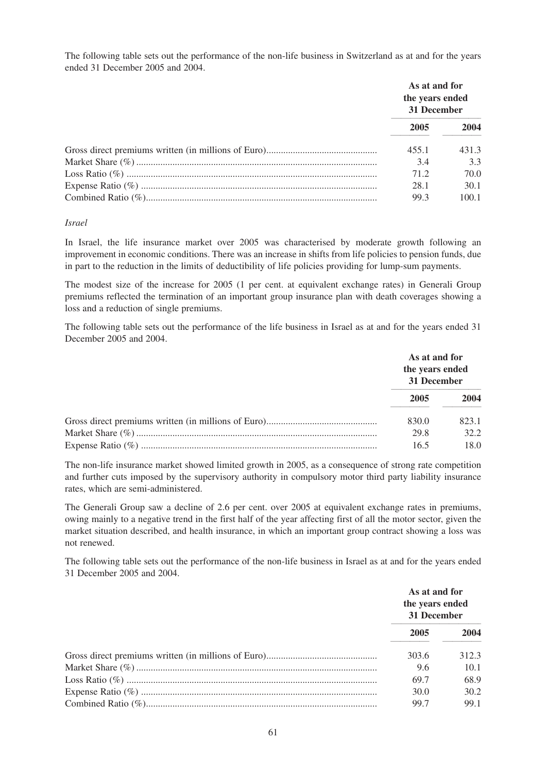The following table sets out the performance of the non-life business in Switzerland as at and for the years ended 31 December 2005 and 2004.

| As at and for<br>the years ended<br>31 December |       |
|-------------------------------------------------|-------|
| 2005                                            | 2004  |
| 455.1                                           | 431.3 |
| 3.4                                             | 33    |
| 71.2                                            | 70.0  |
| 28.1                                            | 30.1  |
| 99.3                                            | 100.1 |

### *Israel*

In Israel, the life insurance market over 2005 was characterised by moderate growth following an improvement in economic conditions. There was an increase in shifts from life policies to pension funds, due in part to the reduction in the limits of deductibility of life policies providing for lump-sum payments.

The modest size of the increase for 2005 (1 per cent. at equivalent exchange rates) in Generali Group premiums reflected the termination of an important group insurance plan with death coverages showing a loss and a reduction of single premiums.

The following table sets out the performance of the life business in Israel as at and for the years ended 31 December 2005 and 2004.

|       | As at and for<br>the years ended<br>31 December |  |
|-------|-------------------------------------------------|--|
| 2005  | 2004                                            |  |
| 830.0 | 823.1                                           |  |
| 29.8  | 32.2                                            |  |
| 16.5  | 18.0                                            |  |

The non-life insurance market showed limited growth in 2005, as a consequence of strong rate competition and further cuts imposed by the supervisory authority in compulsory motor third party liability insurance rates, which are semi-administered.

The Generali Group saw a decline of 2.6 per cent. over 2005 at equivalent exchange rates in premiums, owing mainly to a negative trend in the first half of the year affecting first of all the motor sector, given the market situation described, and health insurance, in which an important group contract showing a loss was not renewed.

The following table sets out the performance of the non-life business in Israel as at and for the years ended 31 December 2005 and 2004.

| As at and for<br>the years ended<br>31 December |       |
|-------------------------------------------------|-------|
| 2005                                            | 2004  |
| 303.6                                           | 312.3 |
| 9.6                                             | 10.1  |
| 69.7                                            | 68.9  |
| 30.0                                            | 30.2  |
| 99.7                                            | 99.1  |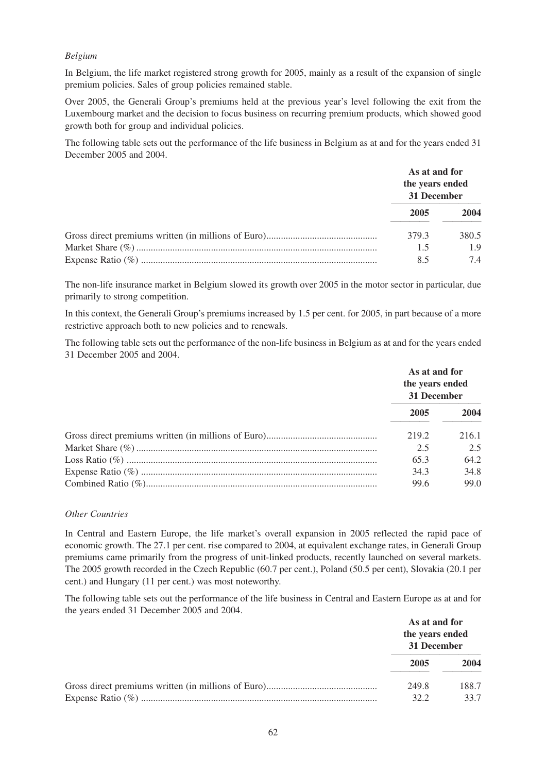### *Belgium*

In Belgium, the life market registered strong growth for 2005, mainly as a result of the expansion of single premium policies. Sales of group policies remained stable.

Over 2005, the Generali Group's premiums held at the previous year's level following the exit from the Luxembourg market and the decision to focus business on recurring premium products, which showed good growth both for group and individual policies.

The following table sets out the performance of the life business in Belgium as at and for the years ended 31 December 2005 and 2004.

|       | As at and for<br>the years ended<br>31 December |  |
|-------|-------------------------------------------------|--|
| 2005  | 2004                                            |  |
| 379.3 | 380.5                                           |  |
| 1.5   | 1.9                                             |  |
| 85    | 74                                              |  |

The non-life insurance market in Belgium slowed its growth over 2005 in the motor sector in particular, due primarily to strong competition.

In this context, the Generali Group's premiums increased by 1.5 per cent. for 2005, in part because of a more restrictive approach both to new policies and to renewals.

The following table sets out the performance of the non-life business in Belgium as at and for the years ended 31 December 2005 and 2004.

|       | As at and for<br>the years ended<br>31 December |  |
|-------|-------------------------------------------------|--|
| 2005  | 2004                                            |  |
| 219.2 | 216.1                                           |  |
| 2.5   | 2.5                                             |  |
| 65.3  | 64.2                                            |  |
| 34.3  | 34.8                                            |  |
| 99.6  | 99.0                                            |  |

#### *Other Countries*

In Central and Eastern Europe, the life market's overall expansion in 2005 reflected the rapid pace of economic growth. The 27.1 per cent. rise compared to 2004, at equivalent exchange rates, in Generali Group premiums came primarily from the progress of unit-linked products, recently launched on several markets. The 2005 growth recorded in the Czech Republic (60.7 per cent.), Poland (50.5 per cent), Slovakia (20.1 per cent.) and Hungary (11 per cent.) was most noteworthy.

The following table sets out the performance of the life business in Central and Eastern Europe as at and for the years ended 31 December 2005 and 2004.

| As at and for<br>the years ended<br>31 December |       |
|-------------------------------------------------|-------|
| 2005                                            | 2004  |
| 249.8                                           | 188.7 |
| 32.2                                            | 33.7  |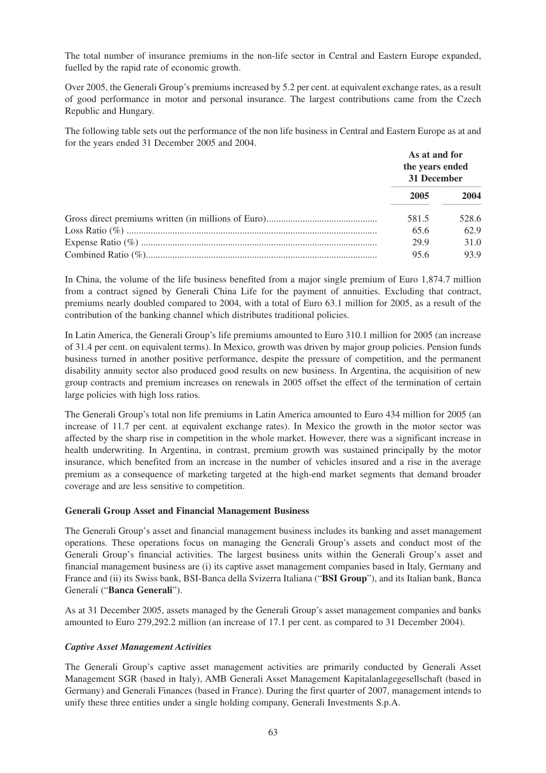The total number of insurance premiums in the non-life sector in Central and Eastern Europe expanded, fuelled by the rapid rate of economic growth.

Over 2005, the Generali Group's premiums increased by 5.2 per cent. at equivalent exchange rates, as a result of good performance in motor and personal insurance. The largest contributions came from the Czech Republic and Hungary.

The following table sets out the performance of the non life business in Central and Eastern Europe as at and for the years ended 31 December 2005 and 2004.

| As at and for<br>the years ended<br>31 December |       |
|-------------------------------------------------|-------|
| 2005                                            | 2004  |
| 581.5                                           | 528.6 |
| 65.6                                            | 62.9  |
| 29.9                                            | 31.0  |
| 95.6                                            | 93.9  |

In China, the volume of the life business benefited from a major single premium of Euro 1,874.7 million from a contract signed by Generali China Life for the payment of annuities. Excluding that contract, premiums nearly doubled compared to 2004, with a total of Euro 63.1 million for 2005, as a result of the contribution of the banking channel which distributes traditional policies.

In Latin America, the Generali Group's life premiums amounted to Euro 310.1 million for 2005 (an increase of 31.4 per cent. on equivalent terms). In Mexico, growth was driven by major group policies. Pension funds business turned in another positive performance, despite the pressure of competition, and the permanent disability annuity sector also produced good results on new business. In Argentina, the acquisition of new group contracts and premium increases on renewals in 2005 offset the effect of the termination of certain large policies with high loss ratios.

The Generali Group's total non life premiums in Latin America amounted to Euro 434 million for 2005 (an increase of 11.7 per cent. at equivalent exchange rates). In Mexico the growth in the motor sector was affected by the sharp rise in competition in the whole market. However, there was a significant increase in health underwriting. In Argentina, in contrast, premium growth was sustained principally by the motor insurance, which benefited from an increase in the number of vehicles insured and a rise in the average premium as a consequence of marketing targeted at the high-end market segments that demand broader coverage and are less sensitive to competition.

# **Generali Group Asset and Financial Management Business**

The Generali Group's asset and financial management business includes its banking and asset management operations. These operations focus on managing the Generali Group's assets and conduct most of the Generali Group's financial activities. The largest business units within the Generali Group's asset and financial management business are (i) its captive asset management companies based in Italy, Germany and France and (ii) its Swiss bank, BSI-Banca della Svizerra Italiana ("**BSI Group**"), and its Italian bank, Banca Generali ("**Banca Generali**").

As at 31 December 2005, assets managed by the Generali Group's asset management companies and banks amounted to Euro 279,292.2 million (an increase of 17.1 per cent. as compared to 31 December 2004).

# *Captive Asset Management Activities*

The Generali Group's captive asset management activities are primarily conducted by Generali Asset Management SGR (based in Italy), AMB Generali Asset Management Kapitalanlagegesellschaft (based in Germany) and Generali Finances (based in France). During the first quarter of 2007, management intends to unify these three entities under a single holding company, Generali Investments S.p.A.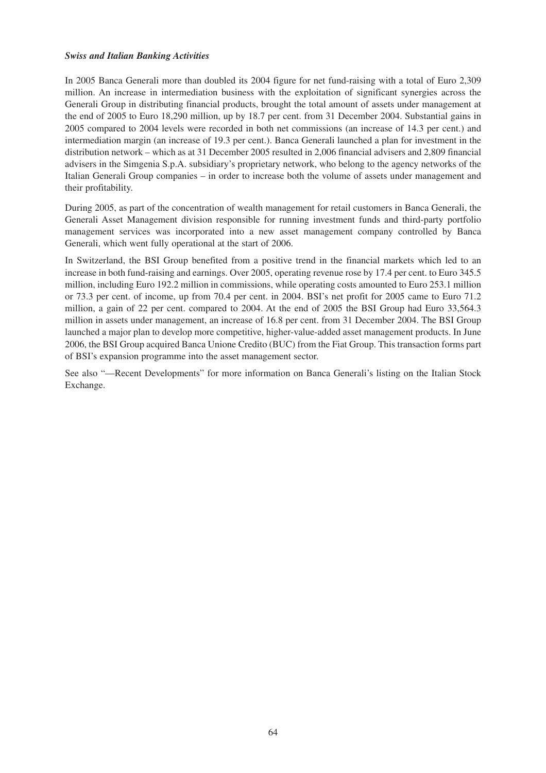### *Swiss and Italian Banking Activities*

In 2005 Banca Generali more than doubled its 2004 figure for net fund-raising with a total of Euro 2,309 million. An increase in intermediation business with the exploitation of significant synergies across the Generali Group in distributing financial products, brought the total amount of assets under management at the end of 2005 to Euro 18,290 million, up by 18.7 per cent. from 31 December 2004. Substantial gains in 2005 compared to 2004 levels were recorded in both net commissions (an increase of 14.3 per cent.) and intermediation margin (an increase of 19.3 per cent.). Banca Generali launched a plan for investment in the distribution network – which as at 31 December 2005 resulted in 2,006 financial advisers and 2,809 financial advisers in the Simgenia S.p.A. subsidiary's proprietary network, who belong to the agency networks of the Italian Generali Group companies – in order to increase both the volume of assets under management and their profitability.

During 2005, as part of the concentration of wealth management for retail customers in Banca Generali, the Generali Asset Management division responsible for running investment funds and third-party portfolio management services was incorporated into a new asset management company controlled by Banca Generali, which went fully operational at the start of 2006.

In Switzerland, the BSI Group benefited from a positive trend in the financial markets which led to an increase in both fund-raising and earnings. Over 2005, operating revenue rose by 17.4 per cent. to Euro 345.5 million, including Euro 192.2 million in commissions, while operating costs amounted to Euro 253.1 million or 73.3 per cent. of income, up from 70.4 per cent. in 2004. BSI's net profit for 2005 came to Euro 71.2 million, a gain of 22 per cent. compared to 2004. At the end of 2005 the BSI Group had Euro 33,564.3 million in assets under management, an increase of 16.8 per cent. from 31 December 2004. The BSI Group launched a major plan to develop more competitive, higher-value-added asset management products. In June 2006, the BSI Group acquired Banca Unione Credito (BUC) from the Fiat Group. This transaction forms part of BSI's expansion programme into the asset management sector.

See also "—Recent Developments" for more information on Banca Generali's listing on the Italian Stock Exchange.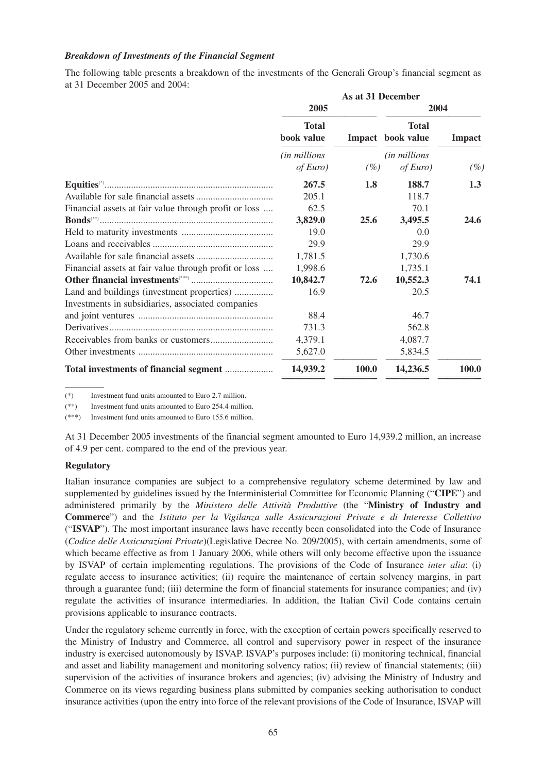### *Breakdown of Investments of the Financial Segment*

The following table presents a breakdown of the investments of the Generali Group's financial segment as at 31 December 2005 and 2004:

|                                                       | As at 31 December                 |        |                            |               |
|-------------------------------------------------------|-----------------------------------|--------|----------------------------|---------------|
|                                                       | 2005                              |        | 2004                       |               |
|                                                       | <b>Total</b><br>book value        | Impact | <b>Total</b><br>book value | <b>Impact</b> |
|                                                       | <i>(in millions</i> )<br>of Euro) | $(\%)$ | (in millions<br>of Euro)   | $(\%)$        |
| $Equities(*)$                                         | 267.5                             | 1.8    | 188.7                      | 1.3           |
|                                                       | 205.1                             |        | 118.7                      |               |
| Financial assets at fair value through profit or loss | 62.5                              |        | 70.1                       |               |
|                                                       | 3,829.0                           | 25.6   | 3,495.5                    | 24.6          |
|                                                       | 19.0                              |        | 0.0                        |               |
|                                                       | 29.9                              |        | 29.9                       |               |
|                                                       | 1,781.5                           |        | 1,730.6                    |               |
| Financial assets at fair value through profit or loss | 1,998.6                           |        | 1,735.1                    |               |
|                                                       | 10,842.7                          | 72.6   | 10,552.3                   | 74.1          |
| Land and buildings (investment properties)            | 16.9                              |        | 20.5                       |               |
| Investments in subsidiaries, associated companies     |                                   |        |                            |               |
|                                                       | 88.4                              |        | 46.7                       |               |
|                                                       | 731.3                             |        | 562.8                      |               |
|                                                       | 4,379.1                           |        | 4,087.7                    |               |
|                                                       | 5,627.0                           |        | 5,834.5                    |               |
|                                                       | 14,939.2                          | 100.0  | 14,236.5                   | 100.0         |

(\*) Investment fund units amounted to Euro 2.7 million.

(\*\*) Investment fund units amounted to Euro 254.4 million.

Investment fund units amounted to Euro 155.6 million.

At 31 December 2005 investments of the financial segment amounted to Euro 14,939.2 million, an increase of 4.9 per cent. compared to the end of the previous year.

#### **Regulatory**

Italian insurance companies are subject to a comprehensive regulatory scheme determined by law and supplemented by guidelines issued by the Interministerial Committee for Economic Planning ("**CIPE**") and administered primarily by the *Ministero delle Attività Produttive* (the "**Ministry of Industry and Commerce**") and the *Istituto per la Vigilanza sulle Assicurazioni Private e di Interesse Collettivo* ("**ISVAP**"). The most important insurance laws have recently been consolidated into the Code of Insurance (*Codice delle Assicurazioni Private*)(Legislative Decree No. 209/2005), with certain amendments, some of which became effective as from 1 January 2006, while others will only become effective upon the issuance by ISVAP of certain implementing regulations. The provisions of the Code of Insurance *inter alia*: (i) regulate access to insurance activities; (ii) require the maintenance of certain solvency margins, in part through a guarantee fund; (iii) determine the form of financial statements for insurance companies; and (iv) regulate the activities of insurance intermediaries. In addition, the Italian Civil Code contains certain provisions applicable to insurance contracts.

Under the regulatory scheme currently in force, with the exception of certain powers specifically reserved to the Ministry of Industry and Commerce, all control and supervisory power in respect of the insurance industry is exercised autonomously by ISVAP. ISVAP's purposes include: (i) monitoring technical, financial and asset and liability management and monitoring solvency ratios; (ii) review of financial statements; (iii) supervision of the activities of insurance brokers and agencies; (iv) advising the Ministry of Industry and Commerce on its views regarding business plans submitted by companies seeking authorisation to conduct insurance activities (upon the entry into force of the relevant provisions of the Code of Insurance, ISVAP will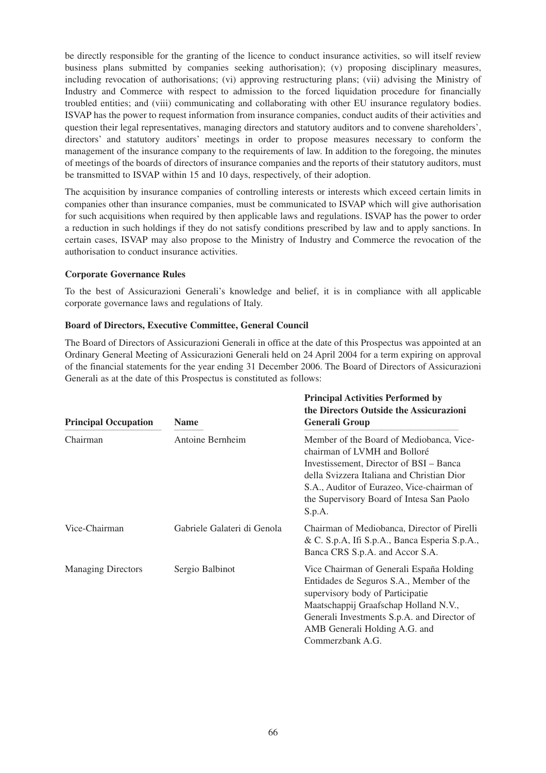be directly responsible for the granting of the licence to conduct insurance activities, so will itself review business plans submitted by companies seeking authorisation); (v) proposing disciplinary measures, including revocation of authorisations; (vi) approving restructuring plans; (vii) advising the Ministry of Industry and Commerce with respect to admission to the forced liquidation procedure for financially troubled entities; and (viii) communicating and collaborating with other EU insurance regulatory bodies. ISVAP has the power to request information from insurance companies, conduct audits of their activities and question their legal representatives, managing directors and statutory auditors and to convene shareholders', directors' and statutory auditors' meetings in order to propose measures necessary to conform the management of the insurance company to the requirements of law. In addition to the foregoing, the minutes of meetings of the boards of directors of insurance companies and the reports of their statutory auditors, must be transmitted to ISVAP within 15 and 10 days, respectively, of their adoption.

The acquisition by insurance companies of controlling interests or interests which exceed certain limits in companies other than insurance companies, must be communicated to ISVAP which will give authorisation for such acquisitions when required by then applicable laws and regulations. ISVAP has the power to order a reduction in such holdings if they do not satisfy conditions prescribed by law and to apply sanctions. In certain cases, ISVAP may also propose to the Ministry of Industry and Commerce the revocation of the authorisation to conduct insurance activities.

# **Corporate Governance Rules**

To the best of Assicurazioni Generali's knowledge and belief, it is in compliance with all applicable corporate governance laws and regulations of Italy.

# **Board of Directors, Executive Committee, General Council**

The Board of Directors of Assicurazioni Generali in office at the date of this Prospectus was appointed at an Ordinary General Meeting of Assicurazioni Generali held on 24 April 2004 for a term expiring on approval of the financial statements for the year ending 31 December 2006. The Board of Directors of Assicurazioni Generali as at the date of this Prospectus is constituted as follows:

| <b>Principal Occupation</b> | <b>Name</b>                 | <b>Principal Activities Performed by</b><br>the Directors Outside the Assicurazioni<br><b>Generali Group</b>                                                                                                                                                           |  |  |
|-----------------------------|-----------------------------|------------------------------------------------------------------------------------------------------------------------------------------------------------------------------------------------------------------------------------------------------------------------|--|--|
| Chairman                    | Antoine Bernheim            | Member of the Board of Mediobanca, Vice-<br>chairman of LVMH and Bolloré<br>Investissement, Director of BSI – Banca<br>della Svizzera Italiana and Christian Dior<br>S.A., Auditor of Eurazeo, Vice-chairman of<br>the Supervisory Board of Intesa San Paolo<br>S.p.A. |  |  |
| Vice-Chairman               | Gabriele Galateri di Genola | Chairman of Mediobanca, Director of Pirelli<br>& C. S.p.A, Ifi S.p.A., Banca Esperia S.p.A.,<br>Banca CRS S.p.A. and Accor S.A.                                                                                                                                        |  |  |
| <b>Managing Directors</b>   | Sergio Balbinot             | Vice Chairman of Generali España Holding<br>Entidades de Seguros S.A., Member of the<br>supervisory body of Participatie<br>Maatschappij Graafschap Holland N.V.,<br>Generali Investments S.p.A. and Director of<br>AMB Generali Holding A.G. and<br>Commerzbank A.G.  |  |  |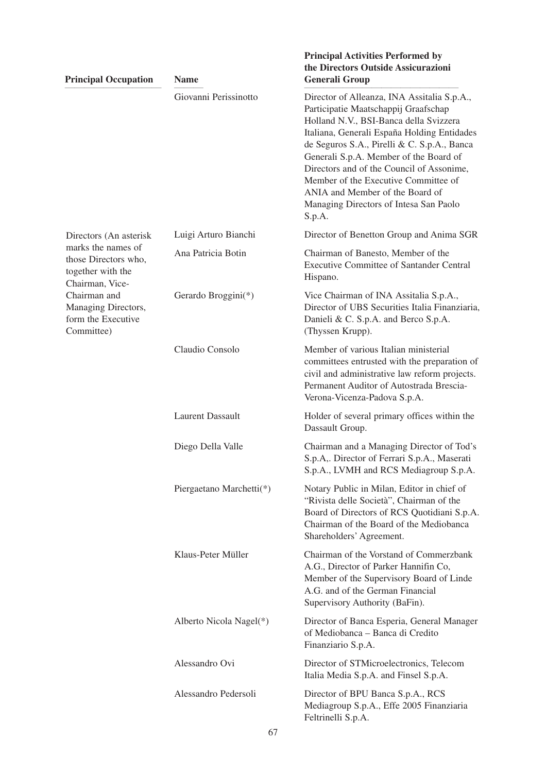| <b>Principal Occupation</b>                                                                                                                                   | <b>Name</b>              | the Directors Outside Assicurazioni<br><b>Generali Group</b>                                                                                                                                                                                                                                                                                                                                                                                      |
|---------------------------------------------------------------------------------------------------------------------------------------------------------------|--------------------------|---------------------------------------------------------------------------------------------------------------------------------------------------------------------------------------------------------------------------------------------------------------------------------------------------------------------------------------------------------------------------------------------------------------------------------------------------|
|                                                                                                                                                               | Giovanni Perissinotto    | Director of Alleanza, INA Assitalia S.p.A.,<br>Participatie Maatschappij Graafschap<br>Holland N.V., BSI-Banca della Svizzera<br>Italiana, Generali España Holding Entidades<br>de Seguros S.A., Pirelli & C. S.p.A., Banca<br>Generali S.p.A. Member of the Board of<br>Directors and of the Council of Assonime,<br>Member of the Executive Committee of<br>ANIA and Member of the Board of<br>Managing Directors of Intesa San Paolo<br>S.p.A. |
| Directors (An asterisk                                                                                                                                        | Luigi Arturo Bianchi     | Director of Benetton Group and Anima SGR                                                                                                                                                                                                                                                                                                                                                                                                          |
| marks the names of<br>those Directors who,<br>together with the<br>Chairman, Vice-<br>Chairman and<br>Managing Directors,<br>form the Executive<br>Committee) | Ana Patricia Botin       | Chairman of Banesto, Member of the<br><b>Executive Committee of Santander Central</b><br>Hispano.                                                                                                                                                                                                                                                                                                                                                 |
|                                                                                                                                                               | Gerardo Broggini(*)      | Vice Chairman of INA Assitalia S.p.A.,<br>Director of UBS Securities Italia Finanziaria,<br>Danieli & C. S.p.A. and Berco S.p.A.<br>(Thyssen Krupp).                                                                                                                                                                                                                                                                                              |
|                                                                                                                                                               | Claudio Consolo          | Member of various Italian ministerial<br>committees entrusted with the preparation of<br>civil and administrative law reform projects.<br>Permanent Auditor of Autostrada Brescia-<br>Verona-Vicenza-Padova S.p.A.                                                                                                                                                                                                                                |
|                                                                                                                                                               | <b>Laurent Dassault</b>  | Holder of several primary offices within the<br>Dassault Group.                                                                                                                                                                                                                                                                                                                                                                                   |
|                                                                                                                                                               | Diego Della Valle        | Chairman and a Managing Director of Tod's<br>S.p.A,. Director of Ferrari S.p.A., Maserati<br>S.p.A., LVMH and RCS Mediagroup S.p.A.                                                                                                                                                                                                                                                                                                               |
|                                                                                                                                                               | Piergaetano Marchetti(*) | Notary Public in Milan, Editor in chief of<br>"Rivista delle Società", Chairman of the<br>Board of Directors of RCS Quotidiani S.p.A.<br>Chairman of the Board of the Mediobanca<br>Shareholders' Agreement.                                                                                                                                                                                                                                      |
|                                                                                                                                                               | Klaus-Peter Müller       | Chairman of the Vorstand of Commerzbank<br>A.G., Director of Parker Hannifin Co,<br>Member of the Supervisory Board of Linde<br>A.G. and of the German Financial<br>Supervisory Authority (BaFin).                                                                                                                                                                                                                                                |
|                                                                                                                                                               | Alberto Nicola Nagel(*)  | Director of Banca Esperia, General Manager<br>of Mediobanca - Banca di Credito<br>Finanziario S.p.A.                                                                                                                                                                                                                                                                                                                                              |
|                                                                                                                                                               | Alessandro Ovi           | Director of STMicroelectronics, Telecom<br>Italia Media S.p.A. and Finsel S.p.A.                                                                                                                                                                                                                                                                                                                                                                  |
|                                                                                                                                                               | Alessandro Pedersoli     | Director of BPU Banca S.p.A., RCS<br>Mediagroup S.p.A., Effe 2005 Finanziaria<br>Feltrinelli S.p.A.                                                                                                                                                                                                                                                                                                                                               |

**Principal Activities Performed by**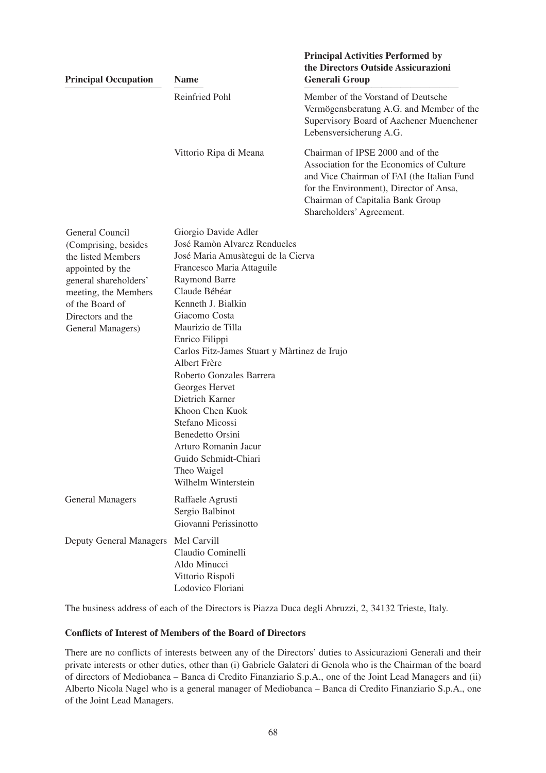| <b>Principal Occupation</b>                                                                                                                                                                     | <b>Name</b>                                                                                                                                                                                                                                                                                                                                                                                                                                                                                                                     | <b>Principal Activities Performed by</b><br>the Directors Outside Assicurazioni<br><b>Generali Group</b>                                                                                                                              |
|-------------------------------------------------------------------------------------------------------------------------------------------------------------------------------------------------|---------------------------------------------------------------------------------------------------------------------------------------------------------------------------------------------------------------------------------------------------------------------------------------------------------------------------------------------------------------------------------------------------------------------------------------------------------------------------------------------------------------------------------|---------------------------------------------------------------------------------------------------------------------------------------------------------------------------------------------------------------------------------------|
|                                                                                                                                                                                                 | Reinfried Pohl                                                                                                                                                                                                                                                                                                                                                                                                                                                                                                                  | Member of the Vorstand of Deutsche<br>Vermögensberatung A.G. and Member of the<br>Supervisory Board of Aachener Muenchener<br>Lebensversicherung A.G.                                                                                 |
|                                                                                                                                                                                                 | Vittorio Ripa di Meana                                                                                                                                                                                                                                                                                                                                                                                                                                                                                                          | Chairman of IPSE 2000 and of the<br>Association for the Economics of Culture<br>and Vice Chairman of FAI (the Italian Fund<br>for the Environment), Director of Ansa,<br>Chairman of Capitalia Bank Group<br>Shareholders' Agreement. |
| General Council<br>(Comprising, besides<br>the listed Members<br>appointed by the<br>general shareholders'<br>meeting, the Members<br>of the Board of<br>Directors and the<br>General Managers) | Giorgio Davide Adler<br>José Ramòn Alvarez Rendueles<br>José Maria Amusàtegui de la Cierva<br>Francesco Maria Attaguile<br><b>Raymond Barre</b><br>Claude Bébéar<br>Kenneth J. Bialkin<br>Giacomo Costa<br>Maurizio de Tilla<br>Enrico Filippi<br>Carlos Fitz-James Stuart y Màrtinez de Irujo<br>Albert Frère<br>Roberto Gonzales Barrera<br>Georges Hervet<br>Dietrich Karner<br>Khoon Chen Kuok<br>Stefano Micossi<br>Benedetto Orsini<br>Arturo Romanin Jacur<br>Guido Schmidt-Chiari<br>Theo Waigel<br>Wilhelm Winterstein |                                                                                                                                                                                                                                       |
| <b>General Managers</b>                                                                                                                                                                         | Raffaele Agrusti<br>Sergio Balbinot<br>Giovanni Perissinotto                                                                                                                                                                                                                                                                                                                                                                                                                                                                    |                                                                                                                                                                                                                                       |
| <b>Deputy General Managers</b>                                                                                                                                                                  | Mel Carvill<br>Claudio Cominelli<br>Aldo Minucci<br>Vittorio Rispoli<br>Lodovico Floriani                                                                                                                                                                                                                                                                                                                                                                                                                                       |                                                                                                                                                                                                                                       |

The business address of each of the Directors is Piazza Duca degli Abruzzi, 2, 34132 Trieste, Italy.

# **Conflicts of Interest of Members of the Board of Directors**

There are no conflicts of interests between any of the Directors' duties to Assicurazioni Generali and their private interests or other duties, other than (i) Gabriele Galateri di Genola who is the Chairman of the board of directors of Mediobanca – Banca di Credito Finanziario S.p.A., one of the Joint Lead Managers and (ii) Alberto Nicola Nagel who is a general manager of Mediobanca – Banca di Credito Finanziario S.p.A., one of the Joint Lead Managers.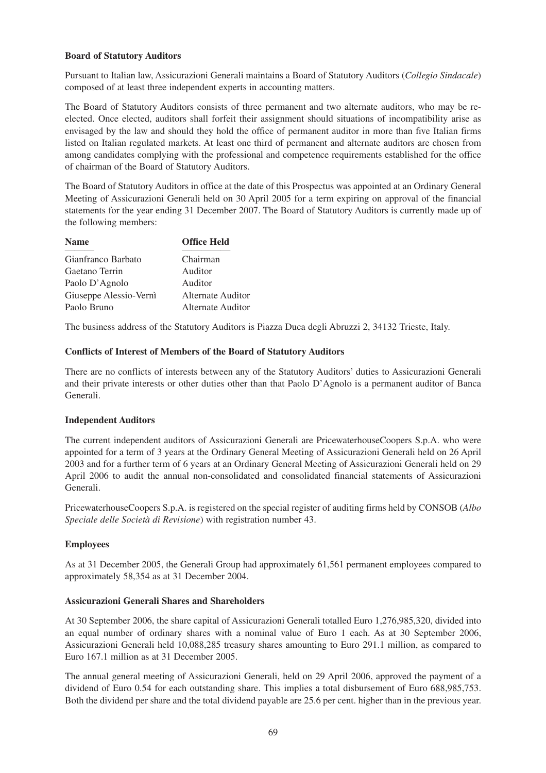# **Board of Statutory Auditors**

Pursuant to Italian law, Assicurazioni Generali maintains a Board of Statutory Auditors (*Collegio Sindacale*) composed of at least three independent experts in accounting matters.

The Board of Statutory Auditors consists of three permanent and two alternate auditors, who may be reelected. Once elected, auditors shall forfeit their assignment should situations of incompatibility arise as envisaged by the law and should they hold the office of permanent auditor in more than five Italian firms listed on Italian regulated markets. At least one third of permanent and alternate auditors are chosen from among candidates complying with the professional and competence requirements established for the office of chairman of the Board of Statutory Auditors.

The Board of Statutory Auditors in office at the date of this Prospectus was appointed at an Ordinary General Meeting of Assicurazioni Generali held on 30 April 2005 for a term expiring on approval of the financial statements for the year ending 31 December 2007. The Board of Statutory Auditors is currently made up of the following members:

| <b>Name</b>            | <b>Office Held</b> |  |
|------------------------|--------------------|--|
| Gianfranco Barbato     | Chairman           |  |
| Gaetano Terrin         | Auditor            |  |
| Paolo D'Agnolo         | Auditor            |  |
| Giuseppe Alessio-Vernì | Alternate Auditor  |  |
| Paolo Bruno            | Alternate Auditor  |  |

The business address of the Statutory Auditors is Piazza Duca degli Abruzzi 2, 34132 Trieste, Italy.

# **Conflicts of Interest of Members of the Board of Statutory Auditors**

There are no conflicts of interests between any of the Statutory Auditors' duties to Assicurazioni Generali and their private interests or other duties other than that Paolo D'Agnolo is a permanent auditor of Banca Generali.

# **Independent Auditors**

The current independent auditors of Assicurazioni Generali are PricewaterhouseCoopers S.p.A. who were appointed for a term of 3 years at the Ordinary General Meeting of Assicurazioni Generali held on 26 April 2003 and for a further term of 6 years at an Ordinary General Meeting of Assicurazioni Generali held on 29 April 2006 to audit the annual non-consolidated and consolidated financial statements of Assicurazioni Generali.

PricewaterhouseCoopers S.p.A. is registered on the special register of auditing firms held by CONSOB (*Albo Speciale delle Società di Revisione*) with registration number 43.

# **Employees**

As at 31 December 2005, the Generali Group had approximately 61,561 permanent employees compared to approximately 58,354 as at 31 December 2004.

# **Assicurazioni Generali Shares and Shareholders**

At 30 September 2006, the share capital of Assicurazioni Generali totalled Euro 1,276,985,320, divided into an equal number of ordinary shares with a nominal value of Euro 1 each. As at 30 September 2006, Assicurazioni Generali held 10,088,285 treasury shares amounting to Euro 291.1 million, as compared to Euro 167.1 million as at 31 December 2005.

The annual general meeting of Assicurazioni Generali, held on 29 April 2006, approved the payment of a dividend of Euro 0.54 for each outstanding share. This implies a total disbursement of Euro 688,985,753. Both the dividend per share and the total dividend payable are 25.6 per cent. higher than in the previous year.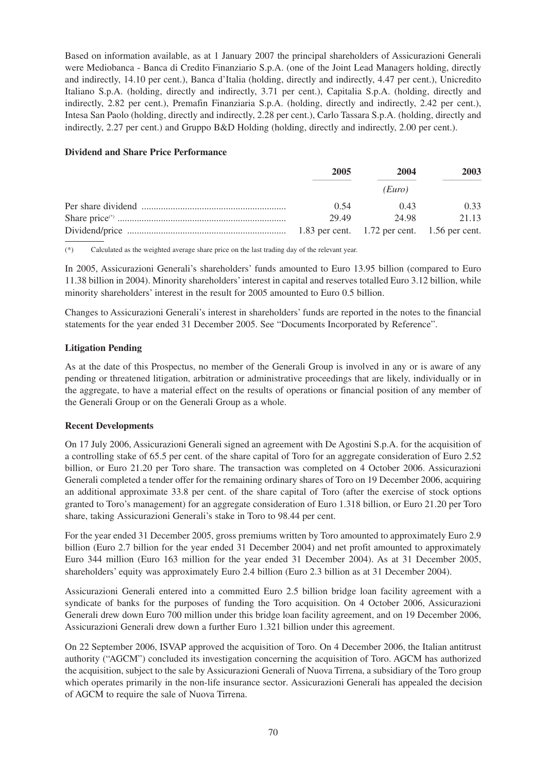Based on information available, as at 1 January 2007 the principal shareholders of Assicurazioni Generali were Mediobanca - Banca di Credito Finanziario S.p.A. (one of the Joint Lead Managers holding, directly and indirectly, 14.10 per cent.), Banca d'Italia (holding, directly and indirectly, 4.47 per cent.), Unicredito Italiano S.p.A. (holding, directly and indirectly, 3.71 per cent.), Capitalia S.p.A. (holding, directly and indirectly, 2.82 per cent.), Premafin Finanziaria S.p.A. (holding, directly and indirectly, 2.42 per cent.), Intesa San Paolo (holding, directly and indirectly, 2.28 per cent.), Carlo Tassara S.p.A. (holding, directly and indirectly, 2.27 per cent.) and Gruppo B&D Holding (holding, directly and indirectly, 2.00 per cent.).

### **Dividend and Share Price Performance**

| 2005 | 2004        | 2003  |
|------|-------------|-------|
|      | (Euro)      |       |
| 0.54 | (143)       | 0.33  |
|      | 29.49 24.98 | 21.13 |
|      |             |       |

(\*) Calculated as the weighted average share price on the last trading day of the relevant year.

In 2005, Assicurazioni Generali's shareholders' funds amounted to Euro 13.95 billion (compared to Euro 11.38 billion in 2004). Minority shareholders' interest in capital and reserves totalled Euro 3.12 billion, while minority shareholders' interest in the result for 2005 amounted to Euro 0.5 billion.

Changes to Assicurazioni Generali's interest in shareholders' funds are reported in the notes to the financial statements for the year ended 31 December 2005. See "Documents Incorporated by Reference".

# **Litigation Pending**

As at the date of this Prospectus, no member of the Generali Group is involved in any or is aware of any pending or threatened litigation, arbitration or administrative proceedings that are likely, individually or in the aggregate, to have a material effect on the results of operations or financial position of any member of the Generali Group or on the Generali Group as a whole.

# **Recent Developments**

On 17 July 2006, Assicurazioni Generali signed an agreement with De Agostini S.p.A. for the acquisition of a controlling stake of 65.5 per cent. of the share capital of Toro for an aggregate consideration of Euro 2.52 billion, or Euro 21.20 per Toro share. The transaction was completed on 4 October 2006. Assicurazioni Generali completed a tender offer for the remaining ordinary shares of Toro on 19 December 2006, acquiring an additional approximate 33.8 per cent. of the share capital of Toro (after the exercise of stock options granted to Toro's management) for an aggregate consideration of Euro 1.318 billion, or Euro 21.20 per Toro share, taking Assicurazioni Generali's stake in Toro to 98.44 per cent.

For the year ended 31 December 2005, gross premiums written by Toro amounted to approximately Euro 2.9 billion (Euro 2.7 billion for the year ended 31 December 2004) and net profit amounted to approximately Euro 344 million (Euro 163 million for the year ended 31 December 2004). As at 31 December 2005, shareholders' equity was approximately Euro 2.4 billion (Euro 2.3 billion as at 31 December 2004).

Assicurazioni Generali entered into a committed Euro 2.5 billion bridge loan facility agreement with a syndicate of banks for the purposes of funding the Toro acquisition. On 4 October 2006, Assicurazioni Generali drew down Euro 700 million under this bridge loan facility agreement, and on 19 December 2006, Assicurazioni Generali drew down a further Euro 1.321 billion under this agreement.

On 22 September 2006, ISVAP approved the acquisition of Toro. On 4 December 2006, the Italian antitrust authority ("AGCM") concluded its investigation concerning the acquisition of Toro. AGCM has authorized the acquisition, subject to the sale by Assicurazioni Generali of Nuova Tirrena, a subsidiary of the Toro group which operates primarily in the non-life insurance sector. Assicurazioni Generali has appealed the decision of AGCM to require the sale of Nuova Tirrena.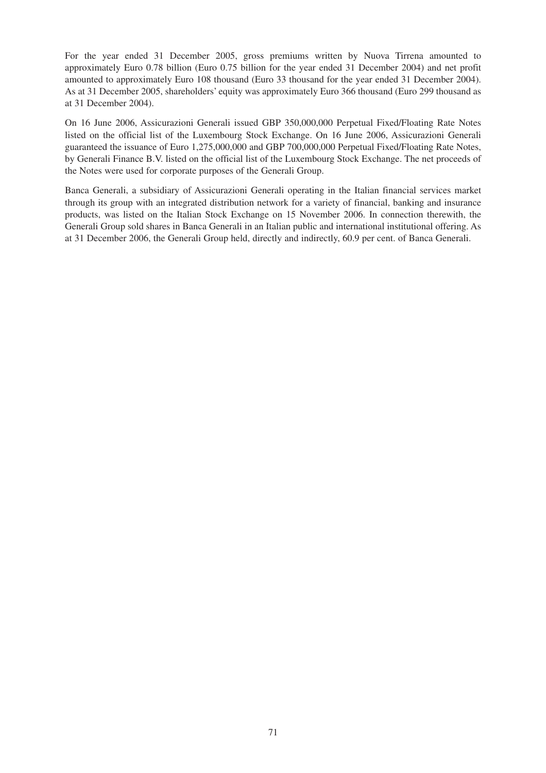For the year ended 31 December 2005, gross premiums written by Nuova Tirrena amounted to approximately Euro 0.78 billion (Euro 0.75 billion for the year ended 31 December 2004) and net profit amounted to approximately Euro 108 thousand (Euro 33 thousand for the year ended 31 December 2004). As at 31 December 2005, shareholders' equity was approximately Euro 366 thousand (Euro 299 thousand as at 31 December 2004).

On 16 June 2006, Assicurazioni Generali issued GBP 350,000,000 Perpetual Fixed/Floating Rate Notes listed on the official list of the Luxembourg Stock Exchange. On 16 June 2006, Assicurazioni Generali guaranteed the issuance of Euro 1,275,000,000 and GBP 700,000,000 Perpetual Fixed/Floating Rate Notes, by Generali Finance B.V. listed on the official list of the Luxembourg Stock Exchange. The net proceeds of the Notes were used for corporate purposes of the Generali Group.

Banca Generali, a subsidiary of Assicurazioni Generali operating in the Italian financial services market through its group with an integrated distribution network for a variety of financial, banking and insurance products, was listed on the Italian Stock Exchange on 15 November 2006. In connection therewith, the Generali Group sold shares in Banca Generali in an Italian public and international institutional offering. As at 31 December 2006, the Generali Group held, directly and indirectly, 60.9 per cent. of Banca Generali.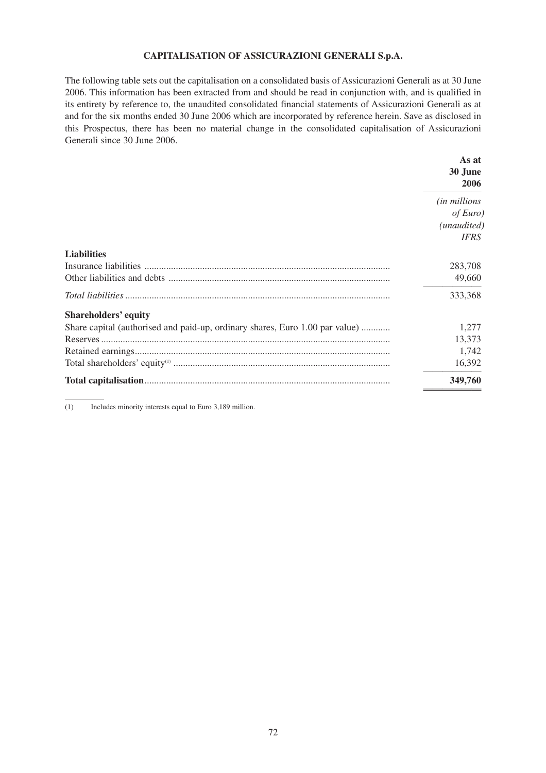# **CAPITALISATION OF ASSICURAZIONI GENERALI S.p.A.**

The following table sets out the capitalisation on a consolidated basis of Assicurazioni Generali as at 30 June 2006. This information has been extracted from and should be read in conjunction with, and is qualified in its entirety by reference to, the unaudited consolidated financial statements of Assicurazioni Generali as at and for the six months ended 30 June 2006 which are incorporated by reference herein. Save as disclosed in this Prospectus, there has been no material change in the consolidated capitalisation of Assicurazioni Generali since 30 June 2006.

|                                                                              | As at<br>30 June<br>2006 |
|------------------------------------------------------------------------------|--------------------------|
|                                                                              | <i>(in millions)</i>     |
|                                                                              | of Euro)<br>(unaudited)  |
|                                                                              | <b>IFRS</b>              |
| <b>Liabilities</b>                                                           |                          |
|                                                                              | 283,708                  |
|                                                                              | 49,660                   |
|                                                                              | 333,368                  |
| <b>Shareholders' equity</b>                                                  |                          |
| Share capital (authorised and paid-up, ordinary shares, Euro 1.00 par value) | 1,277                    |
|                                                                              | 13,373                   |
|                                                                              | 1,742                    |
|                                                                              | 16,392                   |
|                                                                              | 349,760                  |

(1) Includes minority interests equal to Euro 3,189 million.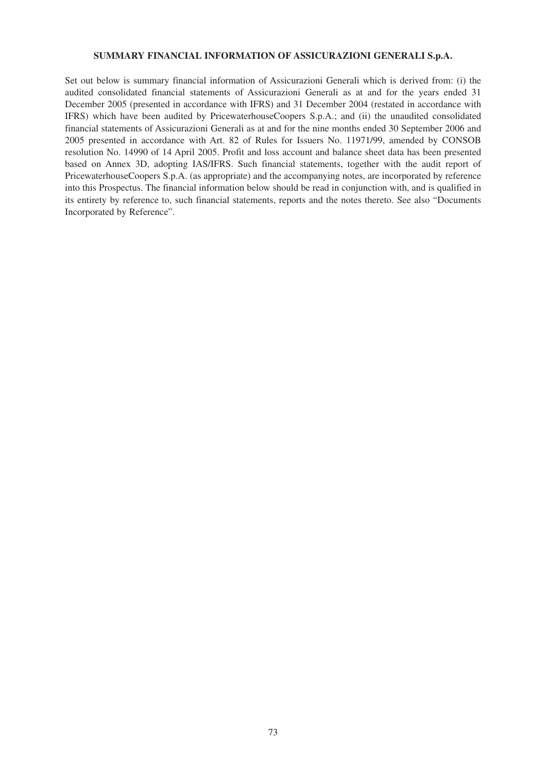## **SUMMARY FINANCIAL INFORMATION OF ASSICURAZIONI GENERALI S.p.A.**

Set out below is summary financial information of Assicurazioni Generali which is derived from: (i) the audited consolidated financial statements of Assicurazioni Generali as at and for the years ended 31 December 2005 (presented in accordance with IFRS) and 31 December 2004 (restated in accordance with IFRS) which have been audited by PricewaterhouseCoopers S.p.A.; and (ii) the unaudited consolidated financial statements of Assicurazioni Generali as at and for the nine months ended 30 September 2006 and 2005 presented in accordance with Art. 82 of Rules for Issuers No. 11971/99, amended by CONSOB resolution No. 14990 of 14 April 2005. Profit and loss account and balance sheet data has been presented based on Annex 3D, adopting IAS/IFRS. Such financial statements, together with the audit report of PricewaterhouseCoopers S.p.A. (as appropriate) and the accompanying notes, are incorporated by reference into this Prospectus. The financial information below should be read in conjunction with, and is qualified in its entirety by reference to, such financial statements, reports and the notes thereto. See also "Documents Incorporated by Reference".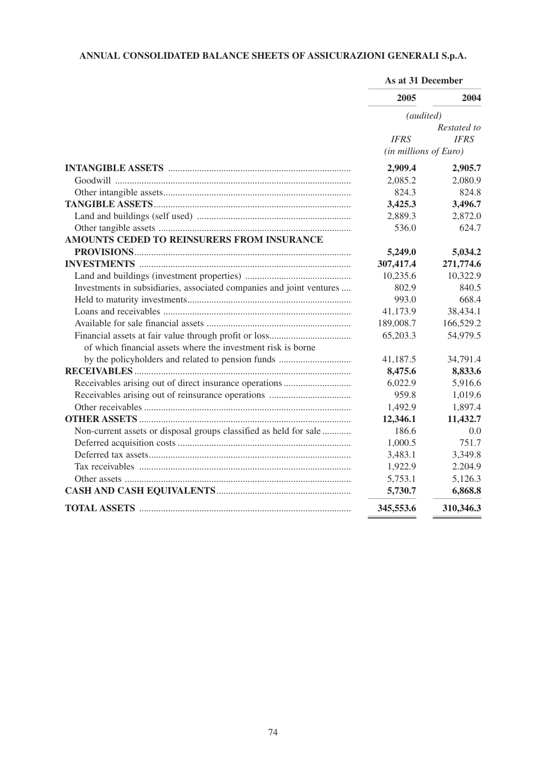# **ANNUAL CONSOLIDATED BALANCE SHEETS OF ASSICURAZIONI GENERALI S.p.A.**

|                                                                      | As at 31 December     |             |
|----------------------------------------------------------------------|-----------------------|-------------|
|                                                                      | 2005                  | 2004        |
|                                                                      | (audited)             |             |
|                                                                      |                       | Restated to |
|                                                                      | <b>IFRS</b>           | <b>IFRS</b> |
|                                                                      | (in millions of Euro) |             |
|                                                                      | 2,909.4               | 2,905.7     |
|                                                                      | 2,085.2               | 2,080.9     |
|                                                                      | 824.3                 | 824.8       |
|                                                                      | 3,425.3               | 3,496.7     |
|                                                                      | 2,889.3               | 2,872.0     |
|                                                                      | 536.0                 | 624.7       |
| AMOUNTS CEDED TO REINSURERS FROM INSURANCE                           |                       |             |
|                                                                      | 5,249.0               | 5,034.2     |
|                                                                      | 307,417.4             | 271,774.6   |
|                                                                      | 10,235.6              | 10,322.9    |
| Investments in subsidiaries, associated companies and joint ventures | 802.9                 | 840.5       |
|                                                                      | 993.0                 | 668.4       |
|                                                                      | 41,173.9              | 38,434.1    |
|                                                                      | 189,008.7             | 166,529.2   |
|                                                                      | 65,203.3              | 54,979.5    |
| of which financial assets where the investment risk is borne         |                       |             |
| by the policyholders and related to pension funds                    | 41,187.5              | 34,791.4    |
|                                                                      | 8,475.6               | 8,833.6     |
|                                                                      | 6,022.9               | 5,916.6     |
|                                                                      | 959.8                 | 1,019.6     |
|                                                                      | 1,492.9               | 1,897.4     |
|                                                                      | 12,346.1              | 11,432.7    |
| Non-current assets or disposal groups classified as held for sale    | 186.6                 | 0.0         |
|                                                                      | 1,000.5               | 751.7       |
|                                                                      | 3,483.1               | 3,349.8     |
|                                                                      | 1,922.9               | 2.204.9     |
|                                                                      | 5,753.1               | 5,126.3     |
|                                                                      | 5,730.7               | 6,868.8     |
|                                                                      | 345,553.6             | 310,346.3   |
|                                                                      |                       |             |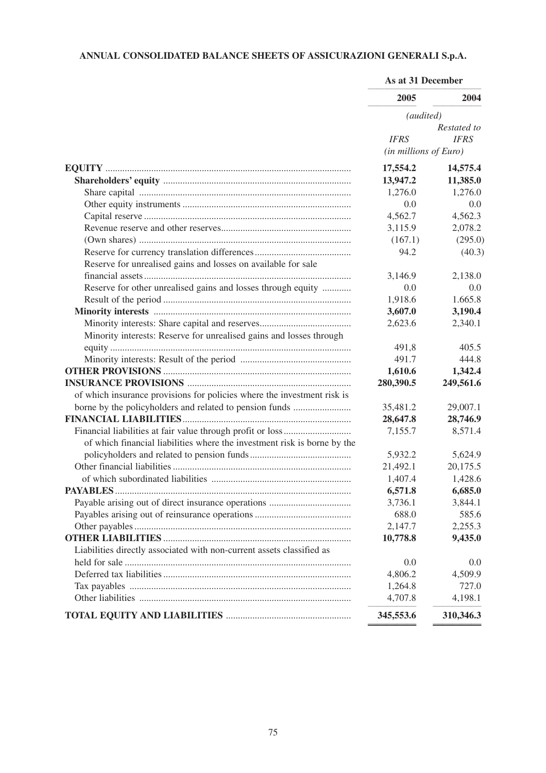# **ANNUAL CONSOLIDATED BALANCE SHEETS OF ASSICURAZIONI GENERALI S.p.A.**

|                                                                          | As at 31 December     |             |
|--------------------------------------------------------------------------|-----------------------|-------------|
|                                                                          | 2005                  | 2004        |
|                                                                          | (audited)             |             |
|                                                                          |                       | Restated to |
|                                                                          | <b>IFRS</b>           | <b>IFRS</b> |
|                                                                          | (in millions of Euro) |             |
|                                                                          | 17,554.2              | 14,575.4    |
|                                                                          | 13,947.2              | 11,385.0    |
|                                                                          | 1,276.0               | 1,276.0     |
|                                                                          | 0.0                   | 0.0         |
|                                                                          | 4,562.7               | 4,562.3     |
|                                                                          | 3,115.9               | 2,078.2     |
|                                                                          | (167.1)               | (295.0)     |
|                                                                          | 94.2                  | (40.3)      |
| Reserve for unrealised gains and losses on available for sale            |                       |             |
|                                                                          | 3,146.9               | 2,138.0     |
| Reserve for other unrealised gains and losses through equity             | 0.0                   | 0.0         |
|                                                                          | 1,918.6               | 1.665.8     |
|                                                                          | 3,607.0               | 3,190.4     |
|                                                                          | 2,623.6               | 2,340.1     |
| Minority interests: Reserve for unrealised gains and losses through      |                       |             |
|                                                                          | 491,8                 | 405.5       |
|                                                                          | 491.7                 | 444.8       |
|                                                                          | 1,610.6               | 1,342.4     |
|                                                                          | 280,390.5             | 249,561.6   |
| of which insurance provisions for policies where the investment risk is  |                       |             |
| borne by the policyholders and related to pension funds                  | 35,481.2              | 29,007.1    |
|                                                                          | 28,647.8              | 28,746.9    |
| Financial liabilities at fair value through profit or loss               | 7,155.7               | 8,571.4     |
| of which financial liabilities where the investment risk is borne by the |                       |             |
|                                                                          | 5,932.2               | 5,624.9     |
|                                                                          | 21,492.1              | 20,175.5    |
|                                                                          | 1,407.4               | 1,428.6     |
|                                                                          | 6,571.8               | 6,685.0     |
|                                                                          | 3,736.1               | 3,844.1     |
|                                                                          | 688.0                 | 585.6       |
|                                                                          | 2,147.7               | 2,255.3     |
|                                                                          | 10,778.8              | 9,435.0     |
| Liabilities directly associated with non-current assets classified as    |                       |             |
|                                                                          | 0.0                   | 0.0         |
|                                                                          | 4,806.2               | 4,509.9     |
|                                                                          | 1,264.8               | 727.0       |
|                                                                          | 4,707.8               | 4,198.1     |
|                                                                          | 345,553.6             | 310,346.3   |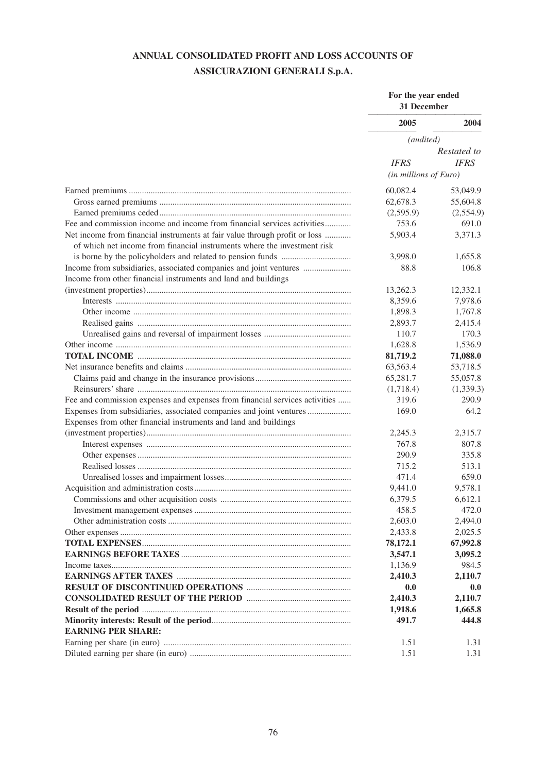## **ANNUAL CONSOLIDATED PROFIT AND LOSS ACCOUNTS OF ASSICURAZIONI GENERALI S.p.A.**

|                                                                             | For the year ended<br>31 December |             |
|-----------------------------------------------------------------------------|-----------------------------------|-------------|
|                                                                             | 2005                              | 2004        |
|                                                                             | (audited)                         |             |
|                                                                             |                                   | Restated to |
|                                                                             | <b>IFRS</b>                       | <b>IFRS</b> |
|                                                                             | (in millions of Euro)             |             |
|                                                                             | 60,082.4                          | 53,049.9    |
|                                                                             | 62,678.3                          | 55,604.8    |
|                                                                             | (2,595.9)                         | (2,554.9)   |
| Fee and commission income and income from financial services activities     | 753.6                             | 691.0       |
| Net income from financial instruments at fair value through profit or loss  | 5,903.4                           | 3,371.3     |
| of which net income from financial instruments where the investment risk    |                                   |             |
|                                                                             | 3,998.0                           | 1,655.8     |
| Income from subsidiaries, associated companies and joint ventures           | 88.8                              | 106.8       |
| Income from other financial instruments and land and buildings              |                                   |             |
|                                                                             | 13,262.3                          | 12,332.1    |
|                                                                             | 8,359.6                           | 7,978.6     |
|                                                                             | 1,898.3                           | 1,767.8     |
|                                                                             | 2,893.7                           | 2,415.4     |
|                                                                             | 110.7                             | 170.3       |
|                                                                             | 1,628.8                           | 1,536.9     |
|                                                                             | 81,719.2                          | 71,088.0    |
|                                                                             | 63,563.4                          | 53,718.5    |
|                                                                             | 65,281.7                          | 55,057.8    |
|                                                                             | (1,718.4)                         | (1,339.3)   |
| Fee and commission expenses and expenses from financial services activities | 319.6                             | 290.9       |
| Expenses from subsidiaries, associated companies and joint ventures         | 169.0                             | 64.2        |
| Expenses from other financial instruments and land and buildings            |                                   |             |
|                                                                             | 2,245.3                           | 2,315.7     |
|                                                                             | 767.8                             | 807.8       |
|                                                                             | 290.9                             | 335.8       |
|                                                                             | 715.2                             | 513.1       |
|                                                                             | 471.4                             | 659.0       |
|                                                                             | 9,441.0                           | 9,578.1     |
|                                                                             | 6,379.5                           | 6,612.1     |
|                                                                             | 458.5                             | 472.0       |
|                                                                             | 2,603.0                           | 2,494.0     |
|                                                                             | 2,433.8                           | 2,025.5     |
|                                                                             | 78,172.1                          | 67,992.8    |
|                                                                             | 3,547.1                           | 3,095.2     |
|                                                                             | 1,136.9                           | 984.5       |
|                                                                             | 2,410.3                           | 2,110.7     |
|                                                                             | 0.0                               | 0.0         |
|                                                                             | 2,410.3                           | 2,110.7     |
|                                                                             | 1,918.6                           | 1,665.8     |
|                                                                             | 491.7                             | 444.8       |
| <b>EARNING PER SHARE:</b>                                                   |                                   |             |
|                                                                             | 1.51                              | 1.31        |
|                                                                             | 1.51                              | 1.31        |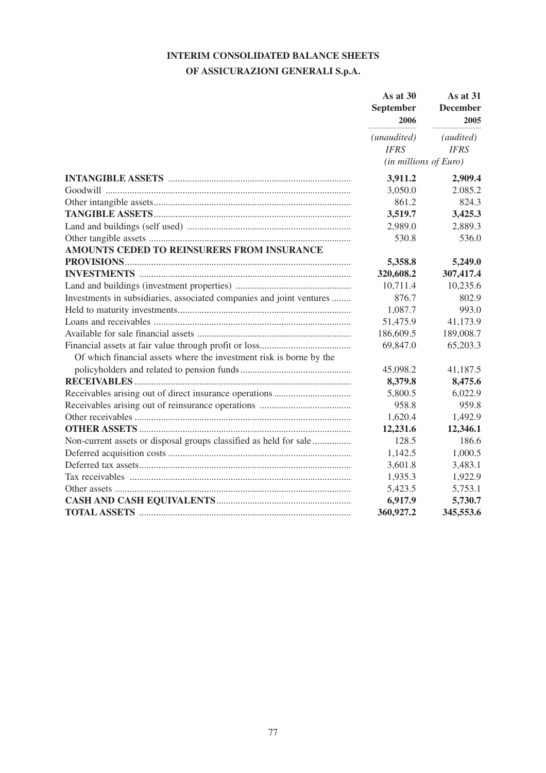## **INTERIM CONSOLIDATED BALANCE SHEETS**

## **OF ASSICURAZIONI GENERALI S.p.A.**

|                                                                      | As at 30<br>September<br>2006 | As at 31<br><b>December</b><br>2005<br>(audited) |
|----------------------------------------------------------------------|-------------------------------|--------------------------------------------------|
|                                                                      | (unaudited)                   |                                                  |
|                                                                      | <b>IFRS</b>                   | <b>IFRS</b>                                      |
|                                                                      | (in millions of Euro)         |                                                  |
|                                                                      | 3,911.2                       | 2,909.4                                          |
|                                                                      | 3,050.0                       | 2.085.2                                          |
|                                                                      | 861.2                         | 824.3                                            |
|                                                                      | 3,519.7                       | 3,425.3                                          |
|                                                                      | 2,989.0                       | 2,889.3                                          |
|                                                                      | 530.8                         | 536.0                                            |
| AMOUNTS CEDED TO REINSURERS FROM INSURANCE                           |                               |                                                  |
|                                                                      | 5,358.8                       | 5,249.0                                          |
|                                                                      | 320,608.2                     | 307,417.4                                        |
|                                                                      | 10,711.4                      | 10,235.6                                         |
| Investments in subsidiaries, associated companies and joint ventures | 876.7                         | 802.9                                            |
|                                                                      | 1,087.7                       | 993.0                                            |
|                                                                      | 51,475.9                      | 41,173.9                                         |
|                                                                      | 186,609.5                     | 189,008.7                                        |
|                                                                      | 69,847.0                      | 65,203.3                                         |
| Of which financial assets where the investment risk is borne by the  |                               |                                                  |
|                                                                      | 45,098.2                      | 41,187.5                                         |
|                                                                      | 8,379.8                       | 8,475.6                                          |
|                                                                      | 5,800.5                       | 6,022.9                                          |
|                                                                      | 958.8                         | 959.8                                            |
|                                                                      | 1,620.4                       | 1,492.9                                          |
|                                                                      | 12,231.6                      | 12,346.1                                         |
| Non-current assets or disposal groups classified as held for sale    | 128.5                         | 186.6                                            |
|                                                                      | 1,142.5                       | 1,000.5                                          |
|                                                                      | 3,601.8                       | 3,483.1                                          |
|                                                                      | 1,935.3                       | 1,922.9                                          |
|                                                                      | 5,423.5                       | 5,753.1                                          |
|                                                                      | 6,917.9                       | 5,730.7                                          |
|                                                                      | 360,927.2                     | 345,553.6                                        |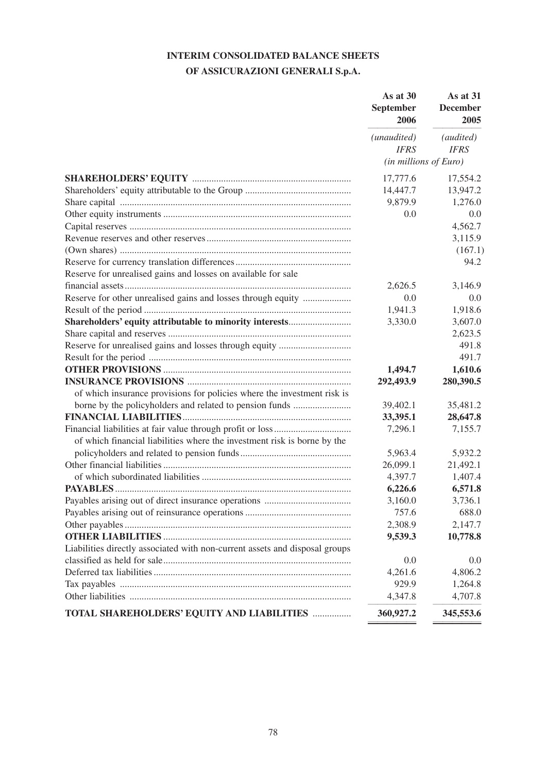# **INTERIM CONSOLIDATED BALANCE SHEETS**

## **OF ASSICURAZIONI GENERALI S.p.A.**

|                                                                             | September<br>2006 | As at 30<br>As at 31<br><b>December</b><br>2005<br>(audited)<br>(unaudited)<br><b>IFRS</b><br><b>IFRS</b><br>(in millions of Euro) |
|-----------------------------------------------------------------------------|-------------------|------------------------------------------------------------------------------------------------------------------------------------|
|                                                                             |                   |                                                                                                                                    |
|                                                                             |                   |                                                                                                                                    |
|                                                                             | 17,777.6          | 17,554.2                                                                                                                           |
|                                                                             | 14,447.7          | 13,947.2                                                                                                                           |
|                                                                             | 9,879.9           | 1,276.0                                                                                                                            |
|                                                                             | 0.0               | 0.0                                                                                                                                |
|                                                                             |                   | 4,562.7                                                                                                                            |
|                                                                             |                   | 3,115.9                                                                                                                            |
|                                                                             |                   | (167.1)                                                                                                                            |
|                                                                             |                   | 94.2                                                                                                                               |
| Reserve for unrealised gains and losses on available for sale               |                   |                                                                                                                                    |
|                                                                             | 2,626.5           | 3,146.9                                                                                                                            |
| Reserve for other unrealised gains and losses through equity                | 0.0               | 0.0                                                                                                                                |
|                                                                             | 1,941.3           | 1,918.6                                                                                                                            |
| Shareholders' equity attributable to minority interests                     | 3,330.0           | 3,607.0                                                                                                                            |
|                                                                             |                   | 2,623.5                                                                                                                            |
|                                                                             |                   | 491.8                                                                                                                              |
|                                                                             |                   | 491.7                                                                                                                              |
|                                                                             | 1,494.7           | 1,610.6                                                                                                                            |
|                                                                             | 292,493.9         | 280,390.5                                                                                                                          |
| of which insurance provisions for policies where the investment risk is     |                   |                                                                                                                                    |
|                                                                             | 39,402.1          | 35,481.2                                                                                                                           |
|                                                                             | 33,395.1          | 28,647.8                                                                                                                           |
|                                                                             | 7,296.1           | 7,155.7                                                                                                                            |
| of which financial liabilities where the investment risk is borne by the    |                   |                                                                                                                                    |
|                                                                             | 5,963.4           | 5,932.2                                                                                                                            |
|                                                                             | 26,099.1          | 21,492.1                                                                                                                           |
|                                                                             | 4,397.7           | 1,407.4                                                                                                                            |
|                                                                             | 6,226.6           | 6,571.8                                                                                                                            |
|                                                                             | 3,160.0           | 3,736.1                                                                                                                            |
|                                                                             | 757.6             | 688.0                                                                                                                              |
|                                                                             | 2,308.9           | 2,147.7                                                                                                                            |
|                                                                             | 9,539.3           | 10,778.8                                                                                                                           |
| Liabilities directly associated with non-current assets and disposal groups |                   |                                                                                                                                    |
|                                                                             | 0.0               | 0.0                                                                                                                                |
|                                                                             | 4,261.6           | 4,806.2                                                                                                                            |
|                                                                             | 929.9             | 1,264.8                                                                                                                            |
|                                                                             | 4,347.8           | 4,707.8                                                                                                                            |
| TOTAL SHAREHOLDERS' EQUITY AND LIABILITIES                                  | 360,927.2         | 345,553.6                                                                                                                          |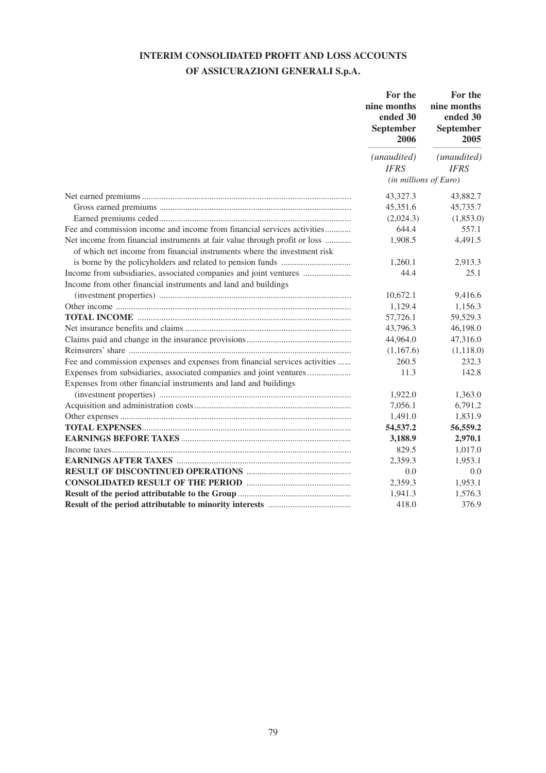# **INTERIM CONSOLIDATED PROFIT AND LOSS ACCOUNTS**

## **OF ASSICURAZIONI GENERALI S.p.A.**

|                                                                                                                                                        | For the<br>nine months<br>ended 30<br>September<br>2006 | For the<br>nine months<br>ended 30<br>September<br>2005<br>(unaudited)<br><b>IFRS</b><br>$(in$ millions of Euro) |
|--------------------------------------------------------------------------------------------------------------------------------------------------------|---------------------------------------------------------|------------------------------------------------------------------------------------------------------------------|
|                                                                                                                                                        | (unaudited)                                             |                                                                                                                  |
|                                                                                                                                                        | <b>IFRS</b>                                             |                                                                                                                  |
|                                                                                                                                                        |                                                         |                                                                                                                  |
|                                                                                                                                                        | 43,327.3                                                | 43,882.7                                                                                                         |
|                                                                                                                                                        | 45,351.6                                                | 45,735.7                                                                                                         |
|                                                                                                                                                        | (2,024.3)                                               | (1,853.0)                                                                                                        |
| Fee and commission income and income from financial services activities                                                                                | 644.4                                                   | 557.1                                                                                                            |
| Net income from financial instruments at fair value through profit or loss<br>of which net income from financial instruments where the investment risk | 1,908.5                                                 | 4,491.5                                                                                                          |
|                                                                                                                                                        | 1,260.1                                                 | 2,913.3                                                                                                          |
| Income from subsidiaries, associated companies and joint ventures                                                                                      | 44.4                                                    | 25.1                                                                                                             |
| Income from other financial instruments and land and buildings                                                                                         |                                                         |                                                                                                                  |
|                                                                                                                                                        | 10,672.1                                                | 9,416.6                                                                                                          |
|                                                                                                                                                        | 1,129.4                                                 | 1,156.3                                                                                                          |
|                                                                                                                                                        | 57,726.1                                                | 59,529.3                                                                                                         |
|                                                                                                                                                        | 43,796.3                                                | 46,198.0                                                                                                         |
|                                                                                                                                                        | 44,964.0                                                | 47,316.0                                                                                                         |
|                                                                                                                                                        | (1,167.6)                                               | (1, 118.0)                                                                                                       |
| Fee and commission expenses and expenses from financial services activities                                                                            | 260.5                                                   | 232.3                                                                                                            |
| Expenses from subsidiaries, associated companies and joint ventures                                                                                    | 11.3                                                    | 142.8                                                                                                            |
| Expenses from other financial instruments and land and buildings                                                                                       |                                                         |                                                                                                                  |
|                                                                                                                                                        | 1,922.0                                                 | 1,363.0                                                                                                          |
|                                                                                                                                                        | 7,056.1                                                 | 6,791.2                                                                                                          |
|                                                                                                                                                        | 1,491.0                                                 | 1,831.9                                                                                                          |
|                                                                                                                                                        | 54,537.2                                                | 56,559.2                                                                                                         |
|                                                                                                                                                        | 3,188.9                                                 | 2,970.1                                                                                                          |
|                                                                                                                                                        | 829.5                                                   | 1,017.0                                                                                                          |
|                                                                                                                                                        | 2,359.3                                                 | 1,953.1                                                                                                          |
|                                                                                                                                                        | 0.0                                                     | 0.0                                                                                                              |
|                                                                                                                                                        | 2,359.3                                                 | 1,953.1                                                                                                          |
|                                                                                                                                                        | 1,941.3                                                 | 1,576.3                                                                                                          |
|                                                                                                                                                        | 418.0                                                   | 376.9                                                                                                            |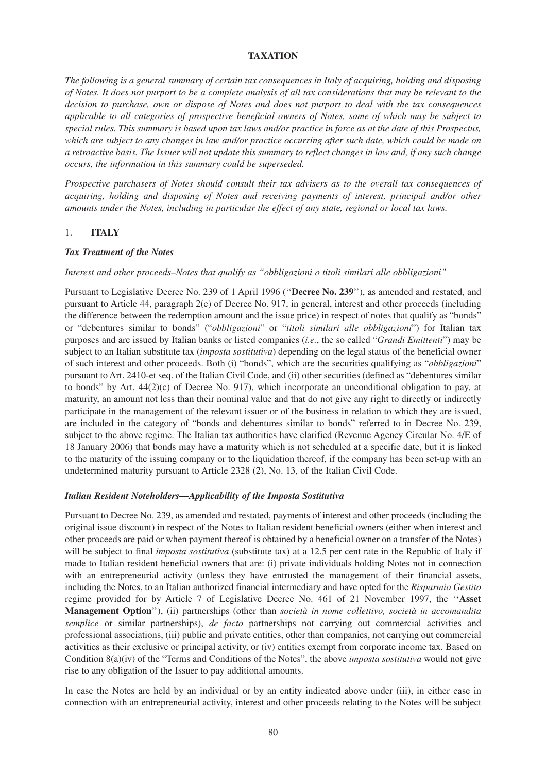## **TAXATION**

*The following is a general summary of certain tax consequences in Italy of acquiring, holding and disposing of Notes. It does not purport to be a complete analysis of all tax considerations that may be relevant to the decision to purchase, own or dispose of Notes and does not purport to deal with the tax consequences applicable to all categories of prospective beneficial owners of Notes, some of which may be subject to special rules. This summary is based upon tax laws and/or practice in force as at the date of this Prospectus, which are subject to any changes in law and/or practice occurring after such date, which could be made on a retroactive basis. The Issuer will not update this summary to reflect changes in law and, if any such change occurs, the information in this summary could be superseded.*

*Prospective purchasers of Notes should consult their tax advisers as to the overall tax consequences of acquiring, holding and disposing of Notes and receiving payments of interest, principal and/or other amounts under the Notes, including in particular the effect of any state, regional or local tax laws.*

#### 1. **ITALY**

#### *Tax Treatment of the Notes*

#### *Interest and other proceeds–Notes that qualify as "obbligazioni o titoli similari alle obbligazioni"*

Pursuant to Legislative Decree No. 239 of 1 April 1996 (''**Decree No. 239**''), as amended and restated, and pursuant to Article 44, paragraph 2(c) of Decree No. 917, in general, interest and other proceeds (including the difference between the redemption amount and the issue price) in respect of notes that qualify as "bonds" or "debentures similar to bonds" ("*obbligazioni*" or "*titoli similari alle obbligazioni*") for Italian tax purposes and are issued by Italian banks or listed companies (*i.e.*, the so called "*Grandi Emittenti*") may be subject to an Italian substitute tax (*imposta sostitutiva*) depending on the legal status of the beneficial owner of such interest and other proceeds. Both (i) "bonds", which are the securities qualifying as "*obbligazioni*" pursuant to Art. 2410-et seq. of the Italian Civil Code, and (ii) other securities (defined as "debentures similar to bonds" by Art.  $44(2)(c)$  of Decree No. 917), which incorporate an unconditional obligation to pay, at maturity, an amount not less than their nominal value and that do not give any right to directly or indirectly participate in the management of the relevant issuer or of the business in relation to which they are issued, are included in the category of "bonds and debentures similar to bonds" referred to in Decree No. 239, subject to the above regime. The Italian tax authorities have clarified (Revenue Agency Circular No. 4/E of 18 January 2006) that bonds may have a maturity which is not scheduled at a specific date, but it is linked to the maturity of the issuing company or to the liquidation thereof, if the company has been set-up with an undetermined maturity pursuant to Article 2328 (2), No. 13, of the Italian Civil Code.

#### *Italian Resident Noteholders—Applicability of the Imposta Sostitutiva*

Pursuant to Decree No. 239, as amended and restated, payments of interest and other proceeds (including the original issue discount) in respect of the Notes to Italian resident beneficial owners (either when interest and other proceeds are paid or when payment thereof is obtained by a beneficial owner on a transfer of the Notes) will be subject to final *imposta sostitutiva* (substitute tax) at a 12.5 per cent rate in the Republic of Italy if made to Italian resident beneficial owners that are: (i) private individuals holding Notes not in connection with an entrepreneurial activity (unless they have entrusted the management of their financial assets, including the Notes, to an Italian authorized financial intermediary and have opted for the *Risparmio Gestito* regime provided for by Article 7 of Legislative Decree No. 461 of 21 November 1997, the '**'Asset Management Option**''), (ii) partnerships (other than *società in nome collettivo, società in accomandita semplice* or similar partnerships), *de facto* partnerships not carrying out commercial activities and professional associations, (iii) public and private entities, other than companies, not carrying out commercial activities as their exclusive or principal activity, or (iv) entities exempt from corporate income tax. Based on Condition 8(a)(iv) of the "Terms and Conditions of the Notes", the above *imposta sostitutiva* would not give rise to any obligation of the Issuer to pay additional amounts.

In case the Notes are held by an individual or by an entity indicated above under (iii), in either case in connection with an entrepreneurial activity, interest and other proceeds relating to the Notes will be subject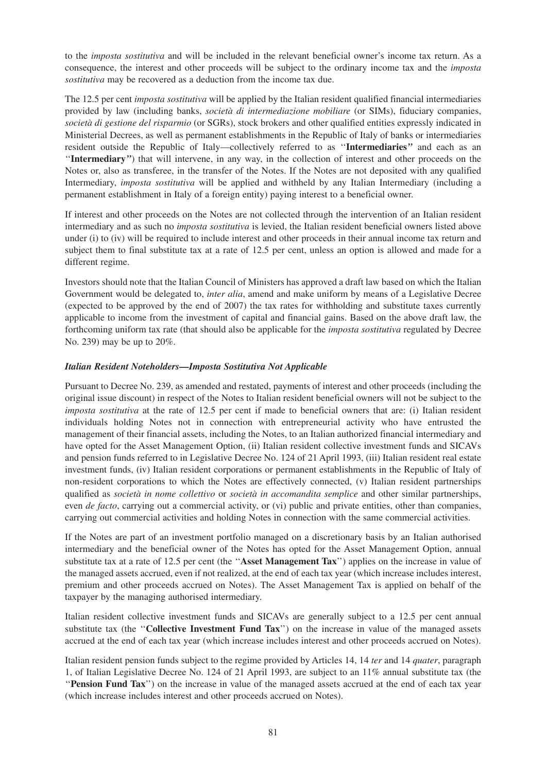to the *imposta sostitutiva* and will be included in the relevant beneficial owner's income tax return. As a consequence, the interest and other proceeds will be subject to the ordinary income tax and the *imposta sostitutiva* may be recovered as a deduction from the income tax due.

The 12.5 per cent *imposta sostitutiva* will be applied by the Italian resident qualified financial intermediaries provided by law (including banks, *società di intermediazione mobiliare* (or SIMs), fiduciary companies, *società di gestione del risparmio* (or SGRs), stock brokers and other qualified entities expressly indicated in Ministerial Decrees, as well as permanent establishments in the Republic of Italy of banks or intermediaries resident outside the Republic of Italy—collectively referred to as ''**Intermediaries***''* and each as an ''**Intermediary***''*) that will intervene, in any way, in the collection of interest and other proceeds on the Notes or, also as transferee, in the transfer of the Notes. If the Notes are not deposited with any qualified Intermediary, *imposta sostitutiva* will be applied and withheld by any Italian Intermediary (including a permanent establishment in Italy of a foreign entity) paying interest to a beneficial owner.

If interest and other proceeds on the Notes are not collected through the intervention of an Italian resident intermediary and as such no *imposta sostitutiva* is levied, the Italian resident beneficial owners listed above under (i) to (iv) will be required to include interest and other proceeds in their annual income tax return and subject them to final substitute tax at a rate of 12.5 per cent, unless an option is allowed and made for a different regime.

Investors should note that the Italian Council of Ministers has approved a draft law based on which the Italian Government would be delegated to, *inter alia*, amend and make uniform by means of a Legislative Decree (expected to be approved by the end of 2007) the tax rates for withholding and substitute taxes currently applicable to income from the investment of capital and financial gains. Based on the above draft law, the forthcoming uniform tax rate (that should also be applicable for the *imposta sostitutiva* regulated by Decree No. 239) may be up to 20%.

## *Italian Resident Noteholders—Imposta Sostitutiva Not Applicable*

Pursuant to Decree No. 239, as amended and restated, payments of interest and other proceeds (including the original issue discount) in respect of the Notes to Italian resident beneficial owners will not be subject to the *imposta sostitutiva* at the rate of 12.5 per cent if made to beneficial owners that are: (i) Italian resident individuals holding Notes not in connection with entrepreneurial activity who have entrusted the management of their financial assets, including the Notes, to an Italian authorized financial intermediary and have opted for the Asset Management Option, (ii) Italian resident collective investment funds and SICAVs and pension funds referred to in Legislative Decree No. 124 of 21 April 1993, (iii) Italian resident real estate investment funds, (iv) Italian resident corporations or permanent establishments in the Republic of Italy of non-resident corporations to which the Notes are effectively connected, (v) Italian resident partnerships qualified as *società in nome collettivo* or *società in accomandita semplice* and other similar partnerships, even *de facto*, carrying out a commercial activity, or (vi) public and private entities, other than companies, carrying out commercial activities and holding Notes in connection with the same commercial activities.

If the Notes are part of an investment portfolio managed on a discretionary basis by an Italian authorised intermediary and the beneficial owner of the Notes has opted for the Asset Management Option, annual substitute tax at a rate of 12.5 per cent (the ''**Asset Management Tax**'') applies on the increase in value of the managed assets accrued, even if not realized, at the end of each tax year (which increase includes interest, premium and other proceeds accrued on Notes). The Asset Management Tax is applied on behalf of the taxpayer by the managing authorised intermediary.

Italian resident collective investment funds and SICAVs are generally subject to a 12.5 per cent annual substitute tax (the ''**Collective Investment Fund Tax**'') on the increase in value of the managed assets accrued at the end of each tax year (which increase includes interest and other proceeds accrued on Notes).

Italian resident pension funds subject to the regime provided by Articles 14, 14 *ter* and 14 *quater*, paragraph 1, of Italian Legislative Decree No. 124 of 21 April 1993, are subject to an 11% annual substitute tax (the ''**Pension Fund Tax**'') on the increase in value of the managed assets accrued at the end of each tax year (which increase includes interest and other proceeds accrued on Notes).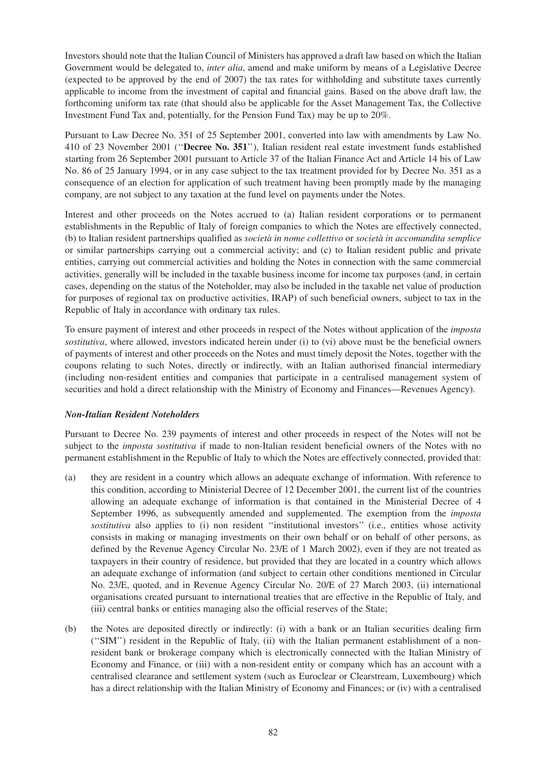Investors should note that the Italian Council of Ministers has approved a draft law based on which the Italian Government would be delegated to, *inter alia*, amend and make uniform by means of a Legislative Decree (expected to be approved by the end of 2007) the tax rates for withholding and substitute taxes currently applicable to income from the investment of capital and financial gains. Based on the above draft law, the forthcoming uniform tax rate (that should also be applicable for the Asset Management Tax, the Collective Investment Fund Tax and, potentially, for the Pension Fund Tax) may be up to 20%.

Pursuant to Law Decree No. 351 of 25 September 2001, converted into law with amendments by Law No. 410 of 23 November 2001 (''**Decree No. 351**''), Italian resident real estate investment funds established starting from 26 September 2001 pursuant to Article 37 of the Italian Finance Act and Article 14 bis of Law No. 86 of 25 January 1994, or in any case subject to the tax treatment provided for by Decree No. 351 as a consequence of an election for application of such treatment having been promptly made by the managing company, are not subject to any taxation at the fund level on payments under the Notes.

Interest and other proceeds on the Notes accrued to (a) Italian resident corporations or to permanent establishments in the Republic of Italy of foreign companies to which the Notes are effectively connected, (b) to Italian resident partnerships qualified as *società in nome collettivo* or *società in accomandita semplice* or similar partnerships carrying out a commercial activity; and (c) to Italian resident public and private entities, carrying out commercial activities and holding the Notes in connection with the same commercial activities, generally will be included in the taxable business income for income tax purposes (and, in certain cases, depending on the status of the Noteholder, may also be included in the taxable net value of production for purposes of regional tax on productive activities, IRAP) of such beneficial owners, subject to tax in the Republic of Italy in accordance with ordinary tax rules.

To ensure payment of interest and other proceeds in respect of the Notes without application of the *imposta sostitutiva*, where allowed, investors indicated herein under (i) to (vi) above must be the beneficial owners of payments of interest and other proceeds on the Notes and must timely deposit the Notes, together with the coupons relating to such Notes, directly or indirectly, with an Italian authorised financial intermediary (including non-resident entities and companies that participate in a centralised management system of securities and hold a direct relationship with the Ministry of Economy and Finances—Revenues Agency).

## *Non-Italian Resident Noteholders*

Pursuant to Decree No. 239 payments of interest and other proceeds in respect of the Notes will not be subject to the *imposta sostitutiva* if made to non-Italian resident beneficial owners of the Notes with no permanent establishment in the Republic of Italy to which the Notes are effectively connected, provided that:

- (a) they are resident in a country which allows an adequate exchange of information. With reference to this condition, according to Ministerial Decree of 12 December 2001, the current list of the countries allowing an adequate exchange of information is that contained in the Ministerial Decree of 4 September 1996, as subsequently amended and supplemented. The exemption from the *imposta sostitutiva* also applies to (i) non resident ''institutional investors'' (i.e., entities whose activity consists in making or managing investments on their own behalf or on behalf of other persons, as defined by the Revenue Agency Circular No. 23/E of 1 March 2002), even if they are not treated as taxpayers in their country of residence, but provided that they are located in a country which allows an adequate exchange of information (and subject to certain other conditions mentioned in Circular No. 23/E, quoted, and in Revenue Agency Circular No. 20/E of 27 March 2003, (ii) international organisations created pursuant to international treaties that are effective in the Republic of Italy, and (iii) central banks or entities managing also the official reserves of the State;
- (b) the Notes are deposited directly or indirectly: (i) with a bank or an Italian securities dealing firm (''SIM'') resident in the Republic of Italy, (ii) with the Italian permanent establishment of a nonresident bank or brokerage company which is electronically connected with the Italian Ministry of Economy and Finance, or (iii) with a non-resident entity or company which has an account with a centralised clearance and settlement system (such as Euroclear or Clearstream, Luxembourg) which has a direct relationship with the Italian Ministry of Economy and Finances; or (iv) with a centralised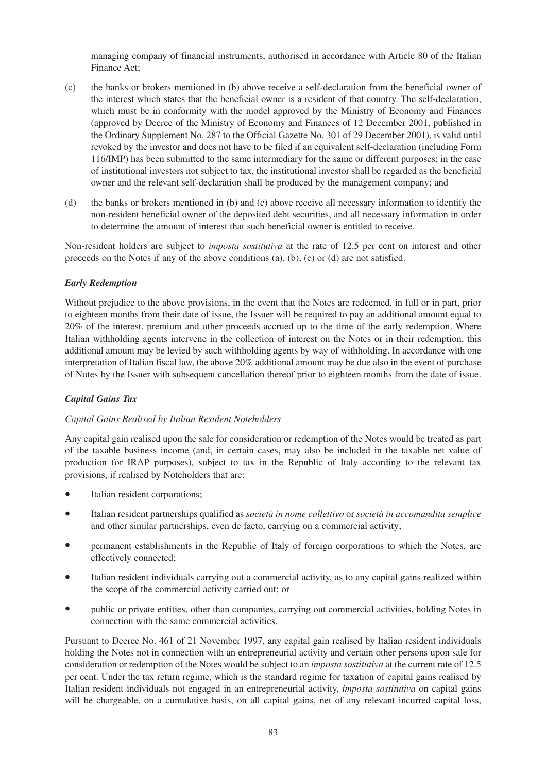managing company of financial instruments, authorised in accordance with Article 80 of the Italian Finance Act;

- (c) the banks or brokers mentioned in (b) above receive a self-declaration from the beneficial owner of the interest which states that the beneficial owner is a resident of that country. The self-declaration, which must be in conformity with the model approved by the Ministry of Economy and Finances (approved by Decree of the Ministry of Economy and Finances of 12 December 2001, published in the Ordinary Supplement No. 287 to the Official Gazette No. 301 of 29 December 2001), is valid until revoked by the investor and does not have to be filed if an equivalent self-declaration (including Form 116/IMP) has been submitted to the same intermediary for the same or different purposes; in the case of institutional investors not subject to tax, the institutional investor shall be regarded as the beneficial owner and the relevant self-declaration shall be produced by the management company; and
- (d) the banks or brokers mentioned in (b) and (c) above receive all necessary information to identify the non-resident beneficial owner of the deposited debt securities, and all necessary information in order to determine the amount of interest that such beneficial owner is entitled to receive.

Non-resident holders are subject to *imposta sostitutiva* at the rate of 12.5 per cent on interest and other proceeds on the Notes if any of the above conditions (a), (b), (c) or (d) are not satisfied.

## *Early Redemption*

Without prejudice to the above provisions, in the event that the Notes are redeemed, in full or in part, prior to eighteen months from their date of issue, the Issuer will be required to pay an additional amount equal to 20% of the interest, premium and other proceeds accrued up to the time of the early redemption. Where Italian withholding agents intervene in the collection of interest on the Notes or in their redemption, this additional amount may be levied by such withholding agents by way of withholding. In accordance with one interpretation of Italian fiscal law, the above 20% additional amount may be due also in the event of purchase of Notes by the Issuer with subsequent cancellation thereof prior to eighteen months from the date of issue.

## *Capital Gains Tax*

## *Capital Gains Realised by Italian Resident Noteholders*

Any capital gain realised upon the sale for consideration or redemption of the Notes would be treated as part of the taxable business income (and, in certain cases, may also be included in the taxable net value of production for IRAP purposes), subject to tax in the Republic of Italy according to the relevant tax provisions, if realised by Noteholders that are:

- Italian resident corporations;
- Italian resident partnerships qualified as *società in nome collettivo* or *società in accomandita semplice* and other similar partnerships, even de facto, carrying on a commercial activity;
- permanent establishments in the Republic of Italy of foreign corporations to which the Notes, are effectively connected;
- Italian resident individuals carrying out a commercial activity, as to any capital gains realized within the scope of the commercial activity carried out; or
- public or private entities, other than companies, carrying out commercial activities, holding Notes in connection with the same commercial activities.

Pursuant to Decree No. 461 of 21 November 1997, any capital gain realised by Italian resident individuals holding the Notes not in connection with an entrepreneurial activity and certain other persons upon sale for consideration or redemption of the Notes would be subject to an *imposta sostitutiva* at the current rate of 12.5 per cent. Under the tax return regime, which is the standard regime for taxation of capital gains realised by Italian resident individuals not engaged in an entrepreneurial activity, *imposta sostitutiva* on capital gains will be chargeable, on a cumulative basis, on all capital gains, net of any relevant incurred capital loss,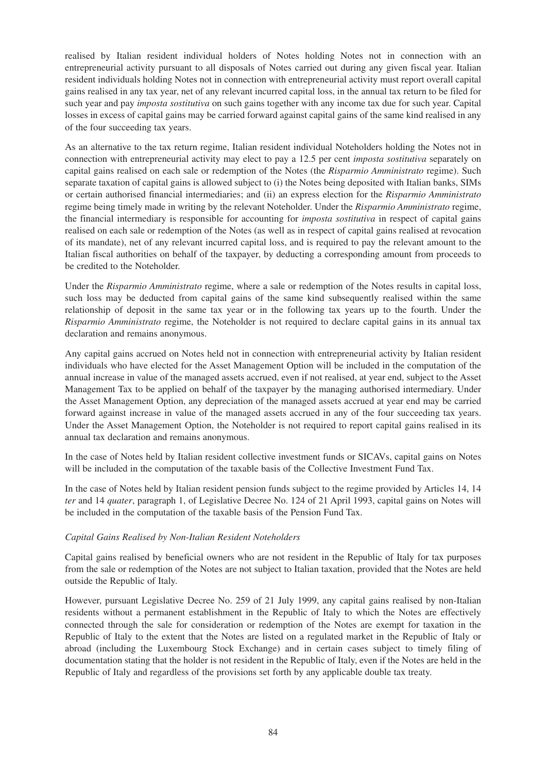realised by Italian resident individual holders of Notes holding Notes not in connection with an entrepreneurial activity pursuant to all disposals of Notes carried out during any given fiscal year. Italian resident individuals holding Notes not in connection with entrepreneurial activity must report overall capital gains realised in any tax year, net of any relevant incurred capital loss, in the annual tax return to be filed for such year and pay *imposta sostitutiva* on such gains together with any income tax due for such year. Capital losses in excess of capital gains may be carried forward against capital gains of the same kind realised in any of the four succeeding tax years.

As an alternative to the tax return regime, Italian resident individual Noteholders holding the Notes not in connection with entrepreneurial activity may elect to pay a 12.5 per cent *imposta sostitutiva* separately on capital gains realised on each sale or redemption of the Notes (the *Risparmio Amministrato* regime). Such separate taxation of capital gains is allowed subject to (i) the Notes being deposited with Italian banks, SIMs or certain authorised financial intermediaries; and (ii) an express election for the *Risparmio Amministrato* regime being timely made in writing by the relevant Noteholder. Under the *Risparmio Amministrato* regime, the financial intermediary is responsible for accounting for *imposta sostitutiva* in respect of capital gains realised on each sale or redemption of the Notes (as well as in respect of capital gains realised at revocation of its mandate), net of any relevant incurred capital loss, and is required to pay the relevant amount to the Italian fiscal authorities on behalf of the taxpayer, by deducting a corresponding amount from proceeds to be credited to the Noteholder.

Under the *Risparmio Amministrato* regime, where a sale or redemption of the Notes results in capital loss, such loss may be deducted from capital gains of the same kind subsequently realised within the same relationship of deposit in the same tax year or in the following tax years up to the fourth. Under the *Risparmio Amministrato* regime, the Noteholder is not required to declare capital gains in its annual tax declaration and remains anonymous.

Any capital gains accrued on Notes held not in connection with entrepreneurial activity by Italian resident individuals who have elected for the Asset Management Option will be included in the computation of the annual increase in value of the managed assets accrued, even if not realised, at year end, subject to the Asset Management Tax to be applied on behalf of the taxpayer by the managing authorised intermediary. Under the Asset Management Option, any depreciation of the managed assets accrued at year end may be carried forward against increase in value of the managed assets accrued in any of the four succeeding tax years. Under the Asset Management Option, the Noteholder is not required to report capital gains realised in its annual tax declaration and remains anonymous.

In the case of Notes held by Italian resident collective investment funds or SICAVs, capital gains on Notes will be included in the computation of the taxable basis of the Collective Investment Fund Tax.

In the case of Notes held by Italian resident pension funds subject to the regime provided by Articles 14, 14 *ter* and 14 *quater*, paragraph 1, of Legislative Decree No. 124 of 21 April 1993, capital gains on Notes will be included in the computation of the taxable basis of the Pension Fund Tax.

## *Capital Gains Realised by Non-Italian Resident Noteholders*

Capital gains realised by beneficial owners who are not resident in the Republic of Italy for tax purposes from the sale or redemption of the Notes are not subject to Italian taxation, provided that the Notes are held outside the Republic of Italy.

However, pursuant Legislative Decree No. 259 of 21 July 1999, any capital gains realised by non-Italian residents without a permanent establishment in the Republic of Italy to which the Notes are effectively connected through the sale for consideration or redemption of the Notes are exempt for taxation in the Republic of Italy to the extent that the Notes are listed on a regulated market in the Republic of Italy or abroad (including the Luxembourg Stock Exchange) and in certain cases subject to timely filing of documentation stating that the holder is not resident in the Republic of Italy, even if the Notes are held in the Republic of Italy and regardless of the provisions set forth by any applicable double tax treaty.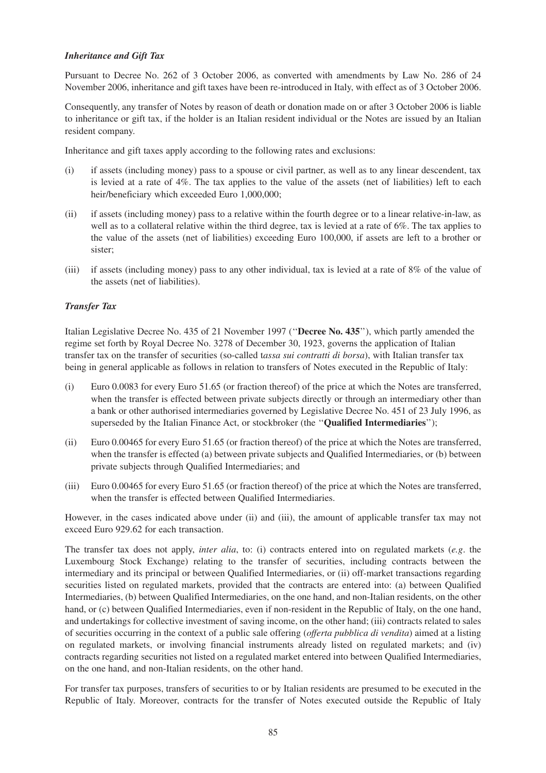## *Inheritance and Gift Tax*

Pursuant to Decree No. 262 of 3 October 2006, as converted with amendments by Law No. 286 of 24 November 2006, inheritance and gift taxes have been re-introduced in Italy, with effect as of 3 October 2006.

Consequently, any transfer of Notes by reason of death or donation made on or after 3 October 2006 is liable to inheritance or gift tax, if the holder is an Italian resident individual or the Notes are issued by an Italian resident company.

Inheritance and gift taxes apply according to the following rates and exclusions:

- (i) if assets (including money) pass to a spouse or civil partner, as well as to any linear descendent, tax is levied at a rate of 4%. The tax applies to the value of the assets (net of liabilities) left to each heir/beneficiary which exceeded Euro 1,000,000;
- (ii) if assets (including money) pass to a relative within the fourth degree or to a linear relative-in-law, as well as to a collateral relative within the third degree, tax is levied at a rate of 6%. The tax applies to the value of the assets (net of liabilities) exceeding Euro 100,000, if assets are left to a brother or sister;
- (iii) if assets (including money) pass to any other individual, tax is levied at a rate of 8% of the value of the assets (net of liabilities).

## *Transfer Tax*

Italian Legislative Decree No. 435 of 21 November 1997 (''**Decree No. 435**''), which partly amended the regime set forth by Royal Decree No. 3278 of December 30, 1923, governs the application of Italian transfer tax on the transfer of securities (so-called t*assa sui contratti di borsa*), with Italian transfer tax being in general applicable as follows in relation to transfers of Notes executed in the Republic of Italy:

- (i) Euro 0.0083 for every Euro 51.65 (or fraction thereof) of the price at which the Notes are transferred, when the transfer is effected between private subjects directly or through an intermediary other than a bank or other authorised intermediaries governed by Legislative Decree No. 451 of 23 July 1996, as superseded by the Italian Finance Act, or stockbroker (the ''**Qualified Intermediaries**'');
- (ii) Euro 0.00465 for every Euro 51.65 (or fraction thereof) of the price at which the Notes are transferred, when the transfer is effected (a) between private subjects and Qualified Intermediaries, or (b) between private subjects through Qualified Intermediaries; and
- (iii) Euro 0.00465 for every Euro 51.65 (or fraction thereof) of the price at which the Notes are transferred, when the transfer is effected between Qualified Intermediaries.

However, in the cases indicated above under (ii) and (iii), the amount of applicable transfer tax may not exceed Euro 929.62 for each transaction.

The transfer tax does not apply, *inter alia*, to: (i) contracts entered into on regulated markets (*e.g*. the Luxembourg Stock Exchange) relating to the transfer of securities, including contracts between the intermediary and its principal or between Qualified Intermediaries, or (ii) off-market transactions regarding securities listed on regulated markets, provided that the contracts are entered into: (a) between Qualified Intermediaries, (b) between Qualified Intermediaries, on the one hand, and non-Italian residents, on the other hand, or (c) between Qualified Intermediaries, even if non-resident in the Republic of Italy, on the one hand, and undertakings for collective investment of saving income, on the other hand; (iii) contracts related to sales of securities occurring in the context of a public sale offering (*offerta pubblica di vendita*) aimed at a listing on regulated markets, or involving financial instruments already listed on regulated markets; and (iv) contracts regarding securities not listed on a regulated market entered into between Qualified Intermediaries, on the one hand, and non-Italian residents, on the other hand.

For transfer tax purposes, transfers of securities to or by Italian residents are presumed to be executed in the Republic of Italy. Moreover, contracts for the transfer of Notes executed outside the Republic of Italy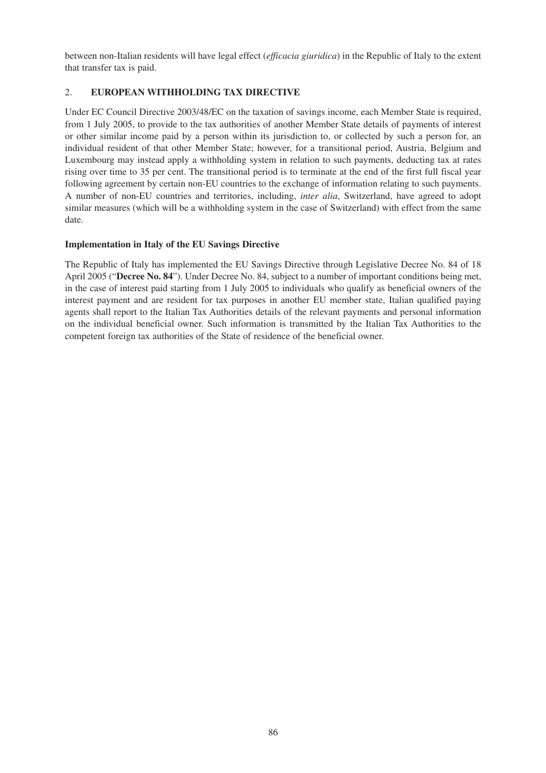between non-Italian residents will have legal effect (*efficacia giuridica*) in the Republic of Italy to the extent that transfer tax is paid.

## 2. **EUROPEAN WITHHOLDING TAX DIRECTIVE**

Under EC Council Directive 2003/48/EC on the taxation of savings income, each Member State is required, from 1 July 2005, to provide to the tax authorities of another Member State details of payments of interest or other similar income paid by a person within its jurisdiction to, or collected by such a person for, an individual resident of that other Member State; however, for a transitional period, Austria, Belgium and Luxembourg may instead apply a withholding system in relation to such payments, deducting tax at rates rising over time to 35 per cent. The transitional period is to terminate at the end of the first full fiscal year following agreement by certain non-EU countries to the exchange of information relating to such payments. A number of non-EU countries and territories, including, *inter alia*, Switzerland, have agreed to adopt similar measures (which will be a withholding system in the case of Switzerland) with effect from the same date.

## **Implementation in Italy of the EU Savings Directive**

The Republic of Italy has implemented the EU Savings Directive through Legislative Decree No. 84 of 18 April 2005 ("**Decree No. 84**"). Under Decree No. 84, subject to a number of important conditions being met, in the case of interest paid starting from 1 July 2005 to individuals who qualify as beneficial owners of the interest payment and are resident for tax purposes in another EU member state, Italian qualified paying agents shall report to the Italian Tax Authorities details of the relevant payments and personal information on the individual beneficial owner. Such information is transmitted by the Italian Tax Authorities to the competent foreign tax authorities of the State of residence of the beneficial owner.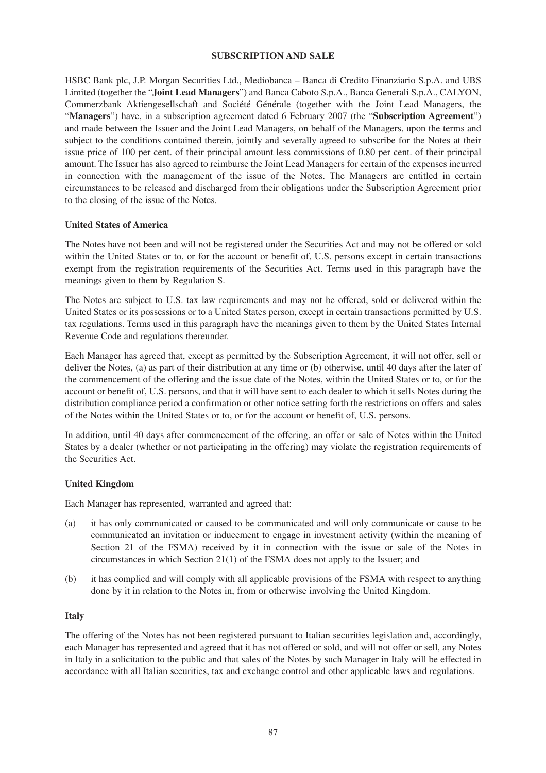## **SUBSCRIPTION AND SALE**

HSBC Bank plc, J.P. Morgan Securities Ltd., Mediobanca – Banca di Credito Finanziario S.p.A. and UBS Limited (together the "**Joint Lead Managers**") and Banca Caboto S.p.A., Banca Generali S.p.A., CALYON, Commerzbank Aktiengesellschaft and Société Générale (together with the Joint Lead Managers, the "**Managers**") have, in a subscription agreement dated 6 February 2007 (the "**Subscription Agreement**") and made between the Issuer and the Joint Lead Managers, on behalf of the Managers, upon the terms and subject to the conditions contained therein, jointly and severally agreed to subscribe for the Notes at their issue price of 100 per cent. of their principal amount less commissions of 0.80 per cent. of their principal amount. The Issuer has also agreed to reimburse the Joint Lead Managers for certain of the expenses incurred in connection with the management of the issue of the Notes. The Managers are entitled in certain circumstances to be released and discharged from their obligations under the Subscription Agreement prior to the closing of the issue of the Notes.

## **United States of America**

The Notes have not been and will not be registered under the Securities Act and may not be offered or sold within the United States or to, or for the account or benefit of, U.S. persons except in certain transactions exempt from the registration requirements of the Securities Act. Terms used in this paragraph have the meanings given to them by Regulation S.

The Notes are subject to U.S. tax law requirements and may not be offered, sold or delivered within the United States or its possessions or to a United States person, except in certain transactions permitted by U.S. tax regulations. Terms used in this paragraph have the meanings given to them by the United States Internal Revenue Code and regulations thereunder.

Each Manager has agreed that, except as permitted by the Subscription Agreement, it will not offer, sell or deliver the Notes, (a) as part of their distribution at any time or (b) otherwise, until 40 days after the later of the commencement of the offering and the issue date of the Notes, within the United States or to, or for the account or benefit of, U.S. persons, and that it will have sent to each dealer to which it sells Notes during the distribution compliance period a confirmation or other notice setting forth the restrictions on offers and sales of the Notes within the United States or to, or for the account or benefit of, U.S. persons.

In addition, until 40 days after commencement of the offering, an offer or sale of Notes within the United States by a dealer (whether or not participating in the offering) may violate the registration requirements of the Securities Act.

## **United Kingdom**

Each Manager has represented, warranted and agreed that:

- (a) it has only communicated or caused to be communicated and will only communicate or cause to be communicated an invitation or inducement to engage in investment activity (within the meaning of Section 21 of the FSMA) received by it in connection with the issue or sale of the Notes in circumstances in which Section 21(1) of the FSMA does not apply to the Issuer; and
- (b) it has complied and will comply with all applicable provisions of the FSMA with respect to anything done by it in relation to the Notes in, from or otherwise involving the United Kingdom.

## **Italy**

The offering of the Notes has not been registered pursuant to Italian securities legislation and, accordingly, each Manager has represented and agreed that it has not offered or sold, and will not offer or sell, any Notes in Italy in a solicitation to the public and that sales of the Notes by such Manager in Italy will be effected in accordance with all Italian securities, tax and exchange control and other applicable laws and regulations.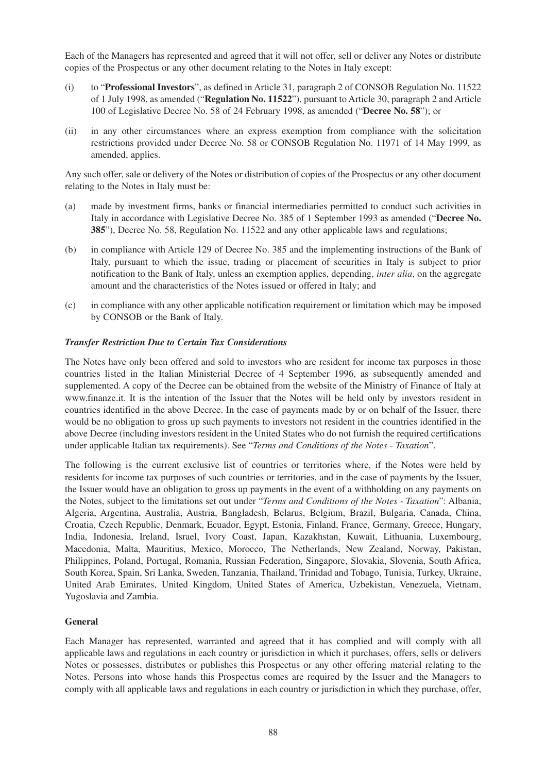Each of the Managers has represented and agreed that it will not offer, sell or deliver any Notes or distribute copies of the Prospectus or any other document relating to the Notes in Italy except:

- (i) to "**Professional Investors**", as defined in Article 31, paragraph 2 of CONSOB Regulation No. 11522 of 1 July 1998, as amended ("**Regulation No. 11522**"), pursuant to Article 30, paragraph 2 and Article 100 of Legislative Decree No. 58 of 24 February 1998, as amended ("**Decree No. 58**"); or
- (ii) in any other circumstances where an express exemption from compliance with the solicitation restrictions provided under Decree No. 58 or CONSOB Regulation No. 11971 of 14 May 1999, as amended, applies.

Any such offer, sale or delivery of the Notes or distribution of copies of the Prospectus or any other document relating to the Notes in Italy must be:

- (a) made by investment firms, banks or financial intermediaries permitted to conduct such activities in Italy in accordance with Legislative Decree No. 385 of 1 September 1993 as amended ("**Decree No. 385**"), Decree No. 58, Regulation No. 11522 and any other applicable laws and regulations;
- (b) in compliance with Article 129 of Decree No. 385 and the implementing instructions of the Bank of Italy, pursuant to which the issue, trading or placement of securities in Italy is subject to prior notification to the Bank of Italy, unless an exemption applies, depending, *inter alia*, on the aggregate amount and the characteristics of the Notes issued or offered in Italy; and
- (c) in compliance with any other applicable notification requirement or limitation which may be imposed by CONSOB or the Bank of Italy.

## *Transfer Restriction Due to Certain Tax Considerations*

The Notes have only been offered and sold to investors who are resident for income tax purposes in those countries listed in the Italian Ministerial Decree of 4 September 1996, as subsequently amended and supplemented. A copy of the Decree can be obtained from the website of the Ministry of Finance of Italy at www.finanze.it. It is the intention of the Issuer that the Notes will be held only by investors resident in countries identified in the above Decree. In the case of payments made by or on behalf of the Issuer, there would be no obligation to gross up such payments to investors not resident in the countries identified in the above Decree (including investors resident in the United States who do not furnish the required certifications under applicable Italian tax requirements). See "*Terms and Conditions of the Notes - Taxation*".

The following is the current exclusive list of countries or territories where, if the Notes were held by residents for income tax purposes of such countries or territories, and in the case of payments by the Issuer, the Issuer would have an obligation to gross up payments in the event of a withholding on any payments on the Notes, subject to the limitations set out under "*Terms and Conditions of the Notes - Taxation*": Albania, Algeria, Argentina, Australia, Austria, Bangladesh, Belarus, Belgium, Brazil, Bulgaria, Canada, China, Croatia, Czech Republic, Denmark, Ecuador, Egypt, Estonia, Finland, France, Germany, Greece, Hungary, India, Indonesia, Ireland, Israel, Ivory Coast, Japan, Kazakhstan, Kuwait, Lithuania, Luxembourg, Macedonia, Malta, Mauritius, Mexico, Morocco, The Netherlands, New Zealand, Norway, Pakistan, Philippines, Poland, Portugal, Romania, Russian Federation, Singapore, Slovakia, Slovenia, South Africa, South Korea, Spain, Sri Lanka, Sweden, Tanzania, Thailand, Trinidad and Tobago, Tunisia, Turkey, Ukraine, United Arab Emirates, United Kingdom, United States of America, Uzbekistan, Venezuela, Vietnam, Yugoslavia and Zambia.

#### **General**

Each Manager has represented, warranted and agreed that it has complied and will comply with all applicable laws and regulations in each country or jurisdiction in which it purchases, offers, sells or delivers Notes or possesses, distributes or publishes this Prospectus or any other offering material relating to the Notes. Persons into whose hands this Prospectus comes are required by the Issuer and the Managers to comply with all applicable laws and regulations in each country or jurisdiction in which they purchase, offer,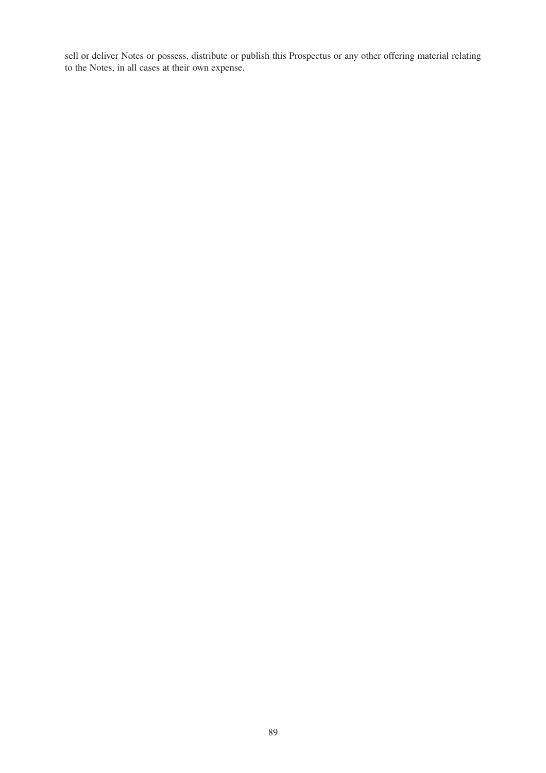sell or deliver Notes or possess, distribute or publish this Prospectus or any other offering material relating to the Notes, in all cases at their own expense.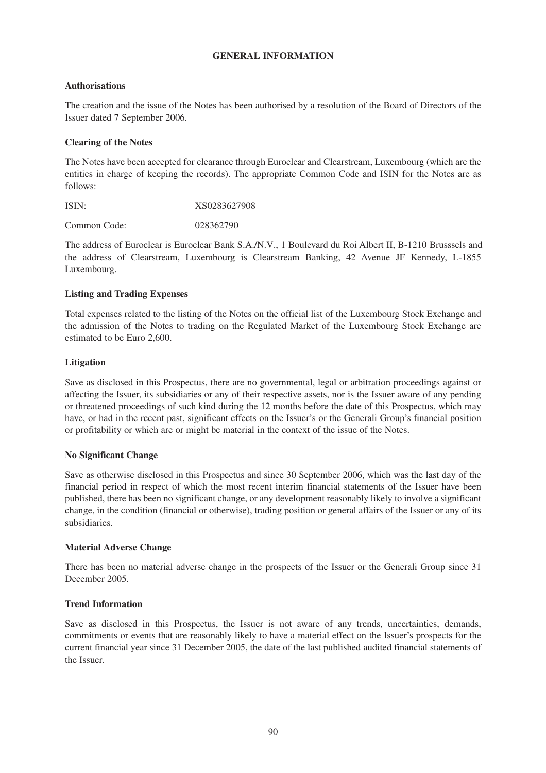## **GENERAL INFORMATION**

## **Authorisations**

The creation and the issue of the Notes has been authorised by a resolution of the Board of Directors of the Issuer dated 7 September 2006.

## **Clearing of the Notes**

The Notes have been accepted for clearance through Euroclear and Clearstream, Luxembourg (which are the entities in charge of keeping the records). The appropriate Common Code and ISIN for the Notes are as follows:

| ISIN: | XS0283627908 |
|-------|--------------|
|       |              |

Common Code: 028362790

The address of Euroclear is Euroclear Bank S.A./N.V., 1 Boulevard du Roi Albert II, B-1210 Brusssels and the address of Clearstream, Luxembourg is Clearstream Banking, 42 Avenue JF Kennedy, L-1855 Luxembourg.

## **Listing and Trading Expenses**

Total expenses related to the listing of the Notes on the official list of the Luxembourg Stock Exchange and the admission of the Notes to trading on the Regulated Market of the Luxembourg Stock Exchange are estimated to be Euro 2,600.

## **Litigation**

Save as disclosed in this Prospectus, there are no governmental, legal or arbitration proceedings against or affecting the Issuer, its subsidiaries or any of their respective assets, nor is the Issuer aware of any pending or threatened proceedings of such kind during the 12 months before the date of this Prospectus, which may have, or had in the recent past, significant effects on the Issuer's or the Generali Group's financial position or profitability or which are or might be material in the context of the issue of the Notes.

## **No Significant Change**

Save as otherwise disclosed in this Prospectus and since 30 September 2006, which was the last day of the financial period in respect of which the most recent interim financial statements of the Issuer have been published, there has been no significant change, or any development reasonably likely to involve a significant change, in the condition (financial or otherwise), trading position or general affairs of the Issuer or any of its subsidiaries.

#### **Material Adverse Change**

There has been no material adverse change in the prospects of the Issuer or the Generali Group since 31 December 2005.

#### **Trend Information**

Save as disclosed in this Prospectus, the Issuer is not aware of any trends, uncertainties, demands, commitments or events that are reasonably likely to have a material effect on the Issuer's prospects for the current financial year since 31 December 2005, the date of the last published audited financial statements of the Issuer.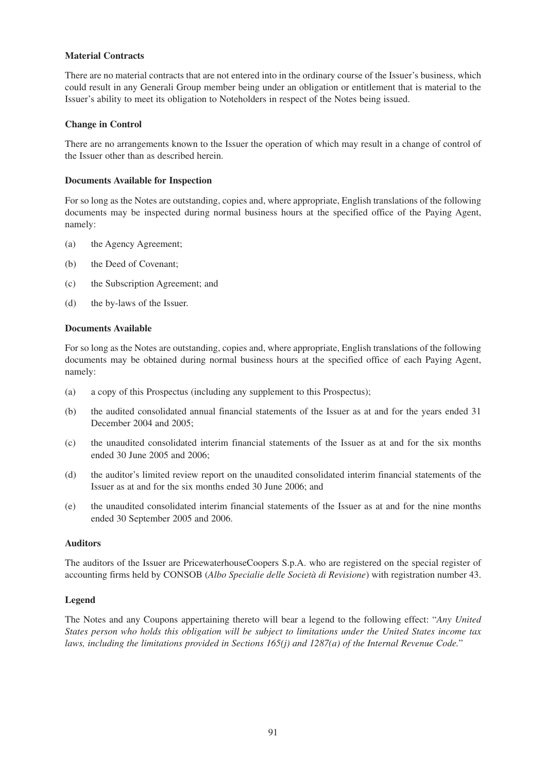## **Material Contracts**

There are no material contracts that are not entered into in the ordinary course of the Issuer's business, which could result in any Generali Group member being under an obligation or entitlement that is material to the Issuer's ability to meet its obligation to Noteholders in respect of the Notes being issued.

## **Change in Control**

There are no arrangements known to the Issuer the operation of which may result in a change of control of the Issuer other than as described herein.

## **Documents Available for Inspection**

For so long as the Notes are outstanding, copies and, where appropriate, English translations of the following documents may be inspected during normal business hours at the specified office of the Paying Agent, namely:

- (a) the Agency Agreement;
- (b) the Deed of Covenant;
- (c) the Subscription Agreement; and
- (d) the by-laws of the Issuer.

## **Documents Available**

For so long as the Notes are outstanding, copies and, where appropriate, English translations of the following documents may be obtained during normal business hours at the specified office of each Paying Agent, namely:

- (a) a copy of this Prospectus (including any supplement to this Prospectus);
- (b) the audited consolidated annual financial statements of the Issuer as at and for the years ended 31 December 2004 and 2005;
- (c) the unaudited consolidated interim financial statements of the Issuer as at and for the six months ended 30 June 2005 and 2006;
- (d) the auditor's limited review report on the unaudited consolidated interim financial statements of the Issuer as at and for the six months ended 30 June 2006; and
- (e) the unaudited consolidated interim financial statements of the Issuer as at and for the nine months ended 30 September 2005 and 2006.

#### **Auditors**

The auditors of the Issuer are PricewaterhouseCoopers S.p.A. who are registered on the special register of accounting firms held by CONSOB (*Albo Specialie delle Società di Revisione*) with registration number 43.

## **Legend**

The Notes and any Coupons appertaining thereto will bear a legend to the following effect: "*Any United States person who holds this obligation will be subject to limitations under the United States income tax laws, including the limitations provided in Sections 165(j) and 1287(a) of the Internal Revenue Code.*"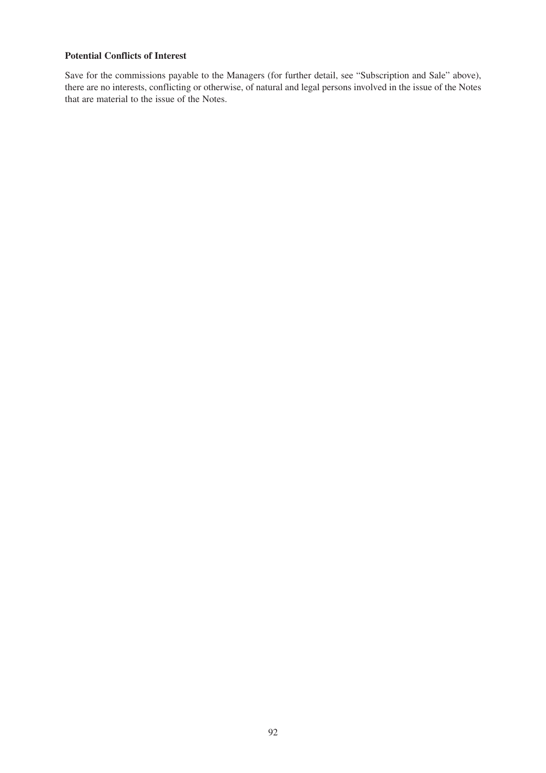## **Potential Conflicts of Interest**

Save for the commissions payable to the Managers (for further detail, see "Subscription and Sale" above), there are no interests, conflicting or otherwise, of natural and legal persons involved in the issue of the Notes that are material to the issue of the Notes.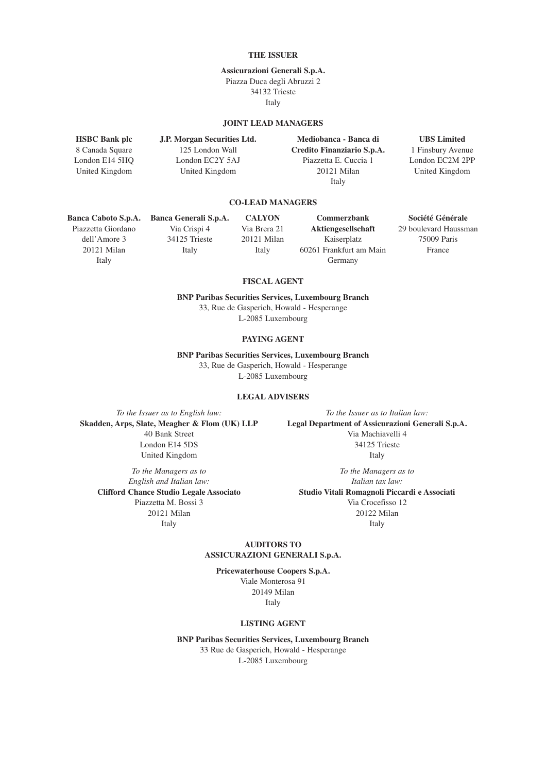#### **THE ISSUER**

#### **Assicurazioni Generali S.p.A.** Piazza Duca degli Abruzzi 2

34132 Trieste Italy

#### **JOINT LEAD MANAGERS**

**HSBC Bank plc J.P. Morgan Securities Ltd. Mediobanca - Banca di UBS Limited** 8 Canada Square 125 London Wall **Credito Finanziario S.p.A.** 1 Finsbury Avenue London E14 5HQ London EC2Y 5AJ Piazzetta E. Cuccia 1 London EC2M 2PP United Kingdom United Kingdom 20121 Milan United Kingdom Italy

#### **CO-LEAD MANAGERS**

Piazzetta Giordano Via Crispi 4 Via Brera 21 **Aktiengesellschaft** 29 boulevard Haussman

dell'Amore 3 34125 Trieste 20121 Milan Kaiserplatz 75009 Paris 20121 Milan Italy Italy 60261 Frankfurt am Main France Italy Germany

**Banca Caboto S.p.A. Banca Generali S.p.A. CALYON Commerzbank Société Générale**

#### **FISCAL AGENT**

**BNP Paribas Securities Services, Luxembourg Branch** 33, Rue de Gasperich, Howald - Hesperange L-2085 Luxembourg

#### **PAYING AGENT**

**BNP Paribas Securities Services, Luxembourg Branch** 33, Rue de Gasperich, Howald - Hesperange L-2085 Luxembourg

#### **LEGAL ADVISERS**

*To the Issuer as to English law: To the Issuer as to Italian law:* London E14 5DS 34125 Trieste United Kingdom Italy

*To the Managers as to To the Managers as to English and Italian law: Italian tax law:*

**Skadden, Arps, Slate, Meagher & Flom (UK) LLP Legal Department of Assicurazioni Generali S.p.A.** 40 Bank Street Via Machiavelli 4

**Clifford Chance Studio Legale Associato Studio Vitali Romagnoli Piccardi e Associati** Piazzetta M. Bossi 3 Via Crocefisso 12 20121 Milan 20122 Milan Italy Italy Italy

#### **AUDITORS TO ASSICURAZIONI GENERALI S.p.A.**

**Pricewaterhouse Coopers S.p.A.** Viale Monterosa 91 20149 Milan Italy

#### **LISTING AGENT**

**BNP Paribas Securities Services, Luxembourg Branch** 33 Rue de Gasperich, Howald - Hesperange

L-2085 Luxembourg